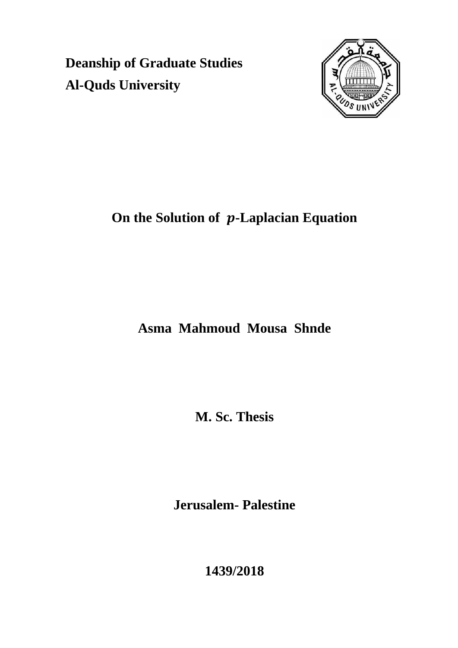**Deanship of Graduate Studies Al-Quds University**



# **On the Solution of p-Laplacian Equation**

# **Asma Mahmoud Mousa Shnde**

**M. Sc. Thesis**

**Jerusalem- Palestine**

**1439/2018**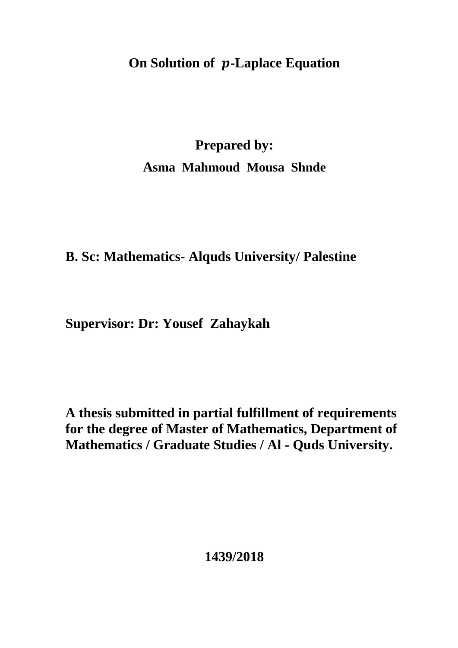# **On Solution of p-Laplace Equation**

# **Prepared by: Asma Mahmoud Mousa Shnde**

# **B. Sc: Mathematics- Alquds University/ Palestine**

# **Supervisor: Dr: Yousef Zahaykah**

**A thesis submitted in partial fulfillment of requirements for the degree of Master of Mathematics, Department of Mathematics / Graduate Studies / Al - Quds University.**

# **1439/2018**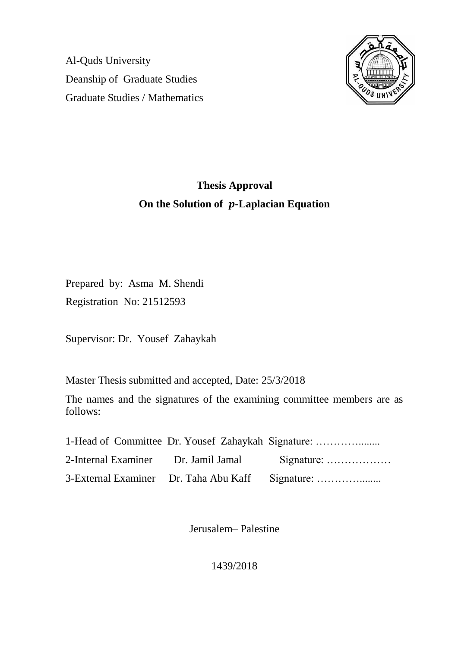Al-Quds University Deanship of Graduate Studies Graduate Studies / Mathematics



# **Thesis Approval On the Solution of p-Laplacian Equation**

Prepared by: Asma M. Shendi Registration No: 21512593

Supervisor: Dr. Yousef Zahaykah

Master Thesis submitted and accepted, Date: 25/3/2018

The names and the signatures of the examining committee members are as follows:

|  | 1-Head of Committee Dr. Yousef Zahaykah Signature: |
|--|----------------------------------------------------|
|  | 2-Internal Examiner Dr. Jamil Jamal Signature:     |
|  | 3-External Examiner Dr. Taha Abu Kaff Signature:   |

Jerusalem– Palestine

1439/2018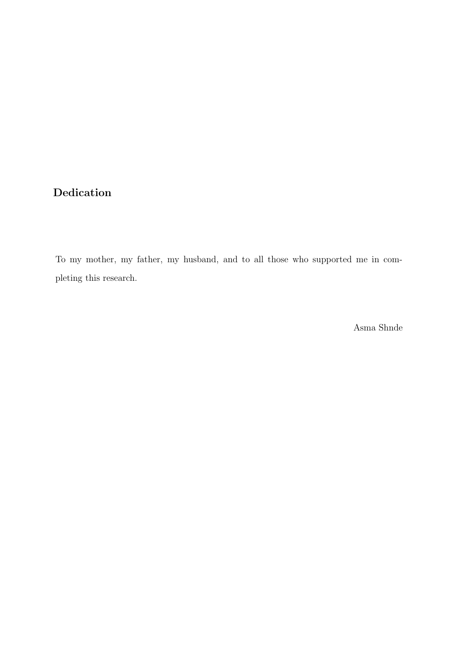## Dedication

To my mother, my father, my husband, and to all those who supported me in completing this research.

Asma Shnde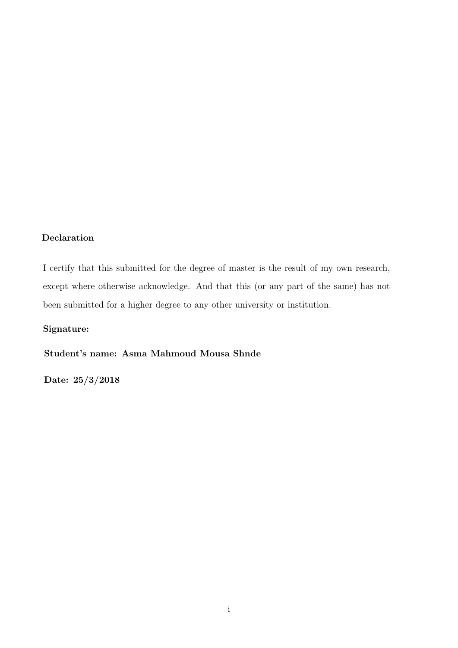### Declaration

I certify that this submitted for the degree of master is the result of my own research, except where otherwise acknowledge. And that this (or any part of the same) has not been submitted for a higher degree to any other university or institution.

### Signature:

Student's name: Asma Mahmoud Mousa Shnde

Date: 25/3/2018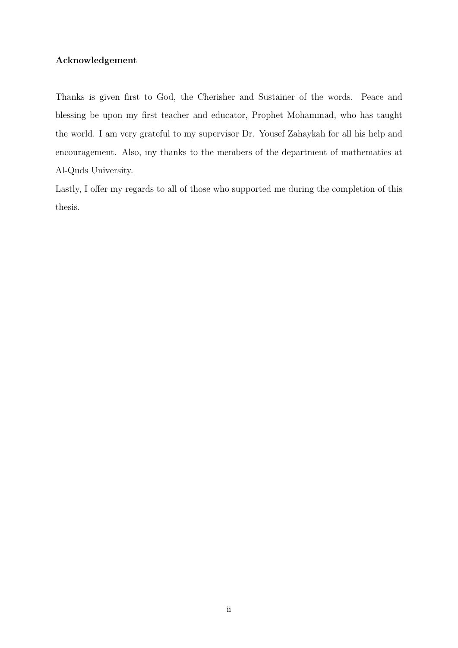### Acknowledgement

Thanks is given first to God, the Cherisher and Sustainer of the words. Peace and blessing be upon my first teacher and educator, Prophet Mohammad, who has taught the world. I am very grateful to my supervisor Dr. Yousef Zahaykah for all his help and encouragement. Also, my thanks to the members of the department of mathematics at Al-Quds University.

Lastly, I offer my regards to all of those who supported me during the completion of this thesis.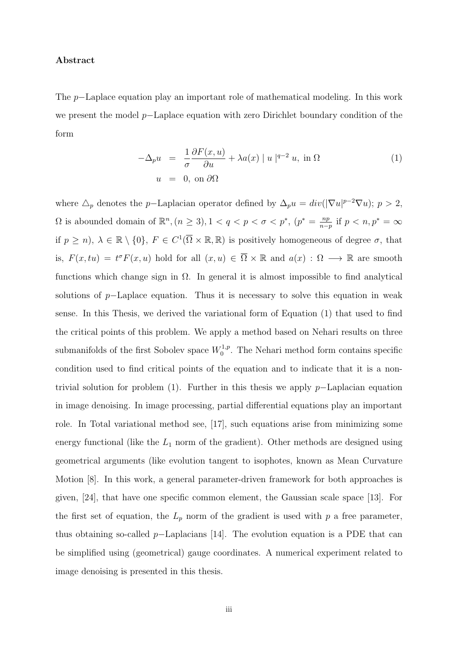#### Abstract

The p−Laplace equation play an important role of mathematical modeling. In this work we present the model p−Laplace equation with zero Dirichlet boundary condition of the form

$$
-\Delta_p u = \frac{1}{\sigma} \frac{\partial F(x, u)}{\partial u} + \lambda a(x) |u|^{q-2} u, \text{ in } \Omega
$$
  
 
$$
u = 0, \text{ on } \partial\Omega
$$
 (1)

where  $\Delta_p$  denotes the p–Laplacian operator defined by  $\Delta_p u = div(|\nabla u|^{p-2}\nabla u); p > 2$ ,  $\Omega$  is abounded domain of  $\mathbb{R}^n$ ,  $(n \geq 3)$ ,  $1 < q < p < \sigma < p^*$ ,  $(p^* = \frac{np}{n-p}$  $\frac{np}{n-p}$  if  $p < n, p^* = \infty$ if  $p \ge n$ ,  $\lambda \in \mathbb{R} \setminus \{0\}$ ,  $F \in C^1(\overline{\Omega} \times \mathbb{R}, \mathbb{R})$  is positively homogeneous of degree  $\sigma$ , that is,  $F(x, tu) = t^{\sigma} F(x, u)$  hold for all  $(x, u) \in \overline{\Omega} \times \mathbb{R}$  and  $a(x) : \Omega \longrightarrow \mathbb{R}$  are smooth functions which change sign in  $\Omega$ . In general it is almost impossible to find analytical solutions of p–Laplace equation. Thus it is necessary to solve this equation in weak sense. In this Thesis, we derived the variational form of Equation (1) that used to find the critical points of this problem. We apply a method based on Nehari results on three submanifolds of the first Sobolev space  $W_0^{1,p}$  $v_0^{1,p}$ . The Nehari method form contains specific condition used to find critical points of the equation and to indicate that it is a nontrivial solution for problem (1). Further in this thesis we apply p−Laplacian equation in image denoising. In image processing, partial differential equations play an important role. In Total variational method see, [17], such equations arise from minimizing some energy functional (like the  $L_1$  norm of the gradient). Other methods are designed using geometrical arguments (like evolution tangent to isophotes, known as Mean Curvature Motion [8]. In this work, a general parameter-driven framework for both approaches is given, [24], that have one specific common element, the Gaussian scale space [13]. For the first set of equation, the  $L_p$  norm of the gradient is used with p a free parameter, thus obtaining so-called p−Laplacians [14]. The evolution equation is a PDE that can be simplified using (geometrical) gauge coordinates. A numerical experiment related to image denoising is presented in this thesis.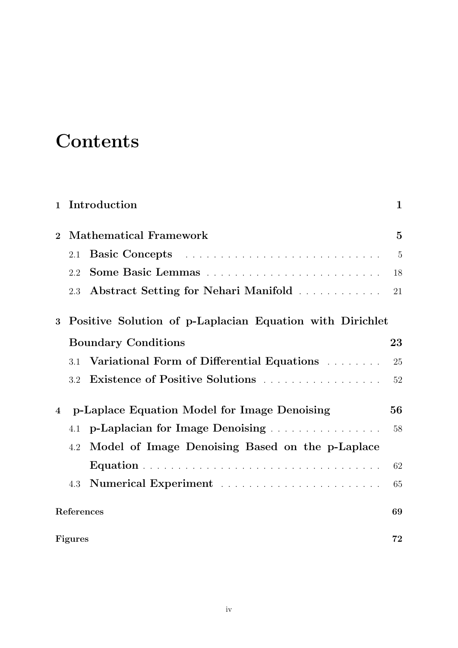# **Contents**

|                |                                                          | 1 Introduction                                  | $\mathbf{1}$   |
|----------------|----------------------------------------------------------|-------------------------------------------------|----------------|
| $\overline{2}$ |                                                          | <b>Mathematical Framework</b>                   | $\overline{5}$ |
|                | 2.1                                                      |                                                 | $\overline{5}$ |
|                | 2.2                                                      |                                                 | 18             |
|                | 2.3                                                      | Abstract Setting for Nehari Manifold            | 21             |
| 3              | Positive Solution of p-Laplacian Equation with Dirichlet |                                                 |                |
|                |                                                          | <b>Boundary Conditions</b>                      | 23             |
|                | 3.1                                                      | Variational Form of Differential Equations      | 25             |
|                | 3.2                                                      | Existence of Positive Solutions                 | 52             |
| $\overline{4}$ |                                                          | p-Laplace Equation Model for Image Denoising    | 56             |
|                | 4.1                                                      | p-Laplacian for Image Denoising.                | 58             |
|                | 4.2                                                      | Model of Image Denoising Based on the p-Laplace |                |
|                |                                                          |                                                 | 62             |
|                | 4.3                                                      |                                                 | 65             |
|                | References                                               |                                                 | 69             |
|                | <b>Figures</b>                                           |                                                 | 72             |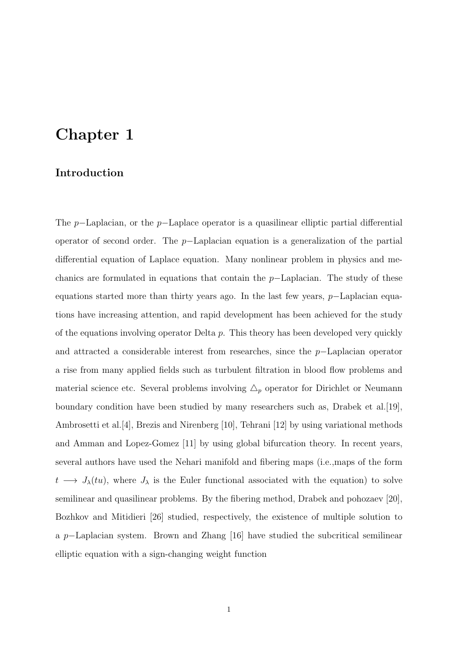# Chapter 1

### Introduction

The p−Laplacian, or the p−Laplace operator is a quasilinear elliptic partial differential operator of second order. The p−Laplacian equation is a generalization of the partial differential equation of Laplace equation. Many nonlinear problem in physics and mechanics are formulated in equations that contain the p−Laplacian. The study of these equations started more than thirty years ago. In the last few years, p−Laplacian equations have increasing attention, and rapid development has been achieved for the study of the equations involving operator Delta  $p$ . This theory has been developed very quickly and attracted a considerable interest from researches, since the p−Laplacian operator a rise from many applied fields such as turbulent filtration in blood flow problems and material science etc. Several problems involving  $\Delta_p$  operator for Dirichlet or Neumann boundary condition have been studied by many researchers such as, Drabek et al.[19], Ambrosetti et al.[4], Brezis and Nirenberg [10], Tehrani [12] by using variational methods and Amman and Lopez-Gomez [11] by using global bifurcation theory. In recent years, several authors have used the Nehari manifold and fibering maps (i.e.,maps of the form  $t \longrightarrow J_{\lambda}(tu)$ , where  $J_{\lambda}$  is the Euler functional associated with the equation) to solve semilinear and quasilinear problems. By the fibering method, Drabek and pohozaev [20], Bozhkov and Mitidieri [26] studied, respectively, the existence of multiple solution to a p−Laplacian system. Brown and Zhang [16] have studied the subcritical semilinear elliptic equation with a sign-changing weight function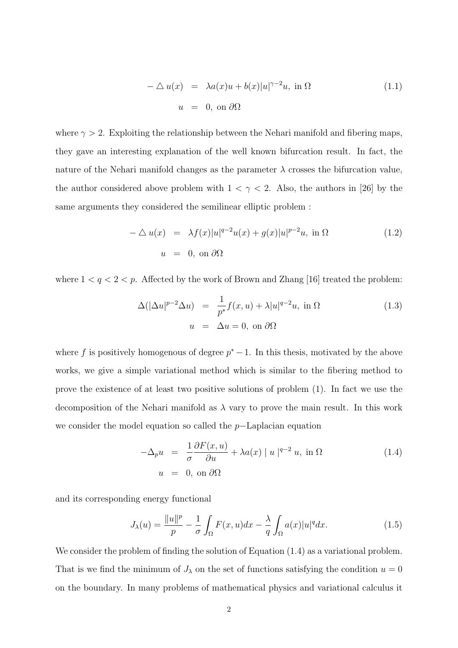$$
-\Delta u(x) = \lambda a(x)u + b(x)|u|^{\gamma - 2}u, \text{ in } \Omega
$$
  
 
$$
u = 0, \text{ on } \partial\Omega
$$
 (1.1)

where  $\gamma > 2$ . Exploiting the relationship between the Nehari manifold and fibering maps, they gave an interesting explanation of the well known bifurcation result. In fact, the nature of the Nehari manifold changes as the parameter  $\lambda$  crosses the bifurcation value. the author considered above problem with  $1 < \gamma < 2$ . Also, the authors in [26] by the same arguments they considered the semilinear elliptic problem :

$$
-\Delta u(x) = \lambda f(x)|u|^{q-2}u(x) + g(x)|u|^{p-2}u, \text{ in } \Omega
$$
\n
$$
u = 0, \text{ on } \partial\Omega
$$
\n(1.2)

where  $1 < q < 2 < p$ . Affected by the work of Brown and Zhang [16] treated the problem:

$$
\Delta(|\Delta u|^{p-2}\Delta u) = \frac{1}{p^*}f(x,u) + \lambda|u|^{q-2}u, \text{ in } \Omega
$$
\n
$$
u = \Delta u = 0, \text{ on } \partial\Omega
$$
\n(1.3)

where f is positively homogenous of degree  $p^* - 1$ . In this thesis, motivated by the above works, we give a simple variational method which is similar to the fibering method to prove the existence of at least two positive solutions of problem (1). In fact we use the decomposition of the Nehari manifold as  $\lambda$  vary to prove the main result. In this work we consider the model equation so called the p−Laplacian equation

$$
-\Delta_p u = \frac{1}{\sigma} \frac{\partial F(x, u)}{\partial u} + \lambda a(x) |u|^{q-2} u, \text{ in } \Omega
$$
  
 
$$
u = 0, \text{ on } \partial\Omega
$$
 (1.4)

and its corresponding energy functional

$$
J_{\lambda}(u) = \frac{\|u\|^{p}}{p} - \frac{1}{\sigma} \int_{\Omega} F(x, u) dx - \frac{\lambda}{q} \int_{\Omega} a(x) |u|^{q} dx.
$$
 (1.5)

We consider the problem of finding the solution of Equation  $(1.4)$  as a variational problem. That is we find the minimum of  $J_{\lambda}$  on the set of functions satisfying the condition  $u = 0$ on the boundary. In many problems of mathematical physics and variational calculus it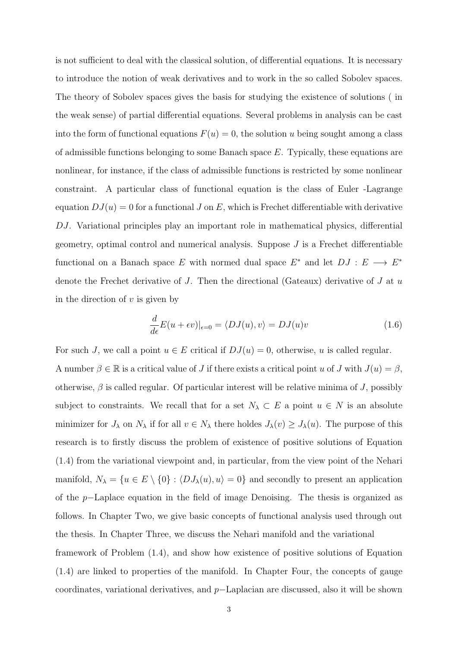is not sufficient to deal with the classical solution, of differential equations. It is necessary to introduce the notion of weak derivatives and to work in the so called Sobolev spaces. The theory of Sobolev spaces gives the basis for studying the existence of solutions ( in the weak sense) of partial differential equations. Several problems in analysis can be cast into the form of functional equations  $F(u) = 0$ , the solution u being sought among a class of admissible functions belonging to some Banach space  $E$ . Typically, these equations are nonlinear, for instance, if the class of admissible functions is restricted by some nonlinear constraint. A particular class of functional equation is the class of Euler -Lagrange equation  $DJ(u) = 0$  for a functional J on E, which is Frechet differentiable with derivative DJ. Variational principles play an important role in mathematical physics, differential geometry, optimal control and numerical analysis. Suppose  $J$  is a Frechet differentiable functional on a Banach space E with normed dual space  $E^*$  and let  $DJ : E \longrightarrow E^*$ denote the Frechet derivative of  $J$ . Then the directional (Gateaux) derivative of  $J$  at  $u$ in the direction of  $v$  is given by

$$
\frac{d}{d\epsilon}E(u+\epsilon v)|_{\epsilon=0} = \langle DJ(u), v\rangle = DJ(u)v
$$
\n(1.6)

For such J, we call a point  $u \in E$  critical if  $DJ(u) = 0$ , otherwise, u is called regular. A number  $\beta \in \mathbb{R}$  is a critical value of J if there exists a critical point u of J with  $J(u) = \beta$ , otherwise,  $\beta$  is called regular. Of particular interest will be relative minima of J, possibly subject to constraints. We recall that for a set  $N_\lambda \subset E$  a point  $u \in N$  is an absolute minimizer for  $J_\lambda$  on  $N_\lambda$  if for all  $v \in N_\lambda$  there holdes  $J_\lambda(v) \geq J_\lambda(u)$ . The purpose of this research is to firstly discuss the problem of existence of positive solutions of Equation (1.4) from the variational viewpoint and, in particular, from the view point of the Nehari manifold,  $N_{\lambda} = \{u \in E \setminus \{0\} : \langle DJ_{\lambda}(u), u \rangle = 0\}$  and secondly to present an application of the p−Laplace equation in the field of image Denoising. The thesis is organized as follows. In Chapter Two, we give basic concepts of functional analysis used through out the thesis. In Chapter Three, we discuss the Nehari manifold and the variational framework of Problem (1.4), and show how existence of positive solutions of Equation (1.4) are linked to properties of the manifold. In Chapter Four, the concepts of gauge coordinates, variational derivatives, and p−Laplacian are discussed, also it will be shown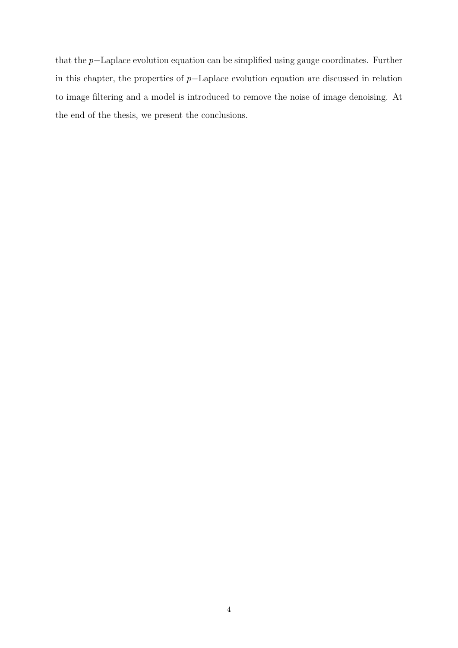that the p−Laplace evolution equation can be simplified using gauge coordinates. Further in this chapter, the properties of p−Laplace evolution equation are discussed in relation to image filtering and a model is introduced to remove the noise of image denoising. At the end of the thesis, we present the conclusions.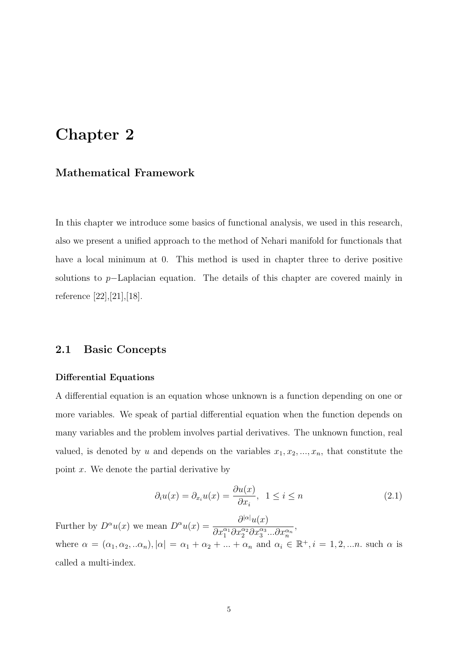# Chapter 2

### Mathematical Framework

In this chapter we introduce some basics of functional analysis, we used in this research, also we present a unified approach to the method of Nehari manifold for functionals that have a local minimum at 0. This method is used in chapter three to derive positive solutions to p−Laplacian equation. The details of this chapter are covered mainly in reference [22],[21],[18].

### 2.1 Basic Concepts

#### Differential Equations

A differential equation is an equation whose unknown is a function depending on one or more variables. We speak of partial differential equation when the function depends on many variables and the problem involves partial derivatives. The unknown function, real valued, is denoted by u and depends on the variables  $x_1, x_2, ..., x_n$ , that constitute the point  $x$ . We denote the partial derivative by

$$
\partial_i u(x) = \partial_{x_i} u(x) = \frac{\partial u(x)}{\partial x_i}, \quad 1 \le i \le n \tag{2.1}
$$

Further by  $D^{\alpha}u(x)$  we mean  $D^{\alpha}u(x) = \frac{\partial^{|\alpha|}u(x)}{\partial^{|\alpha|}u(x)}$  $\overline{\partial x_1^{\alpha_1} \partial x_2^{\alpha_2} \partial x_3^{\alpha_3}...\partial x_n^{\alpha_n}}$ , where  $\alpha = (\alpha_1, \alpha_2, \ldots, \alpha_n)$ ,  $|\alpha| = \alpha_1 + \alpha_2 + \ldots + \alpha_n$  and  $\alpha_i \in \mathbb{R}^+, i = 1, 2, \ldots, n$  such  $\alpha$  is called a multi-index.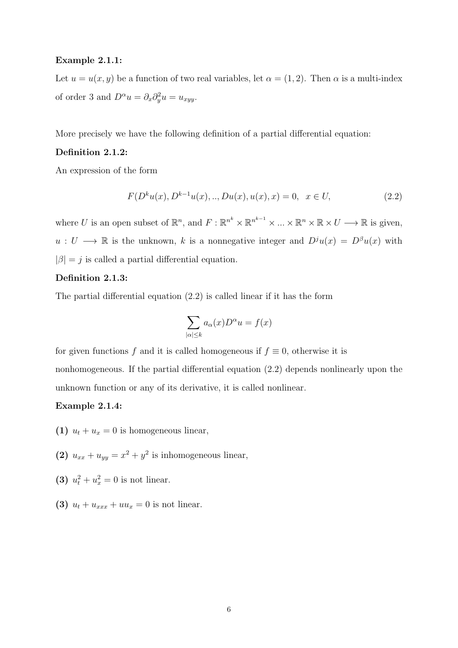#### Example 2.1.1:

Let  $u = u(x, y)$  be a function of two real variables, let  $\alpha = (1, 2)$ . Then  $\alpha$  is a multi-index of order 3 and  $D^{\alpha}u = \partial_x \partial_y^2 u = u_{xyy}$ .

More precisely we have the following definition of a partial differential equation:

#### Definition 2.1.2:

An expression of the form

$$
F(D^k u(x), D^{k-1} u(x), \dots, Du(x), u(x), x) = 0, \quad x \in U,
$$
\n(2.2)

where U is an open subset of  $\mathbb{R}^n$ , and  $F: \mathbb{R}^{n^k} \times \mathbb{R}^{n^{k-1}} \times \ldots \times \mathbb{R}^n \times \mathbb{R} \times U \longrightarrow \mathbb{R}$  is given,  $u: U \longrightarrow \mathbb{R}$  is the unknown, k is a nonnegative integer and  $D^{j}u(x) = D^{j}u(x)$  with  $|\beta|=j$  is called a partial differential equation.

#### Definition 2.1.3:

The partial differential equation (2.2) is called linear if it has the form

$$
\sum_{|\alpha| \le k} a_{\alpha}(x) D^{\alpha} u = f(x)
$$

for given functions f and it is called homogeneous if  $f \equiv 0$ , otherwise it is nonhomogeneous. If the partial differential equation (2.2) depends nonlinearly upon the unknown function or any of its derivative, it is called nonlinear.

### Example 2.1.4:

- (1)  $u_t + u_x = 0$  is homogeneous linear,
- (2)  $u_{xx} + u_{yy} = x^2 + y^2$  is inhomogeneous linear,
- (3)  $u_t^2 + u_x^2 = 0$  is not linear.
- (3)  $u_t + u_{xxx} + uu_x = 0$  is not linear.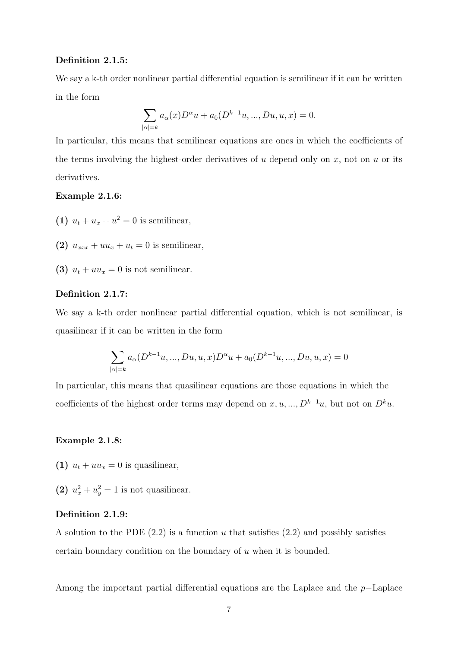#### Definition 2.1.5:

We say a k-th order nonlinear partial differential equation is semilinear if it can be written in the form

$$
\sum_{|\alpha|=k} a_{\alpha}(x)D^{\alpha}u + a_0(D^{k-1}u, ..., Du, u, x) = 0.
$$

In particular, this means that semilinear equations are ones in which the coefficients of the terms involving the highest-order derivatives of  $u$  depend only on  $x$ , not on  $u$  or its derivatives.

#### Example 2.1.6:

- (1)  $u_t + u_x + u^2 = 0$  is semilinear,
- (2)  $u_{xxx} + uu_x + u_t = 0$  is semilinear,
- (3)  $u_t + uu_x = 0$  is not semilinear.

#### Definition 2.1.7:

We say a k-th order nonlinear partial differential equation, which is not semilinear, is quasilinear if it can be written in the form

$$
\sum_{|\alpha|=k} a_{\alpha}(D^{k-1}u, ..., Du, u, x)D^{\alpha}u + a_0(D^{k-1}u, ..., Du, u, x) = 0
$$

In particular, this means that quasilinear equations are those equations in which the coefficients of the highest order terms may depend on  $x, u, ..., D^{k-1}u$ , but not on  $D^k u$ .

#### Example 2.1.8:

- (1)  $u_t + uu_x = 0$  is quasilinear,
- (2)  $u_x^2 + u_y^2 = 1$  is not quasilinear.

#### Definition 2.1.9:

A solution to the PDE  $(2.2)$  is a function u that satisfies  $(2.2)$  and possibly satisfies certain boundary condition on the boundary of u when it is bounded.

Among the important partial differential equations are the Laplace and the p−Laplace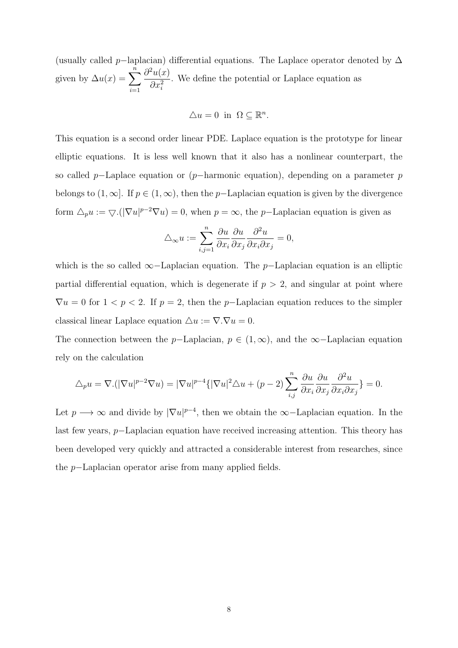(usually called p–laplacian) differential equations. The Laplace operator denoted by  $\Delta$ given by  $\Delta u(x) = \sum_{n=0}^{\infty}$  $\frac{i=1}{i}$  $\partial^2 u(x)$  $\partial x_i^2$ . We define the potential or Laplace equation as

$$
\triangle u = 0 \text{ in } \Omega \subseteq \mathbb{R}^n.
$$

This equation is a second order linear PDE. Laplace equation is the prototype for linear elliptic equations. It is less well known that it also has a nonlinear counterpart, the so called p–Laplace equation or (p–harmonic equation), depending on a parameter p belongs to  $(1, \infty]$ . If  $p \in (1, \infty)$ , then the p-Laplacian equation is given by the divergence form  $\Delta_p u := \nabla \cdot (|\nabla u|^{p-2} \nabla u) = 0$ , when  $p = \infty$ , the p-Laplacian equation is given as

$$
\triangle_{\infty} u := \sum_{i,j=1}^{n} \frac{\partial u}{\partial x_i} \frac{\partial u}{\partial x_j} \frac{\partial^2 u}{\partial x_i \partial x_j} = 0,
$$

which is the so called  $\infty$ −Laplacian equation. The p−Laplacian equation is an elliptic partial differential equation, which is degenerate if  $p > 2$ , and singular at point where  $\nabla u = 0$  for  $1 < p < 2$ . If  $p = 2$ , then the p-Laplacian equation reduces to the simpler classical linear Laplace equation  $\triangle u := \nabla \cdot \nabla u = 0.$ 

The connection between the p–Laplacian,  $p \in (1,\infty)$ , and the  $\infty$ –Laplacian equation rely on the calculation

$$
\Delta_p u = \nabla \cdot (|\nabla u|^{p-2} \nabla u) = |\nabla u|^{p-4} \{ |\nabla u|^2 \Delta u + (p-2) \sum_{i,j} \frac{\partial u}{\partial x_i} \frac{\partial u}{\partial x_j} \frac{\partial^2 u}{\partial x_i \partial x_j} \} = 0.
$$

Let  $p \longrightarrow \infty$  and divide by  $|\nabla u|^{p-4}$ , then we obtain the  $\infty$ -Laplacian equation. In the last few years, p−Laplacian equation have received increasing attention. This theory has been developed very quickly and attracted a considerable interest from researches, since the p−Laplacian operator arise from many applied fields.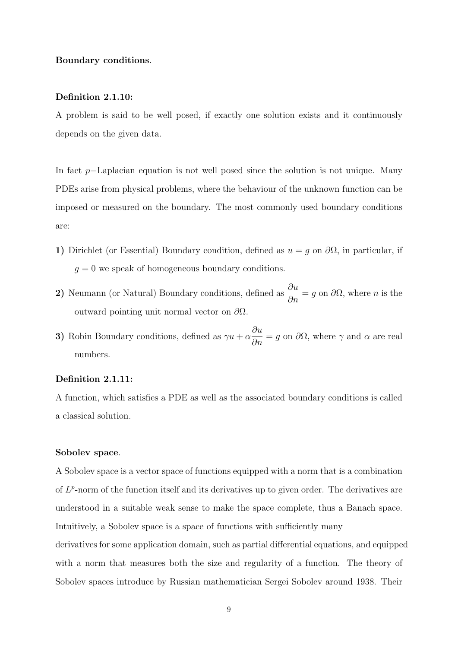#### Boundary conditions.

#### Definition 2.1.10:

A problem is said to be well posed, if exactly one solution exists and it continuously depends on the given data.

In fact p−Laplacian equation is not well posed since the solution is not unique. Many PDEs arise from physical problems, where the behaviour of the unknown function can be imposed or measured on the boundary. The most commonly used boundary conditions are:

- 1) Dirichlet (or Essential) Boundary condition, defined as  $u = g$  on  $\partial\Omega$ , in particular, if  $g = 0$  we speak of homogeneous boundary conditions.
- 2) Neumann (or Natural) Boundary conditions, defined as  $\frac{\partial u}{\partial x}$  $\frac{\partial u}{\partial n} = g$  on  $\partial \Omega$ , where *n* is the outward pointing unit normal vector on  $\partial\Omega$ .
- 3) Robin Boundary conditions, defined as  $\gamma u + \alpha$ ∂u  $\frac{\partial \alpha}{\partial n} = g$  on  $\partial \Omega$ , where  $\gamma$  and  $\alpha$  are real numbers.

#### Definition 2.1.11:

A function, which satisfies a PDE as well as the associated boundary conditions is called a classical solution.

#### Sobolev space.

A Sobolev space is a vector space of functions equipped with a norm that is a combination of  $L^p$ -norm of the function itself and its derivatives up to given order. The derivatives are understood in a suitable weak sense to make the space complete, thus a Banach space. Intuitively, a Sobolev space is a space of functions with sufficiently many derivatives for some application domain, such as partial differential equations, and equipped with a norm that measures both the size and regularity of a function. The theory of Sobolev spaces introduce by Russian mathematician Sergei Sobolev around 1938. Their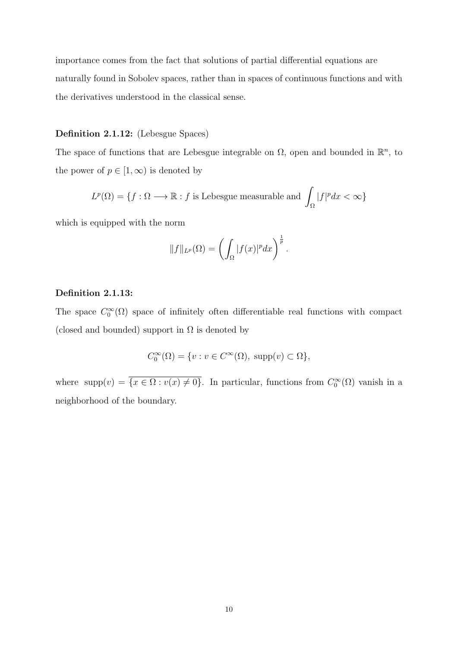importance comes from the fact that solutions of partial differential equations are naturally found in Sobolev spaces, rather than in spaces of continuous functions and with the derivatives understood in the classical sense.

#### Definition 2.1.12: (Lebesgue Spaces)

The space of functions that are Lebesgue integrable on  $\Omega$ , open and bounded in  $\mathbb{R}^n$ , to the power of  $p \in [1,\infty)$  is denoted by

$$
L^p(\Omega) = \{ f : \Omega \longrightarrow \mathbb{R} : f \text{ is Lebesgue measurable and } \int_{\Omega} |f|^p dx < \infty \}
$$

which is equipped with the norm

$$
||f||_{L^p}(\Omega) = \left(\int_{\Omega} |f(x)|^p dx\right)^{\frac{1}{p}}.
$$

#### Definition 2.1.13:

The space  $C_0^{\infty}(\Omega)$  space of infinitely often differentiable real functions with compact (closed and bounded) support in  $\Omega$  is denoted by

$$
C_0^{\infty}(\Omega) = \{ v : v \in C^{\infty}(\Omega), \text{ supp}(v) \subset \Omega \},
$$

where  $\text{supp}(v) = \overline{\{x \in \Omega : v(x) \neq 0\}}$ . In particular, functions from  $C_0^{\infty}(\Omega)$  vanish in a neighborhood of the boundary.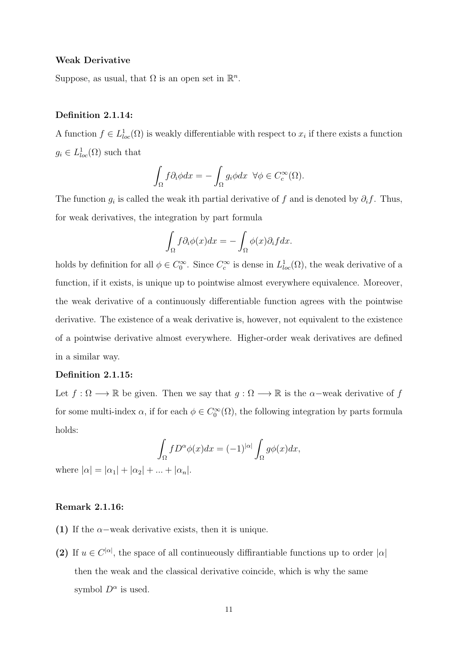#### Weak Derivative

Suppose, as usual, that  $\Omega$  is an open set in  $\mathbb{R}^n$ .

#### Definition 2.1.14:

A function  $f \in L^1_{loc}(\Omega)$  is weakly differentiable with respect to  $x_i$  if there exists a function  $g_i \in L^1_{loc}(\Omega)$  such that

$$
\int_{\Omega} f \partial_i \phi dx = - \int_{\Omega} g_i \phi dx \ \ \forall \phi \in C_c^{\infty}(\Omega).
$$

The function  $g_i$  is called the weak ith partial derivative of f and is denoted by  $\partial_i f$ . Thus, for weak derivatives, the integration by part formula

$$
\int_{\Omega} f \partial_{i} \phi(x) dx = - \int_{\Omega} \phi(x) \partial_{i} f dx.
$$

holds by definition for all  $\phi \in C_0^{\infty}$ . Since  $C_c^{\infty}$  is dense in  $L^1_{loc}(\Omega)$ , the weak derivative of a function, if it exists, is unique up to pointwise almost everywhere equivalence. Moreover, the weak derivative of a continuously differentiable function agrees with the pointwise derivative. The existence of a weak derivative is, however, not equivalent to the existence of a pointwise derivative almost everywhere. Higher-order weak derivatives are defined in a similar way.

#### Definition 2.1.15:

Let  $f : \Omega \longrightarrow \mathbb{R}$  be given. Then we say that  $g : \Omega \longrightarrow \mathbb{R}$  is the  $\alpha$ -weak derivative of f for some multi-index  $\alpha$ , if for each  $\phi \in C_0^{\infty}(\Omega)$ , the following integration by parts formula holds:

$$
\int_{\Omega} f D^{\alpha} \phi(x) dx = (-1)^{|\alpha|} \int_{\Omega} g\phi(x) dx,
$$

where  $|\alpha| = |\alpha_1| + |\alpha_2| + ... + |\alpha_n|$ .

#### Remark 2.1.16:

- (1) If the  $\alpha$ -weak derivative exists, then it is unique.
- (2) If  $u \in C^{|\alpha|}$ , the space of all continueously diffirantiable functions up to order  $|\alpha|$ then the weak and the classical derivative coincide, which is why the same symbol  $D^{\alpha}$  is used.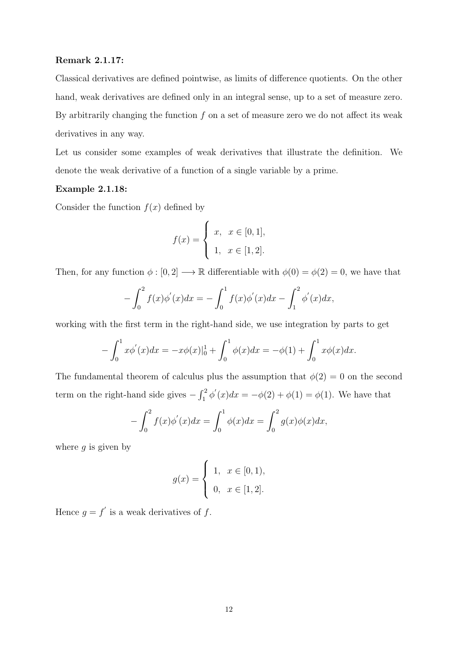#### Remark 2.1.17:

Classical derivatives are defined pointwise, as limits of difference quotients. On the other hand, weak derivatives are defined only in an integral sense, up to a set of measure zero. By arbitrarily changing the function  $f$  on a set of measure zero we do not affect its weak derivatives in any way.

Let us consider some examples of weak derivatives that illustrate the definition. We denote the weak derivative of a function of a single variable by a prime.

#### Example 2.1.18:

Consider the function  $f(x)$  defined by

$$
f(x) = \begin{cases} x, & x \in [0,1], \\ 1, & x \in [1,2]. \end{cases}
$$

Then, for any function  $\phi : [0, 2] \longrightarrow \mathbb{R}$  differentiable with  $\phi(0) = \phi(2) = 0$ , we have that

$$
- \int_0^2 f(x) \phi'(x) dx = - \int_0^1 f(x) \phi'(x) dx - \int_1^2 \phi'(x) dx,
$$

working with the first term in the right-hand side, we use integration by parts to get

$$
-\int_0^1 x\phi'(x)dx = -x\phi(x)|_0^1 + \int_0^1 \phi(x)dx = -\phi(1) + \int_0^1 x\phi(x)dx.
$$

The fundamental theorem of calculus plus the assumption that  $\phi(2) = 0$  on the second term on the right-hand side gives  $-\int_1^2 \phi'(x)dx = -\phi(2) + \phi(1) = \phi(1)$ . We have that

$$
- \int_0^2 f(x) \phi'(x) dx = \int_0^1 \phi(x) dx = \int_0^2 g(x) \phi(x) dx,
$$

where  $g$  is given by

$$
g(x) = \begin{cases} 1, & x \in [0,1), \\ 0, & x \in [1,2]. \end{cases}
$$

Hence  $g = f'$  is a weak derivatives of f.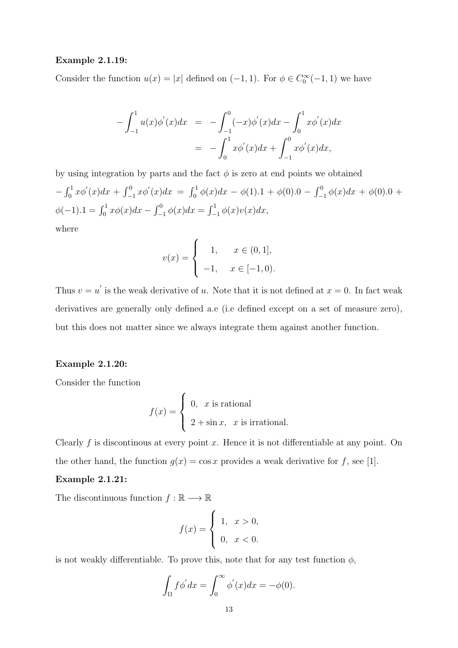#### Example 2.1.19:

Consider the function  $u(x) = |x|$  defined on  $(-1, 1)$ . For  $\phi \in C_0^{\infty}(-1, 1)$  we have

$$
-\int_{-1}^{1} u(x)\phi'(x)dx = -\int_{-1}^{0} (-x)\phi'(x)dx - \int_{0}^{1} x\phi'(x)dx
$$

$$
= -\int_{0}^{1} x\phi'(x)dx + \int_{-1}^{0} x\phi'(x)dx,
$$

by using integration by parts and the fact  $\phi$  is zero at end points we obtained  $-\int_0^1 x\phi'(x)dx + \int_{-1}^0 x\phi'(x)dx = \int_0^1 \phi(x)dx - \phi(1).1 + \phi(0).0 - \int_{-1}^0 \phi(x)dx + \phi(0).0 +$  $\phi(-1) \cdot 1 = \int_0^1 x \phi(x) dx - \int_{-1}^0 \phi(x) dx = \int_{-1}^1 \phi(x) v(x) dx,$ where

$$
v(x) = \begin{cases} 1, & x \in (0,1], \\ -1, & x \in [-1,0). \end{cases}
$$

Thus  $v = u'$  is the weak derivative of u. Note that it is not defined at  $x = 0$ . In fact weak derivatives are generally only defined a.e (i.e defined except on a set of measure zero), but this does not matter since we always integrate them against another function.

#### Example 2.1.20:

Consider the function

$$
f(x) = \begin{cases} 0, & x \text{ is rational} \\ 2 + \sin x, & x \text{ is irrational.} \end{cases}
$$

Clearly  $f$  is discontinous at every point  $x$ . Hence it is not differentiable at any point. On the other hand, the function  $g(x) = \cos x$  provides a weak derivative for f, see [1].

#### Example 2.1.21:

The discontinuous function  $f:\mathbb{R}\longrightarrow\mathbb{R}$ 

$$
f(x) = \begin{cases} 1, & x > 0, \\ 0, & x < 0. \end{cases}
$$

is not weakly differentiable. To prove this, note that for any test function  $\phi$ ,

$$
\int_{\Omega} f \phi' dx = \int_{0}^{\infty} \phi'(x) dx = -\phi(0).
$$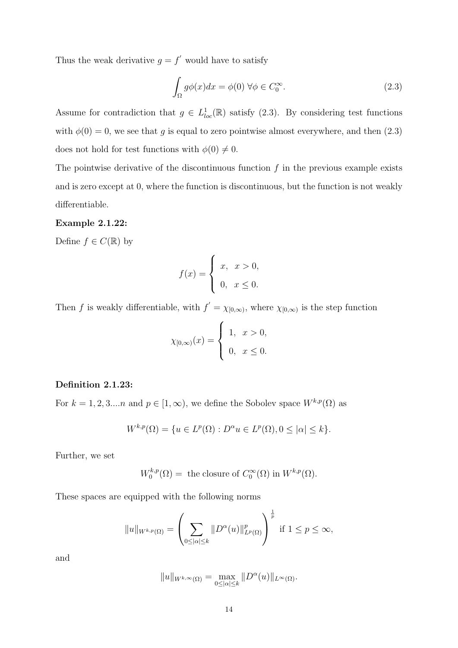Thus the weak derivative  $g = f'$  would have to satisfy

$$
\int_{\Omega} g\phi(x)dx = \phi(0) \,\forall \phi \in C_0^{\infty}.
$$
\n(2.3)

Assume for contradiction that  $g \in L^1_{loc}(\mathbb{R})$  satisfy (2.3). By considering test functions with  $\phi(0) = 0$ , we see that g is equal to zero pointwise almost everywhere, and then (2.3) does not hold for test functions with  $\phi(0) \neq 0$ .

The pointwise derivative of the discontinuous function  $f$  in the previous example exists and is zero except at 0, where the function is discontinuous, but the function is not weakly differentiable.

#### Example 2.1.22:

Define  $f \in C(\mathbb{R})$  by

$$
f(x) = \begin{cases} x, & x > 0, \\ 0, & x \le 0. \end{cases}
$$

Then f is weakly differentiable, with  $f' = \chi_{[0,\infty)}$ , where  $\chi_{[0,\infty)}$  is the step function

$$
\chi_{[0,\infty)}(x) = \begin{cases} 1, & x > 0, \\ 0, & x \le 0. \end{cases}
$$

#### Definition 2.1.23:

For  $k = 1, 2, 3...n$  and  $p \in [1, \infty)$ , we define the Sobolev space  $W^{k,p}(\Omega)$  as

$$
W^{k,p}(\Omega) = \{ u \in L^p(\Omega) : D^{\alpha}u \in L^p(\Omega), 0 \le |\alpha| \le k \}.
$$

Further, we set

$$
W_0^{k,p}(\Omega) = \text{ the closure of } C_0^{\infty}(\Omega) \text{ in } W^{k,p}(\Omega).
$$

These spaces are equipped with the following norms

$$
||u||_{W^{k,p}(\Omega)} = \left(\sum_{0 \leq |\alpha| \leq k} ||D^{\alpha}(u)||_{L^p(\Omega)}^p\right)^{\frac{1}{p}} \text{ if } 1 \leq p \leq \infty,
$$

and

$$
||u||_{W^{k,\infty}(\Omega)} = \max_{0 \leq |\alpha| \leq k} ||D^{\alpha}(u)||_{L^{\infty}(\Omega)}.
$$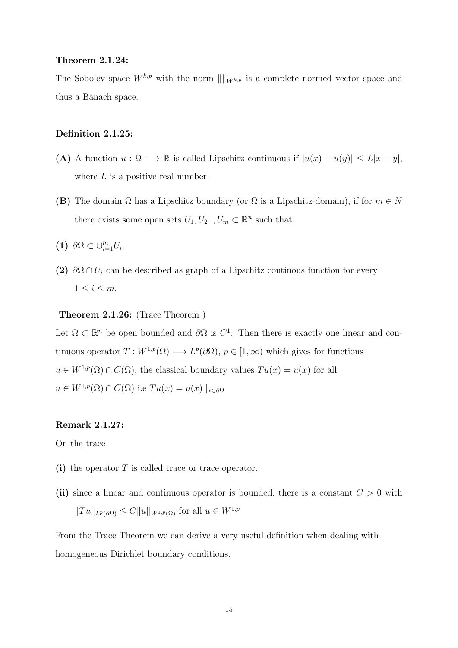#### Theorem 2.1.24:

The Sobolev space  $W^{k,p}$  with the norm  $\|\|_{W^{k,p}}$  is a complete normed vector space and thus a Banach space.

#### Definition 2.1.25:

- (A) A function  $u : \Omega \longrightarrow \mathbb{R}$  is called Lipschitz continuous if  $|u(x) u(y)| \le L|x y|$ , where  $L$  is a positive real number.
- (B) The domain  $\Omega$  has a Lipschitz boundary (or  $\Omega$  is a Lipschitz-domain), if for  $m \in N$ there exists some open sets  $U_1, U_2, \ldots, U_m \subset \mathbb{R}^n$  such that
- (1)  $\partial\Omega \subset \cup_{i=1}^m U_i$
- (2)  $\partial\Omega \cap U_i$  can be described as graph of a Lipschitz continous function for every  $1 \leq i \leq m$ .

### Theorem 2.1.26: (Trace Theorem )

Let  $\Omega \subset \mathbb{R}^n$  be open bounded and  $\partial \Omega$  is  $C^1$ . Then there is exactly one linear and continuous operator  $T: W^{1,p}(\Omega) \longrightarrow L^p(\partial\Omega)$ ,  $p \in [1,\infty)$  which gives for functions  $u \in W^{1,p}(\Omega) \cap C(\overline{\Omega})$ , the classical boundary values  $Tu(x) = u(x)$  for all  $u \in W^{1,p}(\Omega) \cap C(\overline{\Omega})$  i.e  $Tu(x) = u(x) \mid_{x \in \partial \Omega}$ 

### Remark 2.1.27:

On the trace

- (i) the operator T is called trace or trace operator.
- (ii) since a linear and continuous operator is bounded, there is a constant  $C > 0$  with  $||Tu||_{L^p(\partial\Omega)} \leq C||u||_{W^{1,p}(\Omega)}$  for all  $u \in W^{1,p}$

From the Trace Theorem we can derive a very useful definition when dealing with homogeneous Dirichlet boundary conditions.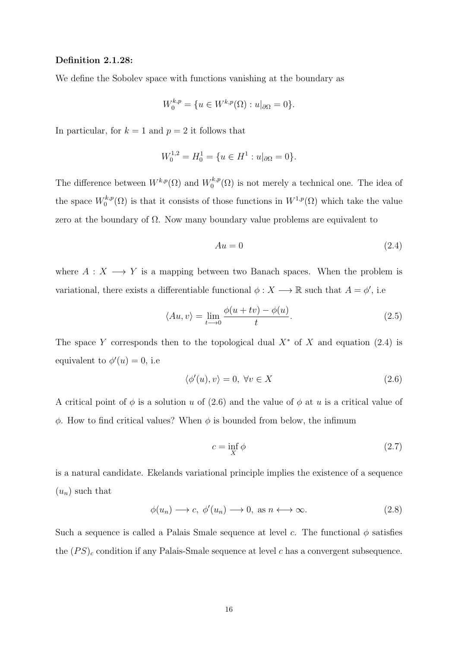#### Definition 2.1.28:

We define the Sobolev space with functions vanishing at the boundary as

$$
W_0^{k,p} = \{ u \in W^{k,p}(\Omega) : u|_{\partial \Omega} = 0 \}.
$$

In particular, for  $k = 1$  and  $p = 2$  it follows that

$$
W_0^{1,2} = H_0^1 = \{ u \in H^1 : u|_{\partial\Omega} = 0 \}.
$$

The difference between  $W^{k,p}(\Omega)$  and  $W^{k,p}_{0}$  $\binom{k,p}{0}$  is not merely a technical one. The idea of the space  $W_0^{k,p}$  $\binom{k,p}{0}$  is that it consists of those functions in  $W^{1,p}(\Omega)$  which take the value zero at the boundary of  $\Omega$ . Now many boundary value problems are equivalent to

$$
Au = 0 \tag{2.4}
$$

where  $A: X \longrightarrow Y$  is a mapping between two Banach spaces. When the problem is variational, there exists a differentiable functional  $\phi: X \longrightarrow \mathbb{R}$  such that  $A = \phi'$ , i.e.

$$
\langle Au, v \rangle = \lim_{t \to 0} \frac{\phi(u + tv) - \phi(u)}{t}.
$$
\n(2.5)

The space Y corresponds then to the topological dual  $X^*$  of X and equation (2.4) is equivalent to  $\phi'(u) = 0$ , i.e

$$
\langle \phi'(u), v \rangle = 0, \ \forall v \in X \tag{2.6}
$$

A critical point of  $\phi$  is a solution u of (2.6) and the value of  $\phi$  at u is a critical value of  $φ$ . How to find critical values? When  $φ$  is bounded from below, the infimum

$$
c = \inf_{X} \phi \tag{2.7}
$$

is a natural candidate. Ekelands variational principle implies the existence of a sequence  $(u_n)$  such that

$$
\phi(u_n) \longrightarrow c, \ \phi'(u_n) \longrightarrow 0, \text{ as } n \longleftrightarrow \infty.
$$
 (2.8)

Such a sequence is called a Palais Smale sequence at level c. The functional  $\phi$  satisfies the  $(PS)_c$  condition if any Palais-Smale sequence at level c has a convergent subsequence.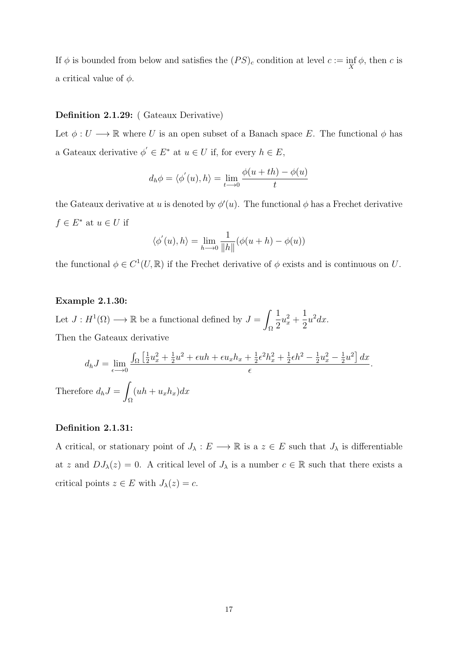If  $\phi$  is bounded from below and satisfies the  $(PS)_c$  condition at level  $c := \inf_X \phi$ , then c is a critical value of  $\phi$ .

#### Definition 2.1.29: ( Gateaux Derivative)

Let  $\phi: U \longrightarrow \mathbb{R}$  where U is an open subset of a Banach space E. The functional  $\phi$  has a Gateaux derivative  $\phi' \in E^*$  at  $u \in U$  if, for every  $h \in E$ ,

$$
d_h \phi = \langle \phi'(u), h \rangle = \lim_{t \to 0} \frac{\phi(u + th) - \phi(u)}{t}
$$

the Gateaux derivative at u is denoted by  $\phi'(u)$ . The functional  $\phi$  has a Frechet derivative  $f \in E^*$  at  $u \in U$  if

$$
\langle \phi'(u), h \rangle = \lim_{h \to 0} \frac{1}{\|h\|} (\phi(u+h) - \phi(u))
$$

the functional  $\phi \in C^1(U,\mathbb{R})$  if the Frechet derivative of  $\phi$  exists and is continuous on U.

#### Example 2.1.30:

Let  $J: H^1(\Omega) \longrightarrow \mathbb{R}$  be a functional defined by  $J = \emptyset$ Ω 1 2  $u_x^2 +$ 1 2  $u^2 dx$ . Then the Gateaux derivative

$$
d_h J = \lim_{\epsilon \to 0} \frac{\int_{\Omega} \left[ \frac{1}{2} u_x^2 + \frac{1}{2} u^2 + \epsilon u h + \epsilon u_x h_x + \frac{1}{2} \epsilon^2 h_x^2 + \frac{1}{2} \epsilon h^2 - \frac{1}{2} u_x^2 - \frac{1}{2} u^2 \right] dx}{\epsilon}.
$$
  
Therefore  $d_h J = \int_{\Omega} (uh + u_x h_x) dx$ 

#### Definition 2.1.31:

A critical, or stationary point of  $J_\lambda : E \longrightarrow \mathbb{R}$  is a  $z \in E$  such that  $J_\lambda$  is differentiable at z and  $DJ_{\lambda}(z) = 0$ . A critical level of  $J_{\lambda}$  is a number  $c \in \mathbb{R}$  such that there exists a critical points  $z \in E$  with  $J_{\lambda}(z) = c$ .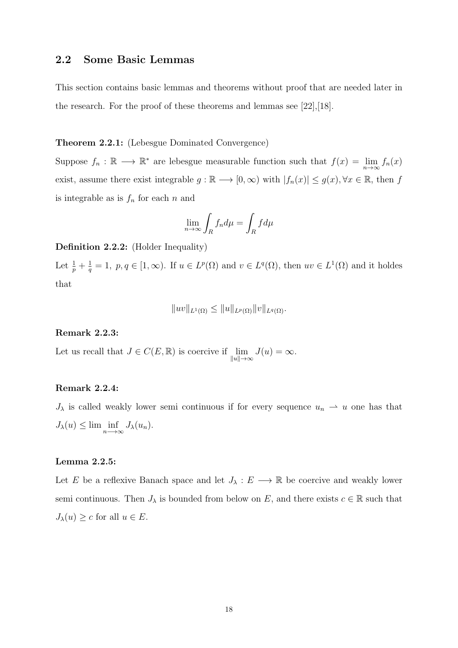### 2.2 Some Basic Lemmas

This section contains basic lemmas and theorems without proof that are needed later in the research. For the proof of these theorems and lemmas see [22],[18].

#### Theorem 2.2.1: (Lebesgue Dominated Convergence)

Suppose  $f_n : \mathbb{R} \longrightarrow \mathbb{R}^*$  are lebesgue measurable function such that  $f(x) = \lim_{n \to \infty} f_n(x)$ exist, assume there exist integrable  $g : \mathbb{R} \longrightarrow [0, \infty)$  with  $|f_n(x)| \leq g(x), \forall x \in \mathbb{R}$ , then f is integrable as is  $f_n$  for each n and

$$
\lim_{n \to \infty} \int_R f_n d\mu = \int_R f d\mu
$$

Definition 2.2.2: (Holder Inequality)

Let  $\frac{1}{p} + \frac{1}{q}$  $\frac{1}{q} = 1$ ,  $p, q \in [1, \infty)$ . If  $u \in L^p(\Omega)$  and  $v \in L^q(\Omega)$ , then  $uv \in L^1(\Omega)$  and it holdes that

$$
||uv||_{L^{1}(\Omega)} \leq ||u||_{L^{p}(\Omega)} ||v||_{L^{q}(\Omega)}.
$$

### Remark 2.2.3:

Let us recall that  $J \in C(E, \mathbb{R})$  is coercive if  $\lim_{\|u\| \to \infty} J(u) = \infty$ .

#### Remark 2.2.4:

 $J_{\lambda}$  is called weakly lower semi continuous if for every sequence  $u_n \to u$  one has that  $J_{\lambda}(u) \leq \lim \inf_{n \to \infty} J_{\lambda}(u_n).$ 

#### Lemma 2.2.5:

Let E be a reflexive Banach space and let  $J_{\lambda}: E \longrightarrow \mathbb{R}$  be coercive and weakly lower semi continuous. Then  $J_{\lambda}$  is bounded from below on E, and there exists  $c \in \mathbb{R}$  such that  $J_{\lambda}(u) \geq c$  for all  $u \in E$ .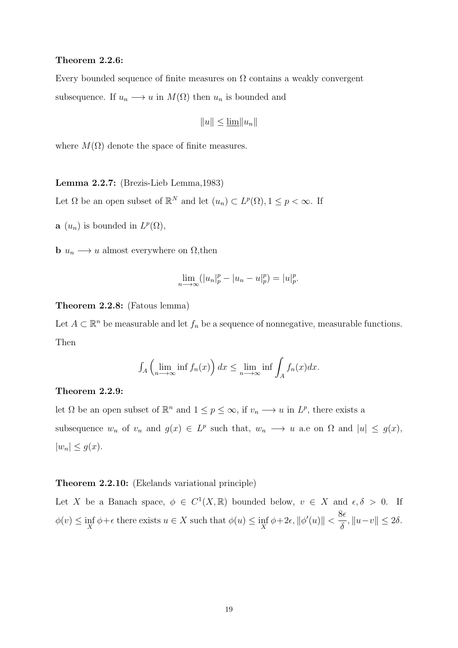#### Theorem 2.2.6:

Every bounded sequence of finite measures on  $\Omega$  contains a weakly convergent subsequence. If  $u_n \longrightarrow u$  in  $M(\Omega)$  then  $u_n$  is bounded and

$$
||u|| \le \underline{\lim} ||u_n||
$$

where  $M(\Omega)$  denote the space of finite measures.

Lemma 2.2.7: (Brezis-Lieb Lemma,1983)

Let  $\Omega$  be an open subset of  $\mathbb{R}^N$  and let  $(u_n) \subset L^p(\Omega)$ ,  $1 \leq p < \infty$ . If

**a**  $(u_n)$  is bounded in  $L^p(\Omega)$ ,

**b**  $u_n \longrightarrow u$  almost everywhere on  $\Omega$ , then

$$
\lim_{n \to \infty} (|u_n|_p^p - |u_n - u|_p^p) = |u|_p^p.
$$

#### Theorem 2.2.8: (Fatous lemma)

Let  $A \subset \mathbb{R}^n$  be measurable and let  $f_n$  be a sequence of nonnegative, measurable functions. Then

$$
\int_A \left( \lim_{n \to \infty} \inf f_n(x) \right) dx \le \lim_{n \to \infty} \inf \int_A f_n(x) dx.
$$

#### Theorem 2.2.9:

let  $\Omega$  be an open subset of  $\mathbb{R}^n$  and  $1 \leq p \leq \infty$ , if  $v_n \longrightarrow u$  in  $L^p$ , there exists a subsequence  $w_n$  of  $v_n$  and  $g(x) \in L^p$  such that,  $w_n \longrightarrow u$  a.e on  $\Omega$  and  $|u| \leq g(x)$ ,  $|w_n| \leq g(x)$ .

### Theorem 2.2.10: (Ekelands variational principle)

Let X be a Banach space,  $\phi \in C^1(X,\mathbb{R})$  bounded below,  $v \in X$  and  $\epsilon, \delta > 0$ . If  $\phi(v) \leq \inf_{X} \phi + \epsilon$  there exists  $u \in X$  such that  $\phi(u) \leq \inf_{X} \phi + 2\epsilon$ ,  $\|\phi'(u)\| < \frac{8\epsilon}{\delta}$  $\delta$  $, ||u-v|| \leq 2\delta.$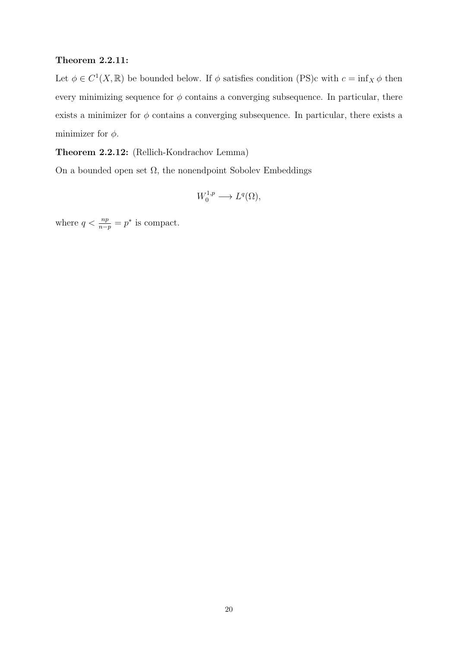### Theorem 2.2.11:

Let  $\phi \in C^1(X,\mathbb{R})$  be bounded below. If  $\phi$  satisfies condition (PS)c with  $c = \inf_X \phi$  then every minimizing sequence for  $\phi$  contains a converging subsequence. In particular, there exists a minimizer for  $\phi$  contains a converging subsequence. In particular, there exists a minimizer for  $\phi$ .

Theorem 2.2.12: (Rellich-Kondrachov Lemma)

On a bounded open set  $\Omega$ , the nonendpoint Sobolev Embeddings

$$
W_0^{1,p} \longrightarrow L^q(\Omega),
$$

where  $q < \frac{np}{n-p} = p^*$  is compact.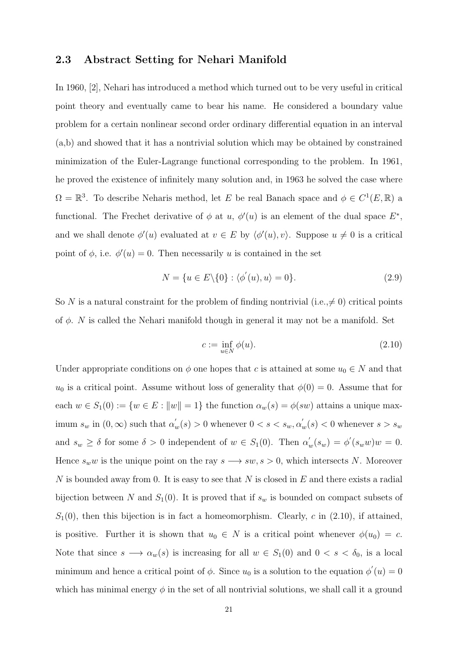### 2.3 Abstract Setting for Nehari Manifold

In 1960, [2], Nehari has introduced a method which turned out to be very useful in critical point theory and eventually came to bear his name. He considered a boundary value problem for a certain nonlinear second order ordinary differential equation in an interval (a,b) and showed that it has a nontrivial solution which may be obtained by constrained minimization of the Euler-Lagrange functional corresponding to the problem. In 1961, he proved the existence of infinitely many solution and, in 1963 he solved the case where  $\Omega = \mathbb{R}^3$ . To describe Neharis method, let E be real Banach space and  $\phi \in C^1(E, \mathbb{R})$  a functional. The Frechet derivative of  $\phi$  at u,  $\phi'(u)$  is an element of the dual space  $E^*$ , and we shall denote  $\phi'(u)$  evaluated at  $v \in E$  by  $\langle \phi'(u), v \rangle$ . Suppose  $u \neq 0$  is a critical point of  $\phi$ , i.e.  $\phi'(u) = 0$ . Then necessarily u is contained in the set

$$
N = \{u \in E \setminus \{0\} : \langle \phi'(u), u \rangle = 0\}.
$$
\n(2.9)

So N is a natural constraint for the problem of finding nontrivial (i.e.,  $\neq 0$ ) critical points of  $\phi$ . N is called the Nehari manifold though in general it may not be a manifold. Set

$$
c := \inf_{u \in N} \phi(u). \tag{2.10}
$$

Under appropriate conditions on  $\phi$  one hopes that c is attained at some  $u_0 \in N$  and that  $u_0$  is a critical point. Assume without loss of generality that  $\phi(0) = 0$ . Assume that for each  $w \in S_1(0) := \{w \in E : ||w|| = 1\}$  the function  $\alpha_w(s) = \phi(sw)$  attains a unique maximum  $s_w$  in  $(0, \infty)$  such that  $\alpha'_w(s) > 0$  whenever  $0 < s < s_w, \alpha'_w(s) < 0$  whenever  $s > s_w$ and  $s_w \geq \delta$  for some  $\delta > 0$  independent of  $w \in S_1(0)$ . Then  $\alpha'_w(s_w) = \phi'(s_w w)w = 0$ . Hence  $s_w w$  is the unique point on the ray  $s \longrightarrow sw, s > 0$ , which intersects N. Moreover N is bounded away from 0. It is easy to see that  $N$  is closed in  $E$  and there exists a radial bijection between N and  $S_1(0)$ . It is proved that if  $s_w$  is bounded on compact subsets of  $S_1(0)$ , then this bijection is in fact a homeomorphism. Clearly, c in (2.10), if attained, is positive. Further it is shown that  $u_0 \in N$  is a critical point whenever  $\phi(u_0) = c$ . Note that since  $s \longrightarrow \alpha_w(s)$  is increasing for all  $w \in S_1(0)$  and  $0 < s < \delta_0$ , is a local minimum and hence a critical point of  $\phi$ . Since  $u_0$  is a solution to the equation  $\phi'(u) = 0$ which has minimal energy  $\phi$  in the set of all nontrivial solutions, we shall call it a ground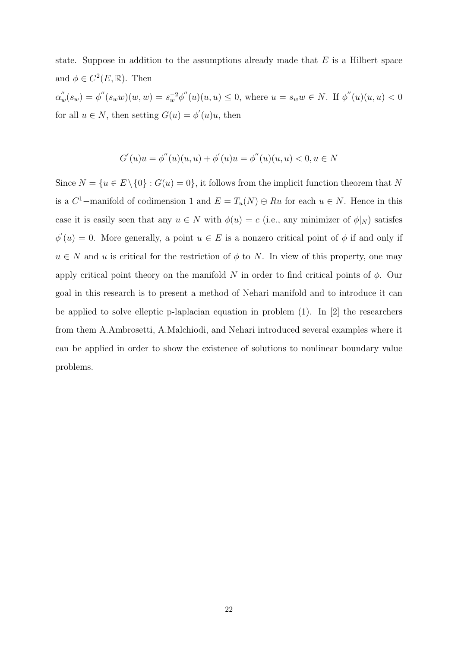state. Suppose in addition to the assumptions already made that  $E$  is a Hilbert space and  $\phi \in C^2(E, \mathbb{R})$ . Then  $\alpha_w''(s_w) = \phi''(s_w w)(w, w) = s_w^{-2} \phi''(u)(u, u) \leq 0$ , where  $u = s_w w \in N$ . If  $\phi''(u)(u, u) < 0$ for all  $u \in N$ , then setting  $G(u) = \phi'(u)u$ , then

$$
G'(u)u = \phi''(u)(u, u) + \phi'(u)u = \phi''(u)(u, u) < 0, u \in N
$$

Since  $N = {u \in E \setminus \{0\} : G(u) = 0}$ , it follows from the implicit function theorem that N is a  $C^1$ -manifold of codimension 1 and  $E = T_u(N) \oplus Ru$  for each  $u \in N$ . Hence in this case it is easily seen that any  $u \in N$  with  $\phi(u) = c$  (i.e., any minimizer of  $\phi|_N$ ) satisfes  $\phi'(u) = 0$ . More generally, a point  $u \in E$  is a nonzero critical point of  $\phi$  if and only if  $u \in N$  and u is critical for the restriction of  $\phi$  to N. In view of this property, one may apply critical point theory on the manifold N in order to find critical points of  $\phi$ . Our goal in this research is to present a method of Nehari manifold and to introduce it can be applied to solve elleptic p-laplacian equation in problem (1). In [2] the researchers from them A.Ambrosetti, A.Malchiodi, and Nehari introduced several examples where it can be applied in order to show the existence of solutions to nonlinear boundary value problems.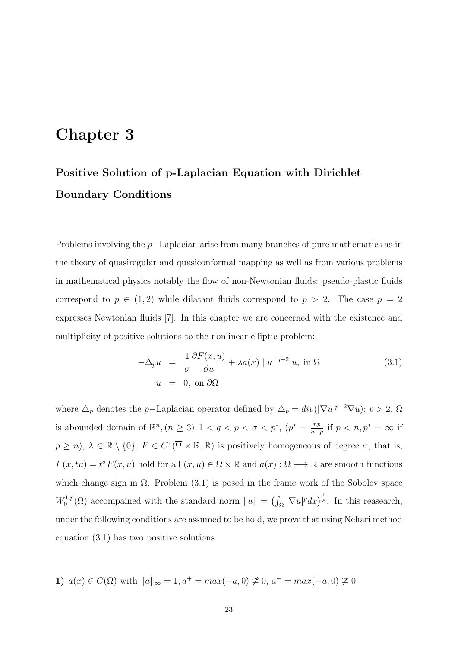# Chapter 3

# Positive Solution of p-Laplacian Equation with Dirichlet Boundary Conditions

Problems involving the p−Laplacian arise from many branches of pure mathematics as in the theory of quasiregular and quasiconformal mapping as well as from various problems in mathematical physics notably the flow of non-Newtonian fluids: pseudo-plastic fluids correspond to  $p \in (1,2)$  while dilatant fluids correspond to  $p > 2$ . The case  $p = 2$ expresses Newtonian fluids [7]. In this chapter we are concerned with the existence and multiplicity of positive solutions to the nonlinear elliptic problem:

$$
-\Delta_p u = \frac{1}{\sigma} \frac{\partial F(x, u)}{\partial u} + \lambda a(x) |u|^{q-2} u, \text{ in } \Omega
$$
  
 
$$
u = 0, \text{ on } \partial\Omega
$$
 (3.1)

where  $\Delta_p$  denotes the p–Laplacian operator defined by  $\Delta_p = div(|\nabla u|^{p-2}\nabla u)$ ;  $p > 2$ ,  $\Omega$ is abounded domain of  $\mathbb{R}^n$ ,  $(n \geq 3)$ ,  $1 < q < p < \sigma < p^*$ ,  $(p^* = \frac{np}{n-1})$  $\frac{np}{n-p}$  if  $p < n, p^* = \infty$  if  $p \geq n$ ,  $\lambda \in \mathbb{R} \setminus \{0\}$ ,  $F \in C^1(\overline{\Omega} \times \mathbb{R}, \mathbb{R})$  is positively homogeneous of degree  $\sigma$ , that is,  $F(x, tu) = t^{\sigma} F(x, u)$  hold for all  $(x, u) \in \overline{\Omega} \times \mathbb{R}$  and  $a(x) : \Omega \longrightarrow \mathbb{R}$  are smooth functions which change sign in  $\Omega$ . Problem (3.1) is posed in the frame work of the Sobolev space  $W_0^{1,p}$  $\int_0^{1,p}(\Omega)$  accompained with the standard norm  $||u|| = (\int_{\Omega} |\nabla u|^p dx)^{\frac{1}{p}}$ . In this reasearch, under the following conditions are assumed to be hold, we prove that using Nehari method equation (3.1) has two positive solutions.

1) 
$$
a(x) \in C(\Omega)
$$
 with  $||a||_{\infty} = 1$ ,  $a^+ = max(+a, 0) \ncong 0$ ,  $a^- = max(-a, 0) \ncong 0$ .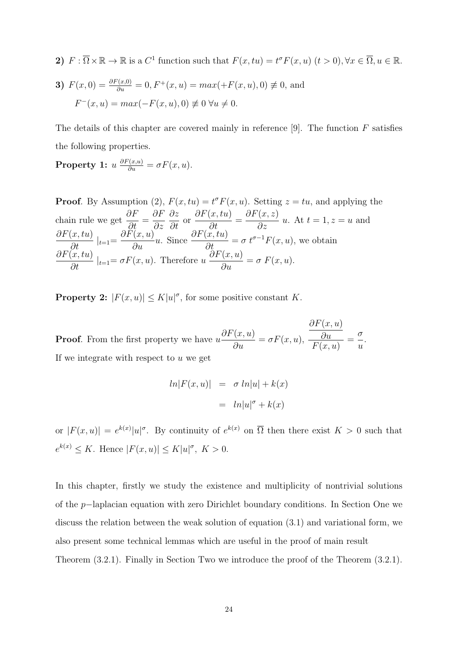2)  $F: \overline{\Omega} \times \mathbb{R} \to \mathbb{R}$  is a  $C^1$  function such that  $F(x, tu) = t^{\sigma} F(x, u)$   $(t > 0), \forall x \in \overline{\Omega}, u \in \mathbb{R}.$ 

3) 
$$
F(x, 0) = \frac{\partial F(x, 0)}{\partial u} = 0, F^+(x, u) = max(+F(x, u), 0) \neq 0
$$
, and  
 $F^-(x, u) = max(-F(x, u), 0) \neq 0 \,\forall u \neq 0.$ 

The details of this chapter are covered mainly in reference  $[9]$ . The function F satisfies the following properties.

**Property 1:**  $u \frac{\partial F(x, u)}{\partial u} = \sigma F(x, u)$ .

**Proof.** By Assumption (2),  $F(x, tu) = t^{\sigma} F(x, u)$ . Setting  $z = tu$ , and applying the chain rule we get  $\frac{\partial F}{\partial t}$  $\frac{\partial}{\partial t}$  = ∂F ∂z ∂z  $rac{\partial z}{\partial t}$  or  $\partial F(x, tu)$  $\frac{\partial}{\partial t}$  =  $\partial F(x,z)$  $\frac{\partial}{\partial z} u$ . At  $t = 1, z = u$  and  $\frac{\partial F(x, tu)}{\partial t}|_{t=1} = \frac{\partial F(x, u)}{\partial u}u$ . Since  $\frac{\partial F(x, tu)}{\partial t} = \sigma t^{\sigma-1} F(x, u)$ , we obtain  $\frac{\partial F(x, tu)}{\partial t} |_{t=1} = \sigma F(x, u)$ . Therefore  $u \frac{\partial F(x, u)}{\partial u}$  $\frac{\partial u}{\partial u} = \sigma F(x, u).$ 

**Property 2:**  $|F(x, u)| \le K|u|^{\sigma}$ , for some positive constant K.

**Proof.** From the first property we have  $u$  $\partial F(x,u)$  $\frac{\partial u}{\partial u} = \sigma F(x, u),$  $\partial F(x,u)$ ∂u  $F(x, u)$ = σ u . If we integrate with respect to  $u$  we get

$$
ln|F(x, u)| = \sigma ln|u| + k(x)
$$

$$
= ln|u|^{\sigma} + k(x)
$$

or  $|F(x, u)| = e^{k(x)} |u|^\sigma$ . By continuity of  $e^{k(x)}$  on  $\overline{\Omega}$  then there exist  $K > 0$  such that  $e^{k(x)} \leq K$ . Hence  $|F(x, u)| \leq K|u|^{\sigma}$ ,  $K > 0$ .

In this chapter, firstly we study the existence and multiplicity of nontrivial solutions of the p−laplacian equation with zero Dirichlet boundary conditions. In Section One we discuss the relation between the weak solution of equation (3.1) and variational form, we also present some technical lemmas which are useful in the proof of main result Theorem (3.2.1). Finally in Section Two we introduce the proof of the Theorem (3.2.1).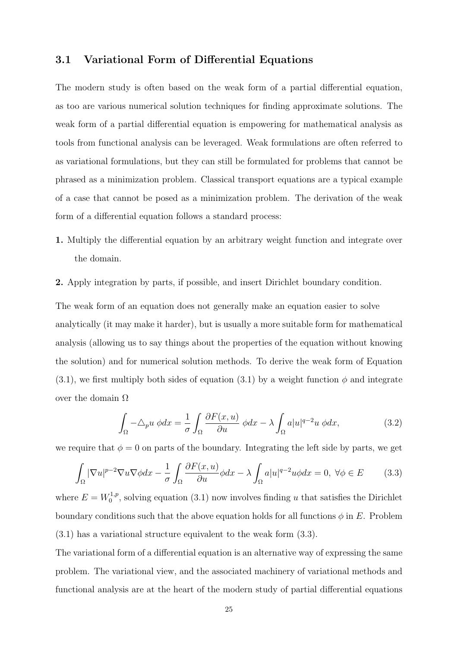### 3.1 Variational Form of Differential Equations

The modern study is often based on the weak form of a partial differential equation, as too are various numerical solution techniques for finding approximate solutions. The weak form of a partial differential equation is empowering for mathematical analysis as tools from functional analysis can be leveraged. Weak formulations are often referred to as variational formulations, but they can still be formulated for problems that cannot be phrased as a minimization problem. Classical transport equations are a typical example of a case that cannot be posed as a minimization problem. The derivation of the weak form of a differential equation follows a standard process:

- 1. Multiply the differential equation by an arbitrary weight function and integrate over the domain.
- 2. Apply integration by parts, if possible, and insert Dirichlet boundary condition.

The weak form of an equation does not generally make an equation easier to solve analytically (it may make it harder), but is usually a more suitable form for mathematical analysis (allowing us to say things about the properties of the equation without knowing the solution) and for numerical solution methods. To derive the weak form of Equation  $(3.1)$ , we first multiply both sides of equation  $(3.1)$  by a weight function  $\phi$  and integrate over the domain  $Ω$ 

$$
\int_{\Omega} -\Delta_p u \, \phi dx = \frac{1}{\sigma} \int_{\Omega} \frac{\partial F(x, u)}{\partial u} \, \phi dx - \lambda \int_{\Omega} a|u|^{q-2}u \, \phi dx,\tag{3.2}
$$

we require that  $\phi = 0$  on parts of the boundary. Integrating the left side by parts, we get

$$
\int_{\Omega} |\nabla u|^{p-2} \nabla u \nabla \phi dx - \frac{1}{\sigma} \int_{\Omega} \frac{\partial F(x, u)}{\partial u} \phi dx - \lambda \int_{\Omega} a|u|^{q-2} u \phi dx = 0, \ \forall \phi \in E \tag{3.3}
$$

where  $E = W_0^{1,p}$  $\int_0^{1,p}$ , solving equation (3.1) now involves finding u that satisfies the Dirichlet boundary conditions such that the above equation holds for all functions  $\phi$  in E. Problem (3.1) has a variational structure equivalent to the weak form (3.3).

The variational form of a differential equation is an alternative way of expressing the same problem. The variational view, and the associated machinery of variational methods and functional analysis are at the heart of the modern study of partial differential equations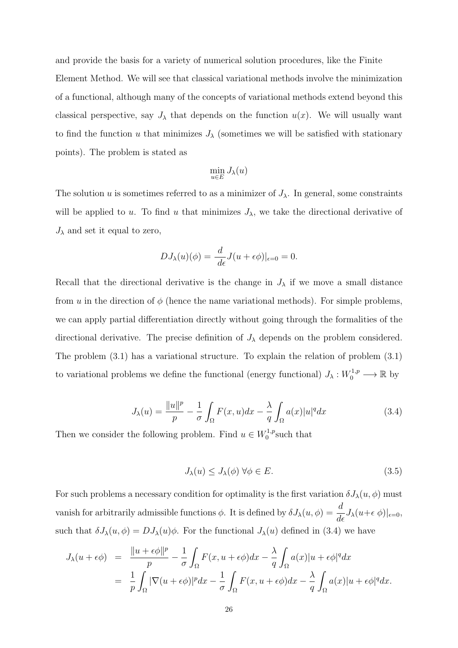and provide the basis for a variety of numerical solution procedures, like the Finite Element Method. We will see that classical variational methods involve the minimization of a functional, although many of the concepts of variational methods extend beyond this classical perspective, say  $J_{\lambda}$  that depends on the function  $u(x)$ . We will usually want to find the function u that minimizes  $J_{\lambda}$  (sometimes we will be satisfied with stationary points). The problem is stated as

$$
\min_{u \in E} J_{\lambda}(u)
$$

The solution u is sometimes referred to as a minimizer of  $J_{\lambda}$ . In general, some constraints will be applied to u. To find u that minimizes  $J_{\lambda}$ , we take the directional derivative of  $J_{\lambda}$  and set it equal to zero,

$$
DJ_{\lambda}(u)(\phi) = \frac{d}{d\epsilon}J(u+\epsilon\phi)|_{\epsilon=0} = 0.
$$

Recall that the directional derivative is the change in  $J_{\lambda}$  if we move a small distance from u in the direction of  $\phi$  (hence the name variational methods). For simple problems, we can apply partial differentiation directly without going through the formalities of the directional derivative. The precise definition of  $J_{\lambda}$  depends on the problem considered. The problem (3.1) has a variational structure. To explain the relation of problem (3.1) to variational problems we define the functional (energy functional)  $J_{\lambda}: W_0^{1,p} \longrightarrow \mathbb{R}$  by

$$
J_{\lambda}(u) = \frac{\|u\|^{p}}{p} - \frac{1}{\sigma} \int_{\Omega} F(x, u) dx - \frac{\lambda}{q} \int_{\Omega} a(x) |u|^{q} dx \qquad (3.4)
$$

Then we consider the following problem. Find  $u \in W_0^{1,p}$  $_{0}^{\prime 1,p}$ such that

$$
J_{\lambda}(u) \leq J_{\lambda}(\phi) \,\forall \phi \in E. \tag{3.5}
$$

For such problems a necessary condition for optimality is the first variation  $\delta J_{\lambda}(u, \phi)$  must vanish for arbitrarily admissible functions  $\phi$ . It is defined by  $\delta J_{\lambda}(u, \phi) = \frac{d}{d\epsilon} J_{\lambda}(u+\epsilon \phi)|_{\epsilon=0}$ , such that  $\delta J_{\lambda}(u, \phi) = D J_{\lambda}(u) \phi$ . For the functional  $J_{\lambda}(u)$  defined in (3.4) we have

$$
J_{\lambda}(u+\epsilon\phi) = \frac{\|u+\epsilon\phi\|^p}{p} - \frac{1}{\sigma} \int_{\Omega} F(x, u+\epsilon\phi) dx - \frac{\lambda}{q} \int_{\Omega} a(x) |u+\epsilon\phi|^q dx
$$
  

$$
= \frac{1}{p} \int_{\Omega} |\nabla(u+\epsilon\phi)|^p dx - \frac{1}{\sigma} \int_{\Omega} F(x, u+\epsilon\phi) dx - \frac{\lambda}{q} \int_{\Omega} a(x) |u+\epsilon\phi|^q dx.
$$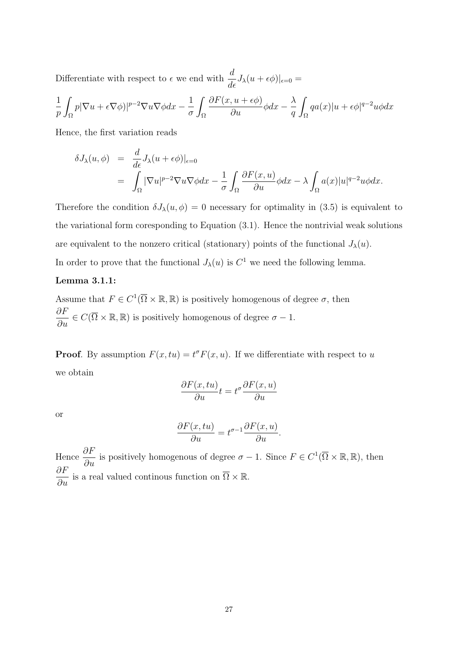Differentiate with respect to  $\epsilon$  we end with  $\frac{d}{d\epsilon}J_{\lambda}(u+\epsilon\phi)|_{\epsilon=0}=$ 

$$
\frac{1}{p}\int_{\Omega}p|\nabla u+\epsilon\nabla\phi)|^{p-2}\nabla u\nabla\phi dx-\frac{1}{\sigma}\int_{\Omega}\frac{\partial F(x,u+\epsilon\phi)}{\partial u}\phi dx-\frac{\lambda}{q}\int_{\Omega}qa(x)|u+\epsilon\phi|^{q-2}u\phi dx
$$

Hence, the first variation reads

$$
\delta J_{\lambda}(u,\phi) = \frac{d}{d\epsilon} J_{\lambda}(u+\epsilon\phi)|_{\epsilon=0}
$$
  
= 
$$
\int_{\Omega} |\nabla u|^{p-2} \nabla u \nabla \phi dx - \frac{1}{\sigma} \int_{\Omega} \frac{\partial F(x,u)}{\partial u} \phi dx - \lambda \int_{\Omega} a(x)|u|^{q-2} u \phi dx.
$$

Therefore the condition  $\delta J_{\lambda}(u, \phi) = 0$  necessary for optimality in (3.5) is equivalent to the variational form coresponding to Equation (3.1). Hence the nontrivial weak solutions are equivalent to the nonzero critical (stationary) points of the functional  $J_{\lambda}(u)$ . In order to prove that the functional  $J_{\lambda}(u)$  is  $C^1$  we need the following lemma.

#### Lemma 3.1.1:

Assume that  $F \in C^1(\overline{\Omega} \times \mathbb{R}, \mathbb{R})$  is positively homogenous of degree  $\sigma$ , then  $\frac{\partial F}{\partial u} \in C(\overline{\Omega} \times \mathbb{R}, \mathbb{R})$  is positively homogenous of degree  $\sigma - 1$ .

**Proof.** By assumption  $F(x, tu) = t^{\sigma} F(x, u)$ . If we differentiate with respect to u we obtain

$$
\frac{\partial F(x, tu)}{\partial u}t = t^{\sigma} \frac{\partial F(x, u)}{\partial u}
$$

or

$$
\frac{\partial F(x, tu)}{\partial u} = t^{\sigma - 1} \frac{\partial F(x, u)}{\partial u}.
$$

Hence  $\frac{\partial F}{\partial u}$  is positively homogenous of degree  $\sigma - 1$ . Since  $F \in C^1(\overline{\Omega} \times \mathbb{R}, \mathbb{R})$ , then  $\frac{\partial F}{\partial u}$  is a real valued continous function on  $\overline{\Omega} \times \mathbb{R}$ .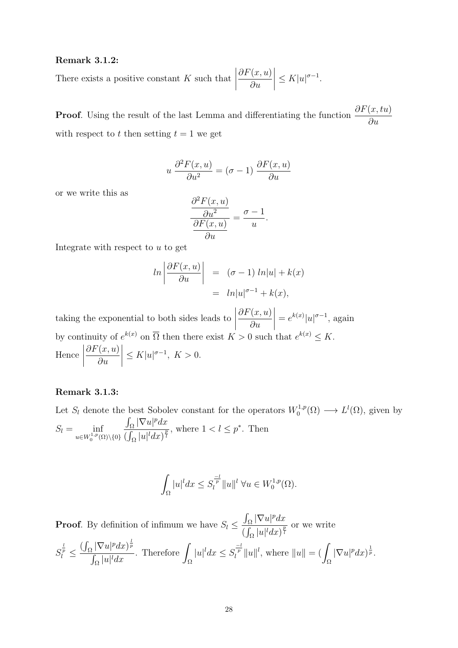#### Remark 3.1.2:

There exists a positive constant  $K$  such that  $\begin{array}{c} \begin{array}{c} \begin{array}{c} \end{array} \\ \begin{array}{c} \end{array} \end{array} \end{array}$  $\partial F(x,u)$ ∂u  $\begin{array}{c} \begin{array}{c} \begin{array}{c} \end{array} \\ \begin{array}{c} \end{array} \end{array} \end{array}$  $\leq K|u|^{\sigma-1}.$ 

**Proof.** Using the result of the last Lemma and differentiating the function  $\frac{\partial F(x, tu)}{\partial x}$ ∂u with respect to t then setting  $t = 1$  we get

$$
u \frac{\partial^2 F(x, u)}{\partial u^2} = (\sigma - 1) \frac{\partial F(x, u)}{\partial u}
$$

or we write this as

$$
\frac{\frac{\partial^2 F(x, u)}{\partial u^2}}{\frac{\partial F(x, u)}{\partial u}} = \frac{\sigma - 1}{u}.
$$

Integrate with respect to  $u$  to get

$$
ln\left|\frac{\partial F(x,u)}{\partial u}\right| = (\sigma - 1) ln|u| + k(x)
$$
  
= ln|u|<sup>\sigma-1</sup> + k(x),

taking the exponential to both sides leads to  $\begin{array}{c} \hline \end{array}$  $\vert$  $\partial F(x,u)$ ∂u  $= e^{k(x)} |u|^{\sigma-1}$ , again by continuity of  $e^{k(x)}$  on  $\overline{\Omega}$  then there exist  $K > 0$  such that  $e^{k(x)} \leq K$ . Hence  $\begin{array}{c} \begin{array}{c} \begin{array}{c} \end{array} \\ \begin{array}{c} \end{array} \end{array} \end{array}$  $\partial F(x,u)$ ∂u  $\begin{array}{c} \begin{array}{c} \begin{array}{c} \end{array} \\ \begin{array}{c} \end{array} \end{array} \end{array}$  $\leq K |u|^{\sigma-1}, K > 0.$ 

#### Remark 3.1.3:

Let  $S_l$  denote the best Sobolev constant for the operators  $W_0^{1,p}$  $L^{1,p}(\Omega) \longrightarrow L^{1}(\Omega)$ , given by  $S_l = \inf_{u \in W_0^{1,p}(\Omega) \setminus \{0\}}$  $\int_{\Omega} |\nabla u|^p dx$  $\frac{\int_{\Omega} |\mathbf{v} \, u|^{2} dx}{\left(\int_{\Omega} |u|^{l} dx\right)^{\frac{p}{l}}}$ , where  $1 < l \leq p^*$ . Then

$$
\int_{\Omega} |u|^l dx \leq S_l^{\frac{-l}{p}} \|u\|^l \ \forall u \in W_0^{1,p}(\Omega).
$$

**Proof.** By definition of infimum we have  $S_l \leq$  $\int_{\Omega} |\nabla u|^p dx$  $\frac{\int_{\Omega} |u|^l dx|^{\frac{p}{l}}}{{(\int_{\Omega} |u|^l dx)^{\frac{p}{l}}}}$  or we write  $S_l^{\frac{l}{p}} \leq$  $\left(\int_{\Omega} |\nabla u|^p dx\right)^{\frac{1}{p}}$  $\int_{\Omega} |u|^l dx$ . Therefore Ω  $|u|^l dx \leq S_l^{\frac{-l}{p}} \|u\|^l$ , where  $||u|| = ($ Ω  $|\nabla u|^p dx$ <sup> $\frac{1}{p}$ </sup>.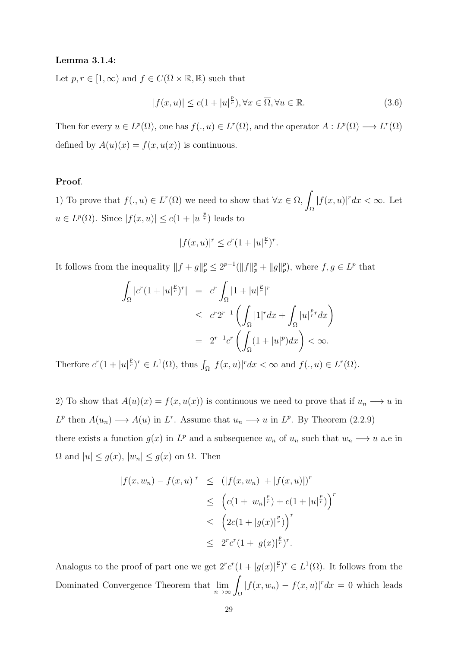## Lemma 3.1.4:

Let  $p, r \in [1, \infty)$  and  $f \in C(\overline{\Omega} \times \mathbb{R}, \mathbb{R})$  such that

$$
|f(x, u)| \le c(1 + |u|^{\frac{p}{r}}), \forall x \in \overline{\Omega}, \forall u \in \mathbb{R}.
$$
 (3.6)

Then for every  $u \in L^p(\Omega)$ , one has  $f(.,u) \in L^r(\Omega)$ , and the operator  $A: L^p(\Omega) \longrightarrow L^r(\Omega)$ defined by  $A(u)(x) = f(x, u(x))$  is continuous.

# Proof.

1) To prove that  $f(.,u) \in L^r(\Omega)$  we need to show that  $\forall x \in \Omega$ , Ω  $|f(x, u)|^r dx < \infty$ . Let  $u \in L^p(\Omega)$ . Since  $|f(x, u)| \leq c(1 + |u|^{\frac{p}{r}})$  leads to

$$
|f(x, u)|^r \le c^r (1 + |u|^{\frac{p}{r}})^r.
$$

It follows from the inequality  $||f + g||_p^p \leq 2^{p-1} (||f||_p^p + ||g||_p^p)$ , where  $f, g \in L^p$  that

$$
\int_{\Omega} |c^r (1+|u|^{\frac{p}{r}})^r| = c^r \int_{\Omega} |1+|u|^{\frac{p}{r}}|^r
$$
  
\n
$$
\leq c^r 2^{r-1} \left( \int_{\Omega} |1|^r dx + \int_{\Omega} |u|^{\frac{p}{r}} dx \right)
$$
  
\n
$$
= 2^{r-1} c^r \left( \int_{\Omega} (1+|u|^p) dx \right) < \infty.
$$

Therfore  $c^r(1+|u|^{\frac{p}{r}})^r \in L^1(\Omega)$ , thus  $\int_{\Omega} |f(x,u)|^r dx < \infty$  and  $f(.,u) \in L^r(\Omega)$ .

2) To show that  $A(u)(x) = f(x, u(x))$  is continuous we need to prove that if  $u_n \longrightarrow u$  in  $L^p$  then  $A(u_n) \longrightarrow A(u)$  in  $L^r$ . Assume that  $u_n \longrightarrow u$  in  $L^p$ . By Theorem (2.2.9) there exists a function  $g(x)$  in  $L^p$  and a subsequence  $w_n$  of  $u_n$  such that  $w_n \longrightarrow u$  a.e in  $\Omega$  and  $|u| \le g(x)$ ,  $|w_n| \le g(x)$  on  $\Omega$ . Then

$$
|f(x, w_n) - f(x, u)|^r \le (|f(x, w_n)| + |f(x, u)|)^r
$$
  
\n
$$
\le (c(1 + |w_n|^{\frac{p}{r}}) + c(1 + |u|^{\frac{p}{r}}))^r
$$
  
\n
$$
\le (2c(1 + |g(x)|^{\frac{p}{r}}))^r
$$
  
\n
$$
\le 2^r c^r (1 + |g(x)|^{\frac{p}{r}})^r.
$$

Analogus to the proof of part one we get  $2^r c^r (1+|g(x)|^{\frac{p}{r}})^r \in L^1(\Omega)$ . It follows from the Dominated Convergence Theorem that  $\lim_{n\to\infty}\int_{\Omega}$  $|f(x, w_n) - f(x, u)|^r dx = 0$  which leads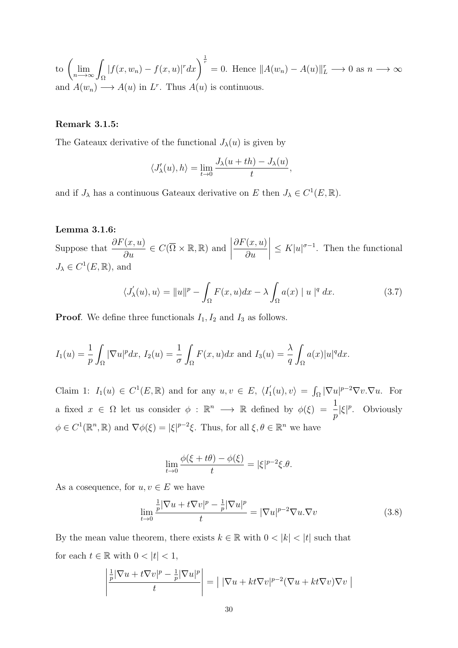to  $\left(\lim_{n\longrightarrow\infty}\int_{\Omega}$  $|f(x, w_n) - f(x, u)|^r dx$   $\Big|^{\frac{1}{r}} = 0$ . Hence  $||A(w_n) - A(u)||_L^r \longrightarrow 0$  as  $n \longrightarrow \infty$ and  $A(w_n) \longrightarrow A(u)$  in  $L^r$ . Thus  $A(u)$  is continuous.

# Remark 3.1.5:

The Gateaux derivative of the functional  $J_{\lambda}(u)$  is given by

$$
\langle J'_{\lambda}(u),h\rangle = \lim_{t \to 0} \frac{J_{\lambda}(u+th) - J_{\lambda}(u)}{t},
$$

and if  $J_{\lambda}$  has a continuous Gateaux derivative on E then  $J_{\lambda} \in C^{1}(E, \mathbb{R})$ .

### Lemma 3.1.6:

Suppose that  $\frac{\partial F(x, u)}{\partial u} \in C(\overline{\Omega} \times \mathbb{R}, \mathbb{R})$  and  $\partial F(x,u)$ ∂u  $\begin{array}{c} \begin{array}{c} \begin{array}{c} \begin{array}{c} \end{array} \\ \end{array} \end{array} \end{array}$  $\leq K|u|^{\sigma-1}$ . Then the functional  $J_{\lambda} \in C^{1}(E, \mathbb{R}),$  and

$$
\langle J'_{\lambda}(u), u \rangle = ||u||^{p} - \int_{\Omega} F(x, u) dx - \lambda \int_{\Omega} a(x) ||u||^{q} dx.
$$
 (3.7)

**Proof.** We define three functionals  $I_1$ ,  $I_2$  and  $I_3$  as follows.

$$
I_1(u) = \frac{1}{p} \int_{\Omega} |\nabla u|^p dx, I_2(u) = \frac{1}{\sigma} \int_{\Omega} F(x, u) dx \text{ and } I_3(u) = \frac{\lambda}{q} \int_{\Omega} a(x) |u|^q dx.
$$

Claim 1:  $I_1(u) \in C^1(E, \mathbb{R})$  and for any  $u, v \in E$ ,  $\langle I_1 \rangle$  $J_1'(u), v\rangle = \int_{\Omega} |\nabla u|^{p-2} \nabla v \cdot \nabla u.$  For a fixed  $x \in \Omega$  let us consider  $\phi : \mathbb{R}^n \longrightarrow \mathbb{R}$  defined by  $\phi(\xi) = \frac{1}{\xi}$ p  $|\xi|^p$ . Obviously  $\phi \in C^1(\mathbb{R}^n, \mathbb{R})$  and  $\nabla \phi(\xi) = |\xi|^{p-2}\xi$ . Thus, for all  $\xi, \theta \in \mathbb{R}^n$  we have

$$
\lim_{t \to 0} \frac{\phi(\xi + t\theta) - \phi(\xi)}{t} = |\xi|^{p-2} \xi.\theta.
$$

As a cosequence, for  $u, v \in E$  we have

$$
\lim_{t \to 0} \frac{\frac{1}{p} |\nabla u + t \nabla v|^p - \frac{1}{p} |\nabla u|^p}{t} = |\nabla u|^{p-2} \nabla u \cdot \nabla v \tag{3.8}
$$

By the mean value theorem, there exists  $k \in \mathbb{R}$  with  $0 < |k| < |t|$  such that for each  $t \in \mathbb{R}$  with  $0 < |t| < 1$ ,

$$
\left| \frac{\frac{1}{p} |\nabla u + t \nabla v|^p - \frac{1}{p} |\nabla u|^p}{t} \right| = \left| |\nabla u + kt \nabla v|^{p-2} (\nabla u + kt \nabla v) \nabla v \right|
$$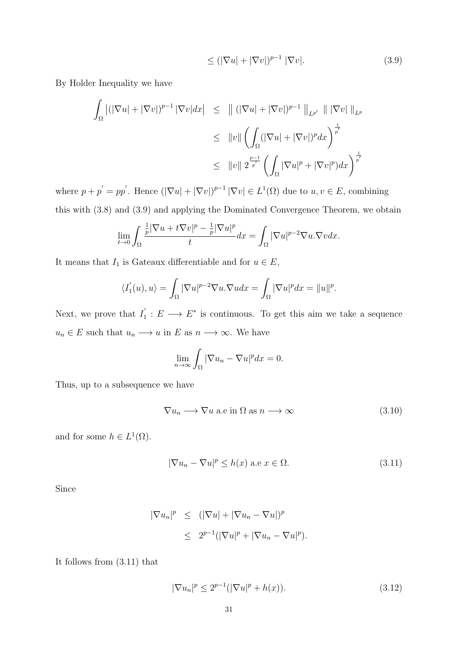$$
\leq (|\nabla u| + |\nabla v|)^{p-1} |\nabla v|. \tag{3.9}
$$

By Holder Inequality we have

$$
\int_{\Omega} |(|\nabla u| + |\nabla v|)^{p-1} |\nabla v| dx \leq ||(|\nabla u| + |\nabla v|)^{p-1} ||_{L^{p'}} || |\nabla v| ||_{L^p}
$$
\n
$$
\leq ||v|| \left( \int_{\Omega} (|\nabla u| + |\nabla v|)^p dx \right)^{\frac{1}{p'}}
$$
\n
$$
\leq ||v|| 2^{\frac{p-1}{p'}} \left( \int_{\Omega} |\nabla u|^p + |\nabla v|^p dx \right)^{\frac{1}{p'}}
$$

where  $p + p' = pp'$ . Hence  $(|\nabla u| + |\nabla v|)^{p-1} |\nabla v| \in L^1(\Omega)$  due to  $u, v \in E$ , combining this with (3.8) and (3.9) and applying the Dominated Convergence Theorem, we obtain

$$
\lim_{t \to 0} \int_{\Omega} \frac{\frac{1}{p} |\nabla u + t \nabla v|^p - \frac{1}{p} |\nabla u|^p}{t} dx = \int_{\Omega} |\nabla u|^{p-2} \nabla u \cdot \nabla v dx.
$$

It means that  $I_1$  is Gateaux differentiable and for  $u \in E$ ,

$$
\langle I_1'(u),u\rangle = \int_{\Omega} |\nabla u|^{p-2} \nabla u.\nabla u dx = \int_{\Omega} |\nabla u|^p dx = ||u||^p.
$$

Next, we prove that  $I_1'$  $i_1 : E \longrightarrow E^*$  is continuous. To get this aim we take a sequence  $u_n \in E$  such that  $u_n \longrightarrow u$  in E as  $n \longrightarrow \infty$ . We have

$$
\lim_{n \to \infty} \int_{\Omega} |\nabla u_n - \nabla u|^p dx = 0.
$$

Thus, up to a subsequence we have

$$
\nabla u_n \longrightarrow \nabla u \text{ a.e in } \Omega \text{ as } n \longrightarrow \infty \tag{3.10}
$$

and for some  $h \in L^1(\Omega)$ .

$$
|\nabla u_n - \nabla u|^p \le h(x) \text{ a.e } x \in \Omega.
$$
 (3.11)

Since

$$
\begin{array}{rcl}\n|\nabla u_n|^p & \leq & (|\nabla u| + |\nabla u_n - \nabla u|)^p \\
& \leq & 2^{p-1} (|\nabla u|^p + |\nabla u_n - \nabla u|^p).\n\end{array}
$$

It follows from (3.11) that

$$
|\nabla u_n|^p \le 2^{p-1} (|\nabla u|^p + h(x)). \tag{3.12}
$$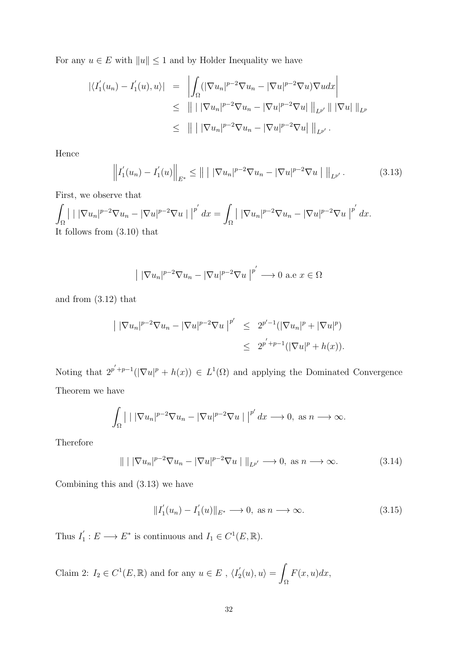For any  $u\in E$  with  $\|u\|\leq 1$  and by Holder Inequality we have

$$
\begin{array}{rcl} |\langle I_1'(u_n) - I_1'(u), u \rangle| & = & \left| \int_{\Omega} (|\nabla u_n|^{p-2} \nabla u_n - |\nabla u|^{p-2} \nabla u) \nabla u \, dx \right| \\ & \leq & \left| || |\nabla u_n|^{p-2} \nabla u_n - |\nabla u|^{p-2} \nabla u| \right| \left|_{L^{p'}} || |\nabla u| \right| \left|_{L^p} \\ & \leq & \left| || |\nabla u_n|^{p-2} \nabla u_n - |\nabla u|^{p-2} \nabla u| \right| \left|_{L^{p'}}. \end{array}
$$

Hence

$$
\left\| I_1'(u_n) - I_1'(u) \right\|_{E^*} \leq \left\| \left| |\nabla u_n|^{p-2} \nabla u_n - |\nabla u|^{p-2} \nabla u \right| \right\|_{L^{p'}}.
$$
\n(3.13)

First, we observe that

$$
\int_{\Omega} \left| \int |\nabla u_n|^{p-2} \nabla u_n - |\nabla u|^{p-2} \nabla u \right| \left|^{p'} dx = \int_{\Omega} \left| \int |\nabla u_n|^{p-2} \nabla u_n - |\nabla u|^{p-2} \nabla u \right|^{p'} dx.
$$
  
It follows from (3.10) that

$$
\| |\nabla u_n|^{p-2} \nabla u_n - |\nabla u|^{p-2} \nabla u \|^{p'} \longrightarrow 0 \text{ a.e } x \in \Omega
$$

and from (3.12) that

$$
\begin{aligned} \left| \ |\nabla u_n|^{p-2} \nabla u_n - |\nabla u|^{p-2} \nabla u \ \right|^{p'} &\leq 2^{p'-1} (|\nabla u_n|^p + |\nabla u|^p) \\ &\leq 2^{p'+p-1} (|\nabla u|^p + h(x)). \end{aligned}
$$

Noting that  $2^{p'+p-1}(|\nabla u|^p + h(x)) \in L^1(\Omega)$  and applying the Dominated Convergence Theorem we have

$$
\int_{\Omega} \left| \right| |\nabla u_n|^{p-2} \nabla u_n - |\nabla u|^{p-2} \nabla u \left| \right|^{p'} dx \longrightarrow 0, \text{ as } n \longrightarrow \infty.
$$

Therefore

$$
\| | |\nabla u_n|^{p-2} \nabla u_n - |\nabla u|^{p-2} \nabla u | \|_{L^{p'}} \longrightarrow 0, \text{ as } n \longrightarrow \infty.
$$
 (3.14)

Combining this and (3.13) we have

$$
||I'_1(u_n) - I'_1(u)||_{E^*} \longrightarrow 0, \text{ as } n \longrightarrow \infty.
$$
 (3.15)

Thus  $I_1'$  $I_1: E \longrightarrow E^*$  is continuous and  $I_1 \in C^1(E, \mathbb{R})$ .

Claim 2:  $I_2 \in C^1(E, \mathbb{R})$  and for any  $u \in E$ ,  $\langle I_2 \rangle$  $\mathcal{L}_2'(u),u\rangle =$ Ω  $F(x, u)dx,$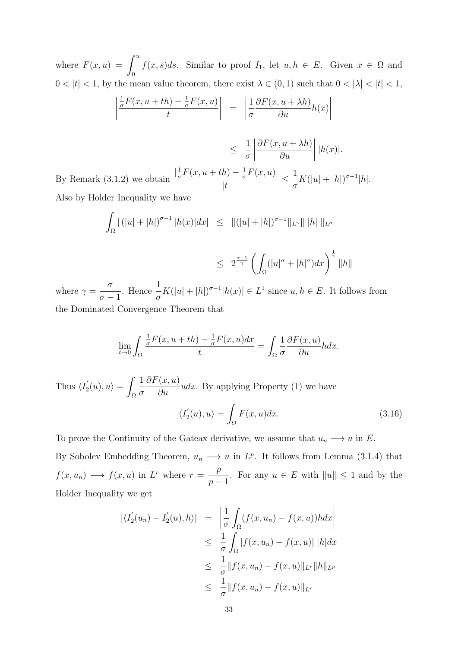where  $F(x, u) = \int^u$ 0  $f(x, s)ds$ . Similar to proof  $I_1$ , let  $u, h \in E$ . Given  $x \in \Omega$  and  $0<|t|<1,$  by the mean value theorem, there exist  $\lambda\in(0,1)$  such that  $0<|\lambda|<|t|<1,$ 

$$
\left| \frac{\frac{1}{\sigma}F(x, u+th) - \frac{1}{\sigma}F(x, u)}{t} \right| = \left| \frac{1}{\sigma} \frac{\partial F(x, u+ \lambda h)}{\partial u} h(x) \right|
$$

$$
\leq \frac{1}{\sigma} \left| \frac{\partial F(x, u + \lambda h)}{\partial u} \right| |h(x)|.
$$

By Remark (3.1.2) we obtain  $\frac{\frac{1}{\sigma}}{\sigma}$  $\frac{1}{\sigma}F(x, u+th) - \frac{1}{\sigma}$  $\frac{1}{\sigma}F(x,u)$  $|t|$  $\leq$   $\frac{1}{1}$ σ  $K(|u|+|h|)^{\sigma-1}|h|.$ Also by Holder Inequality we have

$$
\int_{\Omega} |(|u| + |h|)^{\sigma - 1} |h(x)| dx \le ||(|u| + |h|)^{\sigma - 1} ||_{L^{\gamma}} || |h| ||_{L^{\sigma}}
$$
  

$$
\le 2^{\frac{\sigma - 1}{\gamma}} \left( \int_{\Omega} (|u|^{\sigma} + |h|^{\sigma}) dx \right)^{\frac{1}{\gamma}} ||h||
$$

where  $\gamma =$ σ  $\sigma-1$ . Hence  $\frac{1}{1}$ σ  $K(|u|+|h|)^{\sigma-1}|h(x)| \in L^1$  since  $u, h \in E$ . It follows from the Dominated Convergence Theorem that

$$
\lim_{t \to 0} \int_{\Omega} \frac{\frac{1}{\sigma} F(x, u + th) - \frac{1}{\sigma} F(x, u) dx}{t} = \int_{\Omega} \frac{1}{\sigma} \frac{\partial F(x, u)}{\partial u} h dx.
$$

Thus  $\langle I'_2 \rangle$  $a'_2(u), u \rangle =$ Ω 1 σ  $\partial F(x,u)$  $\frac{\partial u}{\partial u} u dx$ . By applying Property (1) we have  $\langle I_2^{'}$  $\mathcal{L}_2'(u),u\rangle =$ Ω  $F(x, u)dx.$  (3.16)

To prove the Continuity of the Gateax derivative, we assume that  $u_n \longrightarrow u$  in E. By Sobolev Embedding Theorem,  $u_n \longrightarrow u$  in  $L^p$ . It follows from Lemma (3.1.4) that  $f(x, u_n) \longrightarrow f(x, u)$  in  $L^r$  where  $r = \frac{p}{L}$  $p-1$ . For any  $u \in E$  with  $||u|| \leq 1$  and by the Holder Inequality we get

$$
\begin{aligned} \left| \langle I_2'(u_n) - I_2'(u), h \rangle \right| &= \left| \frac{1}{\sigma} \int_{\Omega} (f(x, u_n) - f(x, u)) h \, dx \right| \\ &\leq \frac{1}{\sigma} \int_{\Omega} \left| f(x, u_n) - f(x, u) \right| \, |h| \, dx \\ &\leq \frac{1}{\sigma} \| f(x, u_n) - f(x, u) \|_{L^r} \| h \|_{L^p} \\ &\leq \frac{1}{\sigma} \| f(x, u_n) - f(x, u) \|_{L^r} \end{aligned}
$$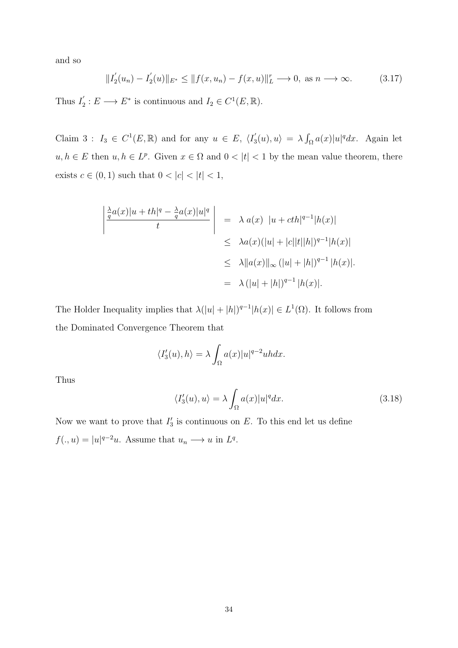and so

$$
||I_2'(u_n) - I_2'(u)||_{E^*} \le ||f(x, u_n) - f(x, u)||_L^r \to 0, \text{ as } n \to \infty.
$$
 (3.17)

Thus  $I_2'$  $Z_2$ :  $E \longrightarrow E^*$  is continuous and  $I_2 \in C^1(E, \mathbb{R})$ .

Claim 3:  $I_3 \in C^1(E, \mathbb{R})$  and for any  $u \in E$ ,  $\langle I_5$  $J_3'(u), u \rangle = \lambda \int_{\Omega} a(x)|u|^q dx$ . Again let  $u, h \in E$  then  $u, h \in L^p$ . Given  $x \in \Omega$  and  $0 < |t| < 1$  by the mean value theorem, there exists  $c \in (0, 1)$  such that  $0 < |c| < |t| < 1$ ,

$$
\begin{array}{|c|c|c|c|}\n\hline\n\frac{\lambda}{q}a(x)|u+th|^q & -\frac{\lambda}{q}a(x)|u|^q \\
\hline\nt & & \leq \lambda a(x) \ |u+ch|^{q-1}|h(x)| \\
\leq \lambda a(x)(|u|+|c||t||h|)^{q-1}|h(x)| \\
\leq \lambda \|a(x)\|_{\infty} \ (|u|+|h|)^{q-1} |h(x)| \\
\qquad = \lambda \ (|u|+|h|)^{q-1} |h(x)|.\n\end{array}
$$

The Holder Inequality implies that  $\lambda(|u|+|h|)^{q-1}|h(x)| \in L^1(\Omega)$ . It follows from the Dominated Convergence Theorem that

$$
\langle I_3'(u), h \rangle = \lambda \int_{\Omega} a(x)|u|^{q-2}u h dx.
$$

Thus

$$
\langle I_3'(u), u \rangle = \lambda \int_{\Omega} a(x)|u|^q dx. \tag{3.18}
$$

Now we want to prove that  $I'_3$  is continuous on E. To this end let us define  $f(.,u) = |u|^{q-2}u$ . Assume that  $u_n \longrightarrow u$  in  $L^q$ .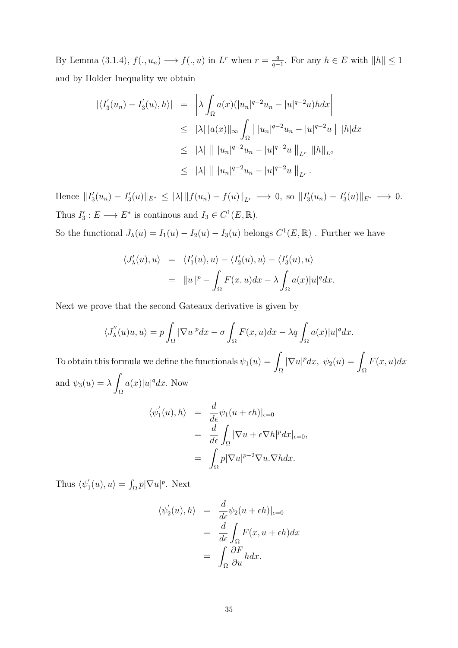By Lemma (3.1.4),  $f(.,u_n) \longrightarrow f(.,u)$  in  $L^r$  when  $r = \frac{q}{q-1}$  $\frac{q}{q-1}$ . For any  $h \in E$  with  $||h|| \leq 1$ and by Holder Inequality we obtain

$$
\begin{aligned} |\langle I_3'(u_n) - I_3'(u), h \rangle| &= \left| \lambda \int_{\Omega} a(x) (|u_n|^{q-2} u_n - |u|^{q-2} u) h dx \right| \\ &\leq \|\lambda\| \|a(x)\|_{\infty} \int_{\Omega} \left| |u_n|^{q-2} u_n - |u|^{q-2} u \right| \, |h| dx \\ &\leq \|\lambda\| \, \| |u_n|^{q-2} u_n - |u|^{q-2} u \|_{L^r} \, \|h\|_{L^q} \\ &\leq \|\lambda\| \, \| |u_n|^{q-2} u_n - |u|^{q-2} u \|_{L^r} \, . \end{aligned}
$$

Hence  $||I'_3(u_n) - I'_3(u)||_{E^*} \leq |\lambda| ||f(u_n) - f(u)||_{L^r} \longrightarrow 0$ , so  $||I'_3(u_n) - I'_3(u)||_{E^*} \longrightarrow 0$ . Thus  $I'_3: E \longrightarrow E^*$  is continous and  $I_3 \in C^1(E, \mathbb{R})$ .

So the functional  $J_{\lambda}(u) = I_1(u) - I_2(u) - I_3(u)$  belongs  $C^1(E, \mathbb{R})$ . Further we have

$$
\langle J'_{\lambda}(u), u \rangle = \langle I'_{1}(u), u \rangle - \langle I'_{2}(u), u \rangle - \langle I'_{3}(u), u \rangle
$$
  
=  $||u||^{p} - \int_{\Omega} F(x, u) dx - \lambda \int_{\Omega} a(x)|u|^{q} dx.$ 

Next we prove that the second Gateaux derivative is given by

$$
\langle J_{\lambda}^{''}(u)u, u \rangle = p \int_{\Omega} |\nabla u|^p dx - \sigma \int_{\Omega} F(x, u) dx - \lambda q \int_{\Omega} a(x)|u|^q dx.
$$

To obtain this formula we define the functionals  $\psi_1(u) = \mathcal{L}$ Ω  $|\nabla u|^p dx$ ,  $\psi_2(u) =$ Ω  $F(x, u)dx$ and  $\psi_3(u) = \lambda$ Ω  $a(x)|u|^q dx$ . Now

$$
\langle \psi_1'(u), h \rangle = \frac{d}{d\epsilon} \psi_1(u + \epsilon h)|_{\epsilon=0}
$$
  
= 
$$
\frac{d}{d\epsilon} \int_{\Omega} |\nabla u + \epsilon \nabla h|^p dx|_{\epsilon=0},
$$
  
= 
$$
\int_{\Omega} p |\nabla u|^{p-2} \nabla u \cdot \nabla h dx.
$$

Thus  $\langle \psi_1' \rangle$  $\int_1'(u),u\rangle = \int_{\Omega} p|\nabla u|^p.$  Next

$$
\langle \psi_2'(u), h \rangle = \frac{d}{d\epsilon} \psi_2(u + \epsilon h)|_{\epsilon=0}
$$
  
= 
$$
\frac{d}{d\epsilon} \int_{\Omega} F(x, u + \epsilon h) dx
$$
  
= 
$$
\int_{\Omega} \frac{\partial F}{\partial u} h dx.
$$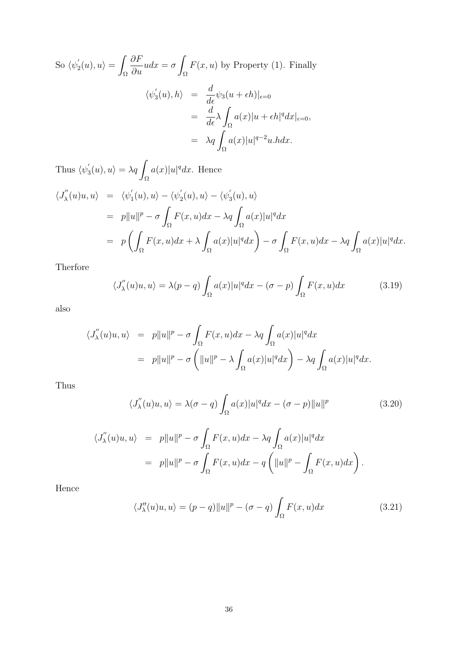So 
$$
\langle \psi_2'(u), u \rangle = \int_{\Omega} \frac{\partial F}{\partial u} u dx = \sigma \int_{\Omega} F(x, u)
$$
 by Property (1). Finally  

$$
\langle \psi_3'(u), h \rangle = \frac{d}{d\epsilon} \psi_3(u + \epsilon h)|_{\epsilon=0}
$$

$$
= \frac{d}{d\epsilon} \lambda \int_{\Omega} a(x) |u + \epsilon h|^q dx|_{\epsilon=0},
$$

$$
= \lambda q \int_{\Omega} a(x) |u|^{q-2} u. h dx.
$$

Thus  $\langle \psi \rangle$  $\chi_{3}'(u),u\rangle = \lambda q$ Ω  $a(x)|u|^q dx$ . Hence

$$
\langle J_{\lambda}^{''}(u)u, u \rangle = \langle \psi_{1}^{'}(u), u \rangle - \langle \psi_{2}^{'}(u), u \rangle - \langle \psi_{3}^{'}(u), u \rangle
$$
  
\n
$$
= p||u||^{p} - \sigma \int_{\Omega} F(x, u)dx - \lambda q \int_{\Omega} a(x)|u|^{q} dx
$$
  
\n
$$
= p\left(\int_{\Omega} F(x, u)dx + \lambda \int_{\Omega} a(x)|u|^{q} dx\right) - \sigma \int_{\Omega} F(x, u)dx - \lambda q \int_{\Omega} a(x)|u|^{q} dx.
$$

Therfore

$$
\langle J_{\lambda}^{''}(u)u, u \rangle = \lambda(p-q) \int_{\Omega} a(x)|u|^{q} dx - (\sigma - p) \int_{\Omega} F(x, u) dx \qquad (3.19)
$$

also

$$
\langle J_{\lambda}^{''}(u)u, u \rangle = p||u||^{p} - \sigma \int_{\Omega} F(x, u)dx - \lambda q \int_{\Omega} a(x)|u|^{q} dx
$$
  
=  $p||u||^{p} - \sigma \left( ||u||^{p} - \lambda \int_{\Omega} a(x)|u|^{q} dx \right) - \lambda q \int_{\Omega} a(x)|u|^{q} dx.$ 

Thus

$$
\langle J_{\lambda}^{"}(u)u, u \rangle = \lambda(\sigma - q) \int_{\Omega} a(x)|u|^{q} dx - (\sigma - p)||u||^{p}
$$
\n(3.20)

$$
\langle J'_{\lambda}(u)u, u \rangle = p||u||^{p} - \sigma \int_{\Omega} F(x, u)dx - \lambda q \int_{\Omega} a(x)|u|^{q} dx
$$
  
=  $p||u||^{p} - \sigma \int_{\Omega} F(x, u)dx - q \left( ||u||^{p} - \int_{\Omega} F(x, u)dx \right).$ 

Hence

$$
\langle J''_{\lambda}(u)u, u \rangle = (p - q) \|u\|^p - (\sigma - q) \int_{\Omega} F(x, u) dx \tag{3.21}
$$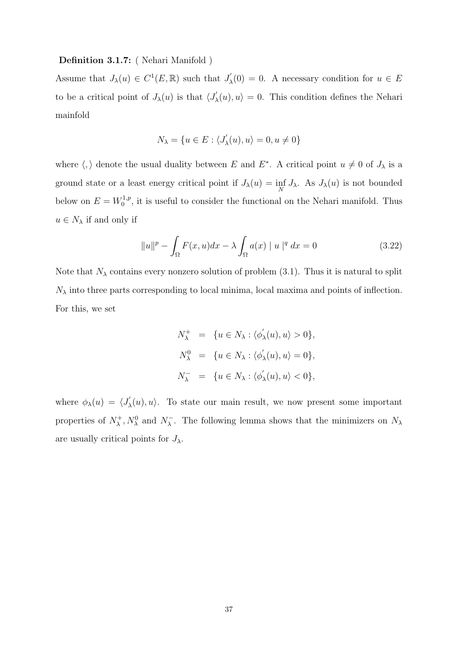# Definition 3.1.7: ( Nehari Manifold )

Assume that  $J_{\lambda}(u) \in C^{1}(E,\mathbb{R})$  such that  $J'_{\lambda}$  $\chi'_{\lambda}(0) = 0$ . A necessary condition for  $u \in E$ to be a critical point of  $J_{\lambda}(u)$  is that  $\langle J'_{\lambda} \rangle$  $\langle \chi'_\lambda(u), u \rangle = 0$ . This condition defines the Nehari mainfold

$$
N_{\lambda} = \{u \in E : \langle J'_{\lambda}(u), u \rangle = 0, u \neq 0\}
$$

where  $\langle , \rangle$  denote the usual duality between E and E<sup>\*</sup>. A critical point  $u \neq 0$  of  $J_{\lambda}$  is a ground state or a least energy critical point if  $J_{\lambda}(u) = \inf_{N} J_{\lambda}$ . As  $J_{\lambda}(u)$  is not bounded below on  $E = W_0^{1,p}$  $\int_0^{1,p}$ , it is useful to consider the functional on the Nehari manifold. Thus  $u \in N_\lambda$  if and only if

$$
\|u\|^p - \int_{\Omega} F(x, u) dx - \lambda \int_{\Omega} a(x) \|u\|^q dx = 0
$$
 (3.22)

Note that  $N_{\lambda}$  contains every nonzero solution of problem (3.1). Thus it is natural to split  $N_{\lambda}$  into three parts corresponding to local minima, local maxima and points of inflection. For this, we set

$$
\begin{array}{rcl} N^+_{\lambda} & = & \{ u \in N_{\lambda} : \langle \phi_{\lambda}^{'}(u), u \rangle > 0 \}, \\ & & \\ N^0_{\lambda} & = & \{ u \in N_{\lambda} : \langle \phi_{\lambda}^{'}(u), u \rangle = 0 \}, \\ & & \\ N^-_{\lambda} & = & \{ u \in N_{\lambda} : \langle \phi_{\lambda}^{'}(u), u \rangle < 0 \}, \end{array}
$$

where  $\phi_{\lambda}(u) = \langle J'_{\lambda} \rangle$  $\chi'_\lambda(u), u\rangle$ . To state our main result, we now present some important properties of  $N_{\lambda}^{+}$  $\chi^+$ ,  $N_\lambda^0$  and  $N_\lambda^ \lambda$ . The following lemma shows that the minimizers on  $N_{\lambda}$ are usually critical points for  $J_{\lambda}$ .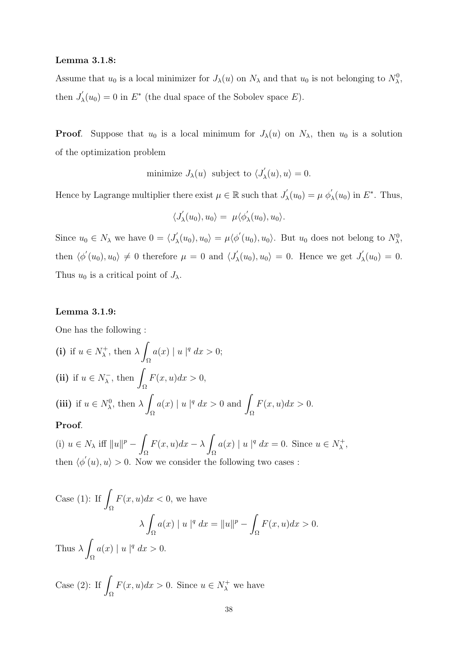### Lemma 3.1.8:

Assume that  $u_0$  is a local minimizer for  $J_\lambda(u)$  on  $N_\lambda$  and that  $u_0$  is not belonging to  $N_\lambda^0$ , then  $J'_{2}$  $\chi'_{\lambda}(u_0) = 0$  in  $E^*$  (the dual space of the Sobolev space E).

**Proof.** Suppose that  $u_0$  is a local minimum for  $J_\lambda(u)$  on  $N_\lambda$ , then  $u_0$  is a solution of the optimization problem

minimize 
$$
J_{\lambda}(u)
$$
 subject to  $\langle J'_{\lambda}(u), u \rangle = 0$ .

Hence by Lagrange multiplier there exist  $\mu \in \mathbb{R}$  such that  $J'_{\lambda}$  $\psi'_{\lambda}(u_0) = \mu \phi'_{\lambda}(u_0)$  in  $E^*$ . Thus,

$$
\langle J'_{\lambda}(u_0), u_0 \rangle = \mu \langle \phi'_{\lambda}(u_0), u_0 \rangle.
$$

Since  $u_0 \in N_\lambda$  we have  $0 = \langle J'_\lambda \rangle$  $\mu'_{\lambda}(u_0), u_0\rangle = \mu \langle \phi'(u_0), u_0\rangle$ . But  $u_0$  does not belong to  $N^0_{\lambda}$ , then  $\langle \phi'(u_0), u_0 \rangle \neq 0$  therefore  $\mu = 0$  and  $\langle J \rangle$  $\chi'_{\lambda}(u_0), u_0 \rangle = 0.$  Hence we get  $J'_{\lambda}$  $\zeta_{\lambda}(u_0) = 0.$ Thus  $u_0$  is a critical point of  $J_\lambda$ .

## Lemma 3.1.9:

One has the following :

(i) if 
$$
u \in N_{\lambda}^{+}
$$
, then  $\lambda \int_{\Omega} a(x) |u|^{q} dx > 0$ ;  
\n(ii) if  $u \in N_{\lambda}^{-}$ , then  $\int_{\Omega} F(x, u) dx > 0$ ,  
\n(iii) if  $u \in N_{\lambda}^{0}$ , then  $\lambda \int_{\Omega} a(x) |u|^{q} dx > 0$  and  $\int_{\Omega} F(x, u) dx > 0$ .

## Proof.

(i)  $u \in N_\lambda$  iff  $||u||^p -$ Ω  $F(x, u)dx - \lambda$ Ω  $a(x) | u |^q dx = 0$ . Since  $u \in N_\lambda^+$  $\lambda^+$ then  $\langle \phi'(u), u \rangle > 0$ . Now we consider the following two cases :

Case  $(1)$ : If Ω  $F(x, u)dx < 0$ , we have  $\lambda$ Ω  $a(x) | u |^q dx = ||u||^p -$ Ω  $F(x, u)dx > 0.$ Thus  $\lambda$ Ω  $a(x) | u |^{q} dx > 0.$ 

Case  $(2)$ : If Ω  $F(x, u)dx > 0$ . Since  $u \in N_\lambda^+$  we have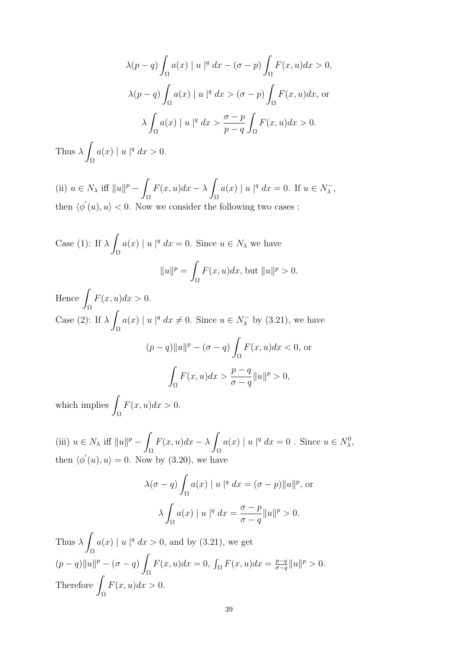$$
\lambda(p-q)\int_{\Omega}a(x)\mid u\mid^{q}dx - (\sigma - p)\int_{\Omega}F(x,u)dx > 0,
$$
  

$$
\lambda(p-q)\int_{\Omega}a(x)\mid u\mid^{q}dx > (\sigma - p)\int_{\Omega}F(x,u)dx, \text{ or}
$$
  

$$
\lambda\int_{\Omega}a(x)\mid u\mid^{q}dx > \frac{\sigma - p}{p - q}\int_{\Omega}F(x,u)dx > 0.
$$

Thus  $\lambda$ Ω  $a(x) | u |^{q} dx > 0.$ 

(ii)  $u \in N_\lambda$  iff  $||u||^p - \lambda$ Ω  $F(x, u)dx - \lambda$ Ω  $a(x) | u |^q dx = 0$ . If  $u \in N_\lambda^ \bar{\lambda}$  , then  $\langle \phi'(u), u \rangle < 0$ . Now we consider the following two cases:

Case (1): If 
$$
\lambda \int_{\Omega} a(x) |u|^q dx = 0
$$
. Since  $u \in N_{\lambda}$  we have  

$$
||u||^p = \int_{\Omega} F(x, u) dx
$$
, but  $||u||^p > 0$ .

Hence  $\int F(x, u)dx > 0$ . Ω Case (2): If  $\lambda$ Ω  $a(x) | u |^q dx \neq 0$ . Since  $u \in N_\lambda^ \lambda$  by (3.21), we have  $(p-q)$ ||u||<sup>p</sup> –  $(\sigma - q)$ Ω  $F(x, u)dx < 0$ , or Z Ω  $F(x, u)dx > \frac{p-q}{q}$  $\sigma - q$  $||u||^p > 0,$ 

which implies  $\int$ Ω  $F(x, u)dx > 0.$ 

(iii)  $u \in N_\lambda$  iff  $||u||^p - \lambda$ Ω  $F(x, u)dx - \lambda$ Ω  $a(x) | u |^q dx = 0$ . Since  $u \in N_\lambda^0$ , then  $\langle \phi'(u), u \rangle = 0$ . Now by (3.20), we have

$$
\lambda(\sigma - q) \int_{\Omega} a(x) |u|^q dx = (\sigma - p) ||u||^p, \text{ or}
$$

$$
\lambda \int_{\Omega} a(x) |u|^q dx = \frac{\sigma - p}{\sigma - q} ||u||^p > 0.
$$

Thus  $\lambda$ Ω  $a(x) | u |^q dx > 0$ , and by (3.21), we get  $(p-q)$ ||u||<sup>p</sup> –  $(\sigma - q)$ Ω  $F(x, u)dx = 0$ ,  $\int_{\Omega} F(x, u)dx = \frac{p-q}{q-q}$  $\frac{p-q}{\sigma-q} ||u||^p > 0.$ Therefore Ω  $F(x, u)dx > 0.$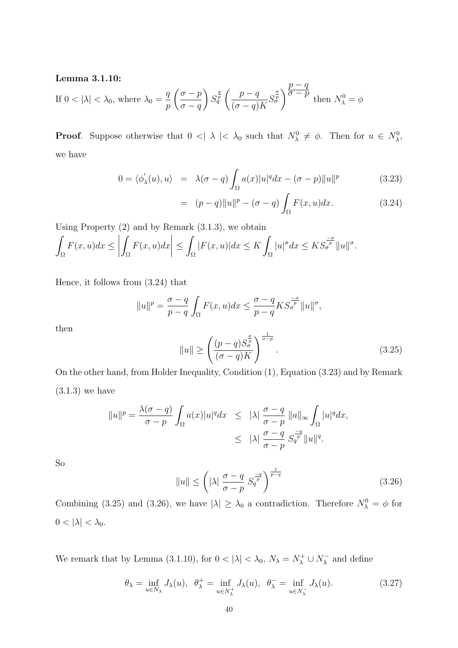### Lemma 3.1.10:

If 
$$
0 < |\lambda| < \lambda_0
$$
, where  $\lambda_0 = \frac{q}{p} \left( \frac{\sigma - p}{\sigma - q} \right) S_q^{\frac{q}{p}} \left( \frac{p - q}{(\sigma - q)K} S_q^{\frac{\sigma}{p}} \right)^{\frac{p - q}{\sigma - p}}$  then  $N_\lambda^0 = \phi$ 

**Proof.** Suppose otherwise that  $0 < |\lambda| < \lambda_0$  such that  $N_\lambda^0 \neq \phi$ . Then for  $u \in N_\lambda^0$ , we have

$$
0 = \langle \phi'_{\lambda}(u), u \rangle = \lambda(\sigma - q) \int_{\Omega} a(x) |u|^q dx - (\sigma - p) ||u||^p \qquad (3.23)
$$

$$
= (p-q)||u||^{p} - (\sigma - q) \int_{\Omega} F(x, u) dx.
$$
 (3.24)

Using Property (2) and by Remark (3.1.3), we obtain

$$
\int_{\Omega} F(x, u) dx \le \left| \int_{\Omega} F(x, u) dx \right| \le \int_{\Omega} |F(x, u)| dx \le K \int_{\Omega} |u|^{\sigma} dx \le KS_{\sigma}^{\frac{\sigma}{p}} \|u\|^{\sigma}.
$$

Hence, it follows from (3.24) that

$$
||u||^{p} = \frac{\sigma - q}{p - q} \int_{\Omega} F(x, u) dx \le \frac{\sigma - q}{p - q} K S_{\sigma}^{\frac{-\sigma}{p}} ||u||^{\sigma},
$$

then

$$
||u|| \ge \left(\frac{(p-q)S_{\sigma}^{\frac{\sigma}{p}}}{(\sigma-q)K}\right)^{\frac{1}{\sigma-p}}.
$$
\n(3.25)

On the other hand, from Holder Inequality, Condition (1), Equation (3.23) and by Remark  $(3.1.3)$  we have

$$
||u||^{p} = \frac{\lambda(\sigma - q)}{\sigma - p} \int_{\Omega} a(x)|u|^{q} dx \leq |\lambda| \frac{\sigma - q}{\sigma - p} ||a||_{\infty} \int_{\Omega} |u|^{q} dx,
$$
  

$$
\leq |\lambda| \frac{\sigma - q}{\sigma - p} S_{q}^{\frac{-q}{p}} ||u||^{q}.
$$

So

$$
||u|| \le \left(|\lambda| \frac{\sigma - q}{\sigma - p} S_q^{\frac{-q}{p}}\right)^{\frac{1}{p-q}}
$$
\n(3.26)

Combining (3.25) and (3.26), we have  $|\lambda| \geq \lambda_0$  a contradiction. Therefore  $N_\lambda^0 = \phi$  for  $0 < |\lambda| < \lambda_0$ .

We remark that by Lemma (3.1.10), for  $0 < |\lambda| < \lambda_0$ ,  $N_{\lambda} = N_{\lambda}^+ \cup N_{\lambda}^ \lambda$  and define

$$
\theta_{\lambda} = \inf_{u \in N_{\lambda}} J_{\lambda}(u), \quad \theta_{\lambda}^{+} = \inf_{u \in N_{\lambda}^{+}} J_{\lambda}(u), \quad \theta_{\lambda}^{-} = \inf_{u \in N_{\lambda}^{-}} J_{\lambda}(u). \tag{3.27}
$$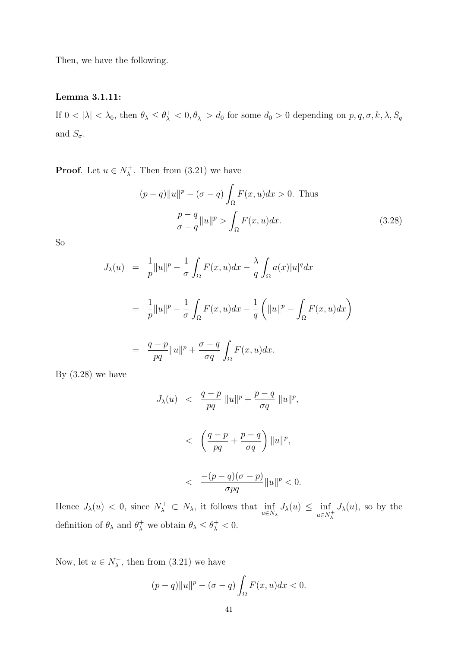Then, we have the following.

# Lemma 3.1.11:

If  $0 < |\lambda| < \lambda_0$ , then  $\theta_{\lambda} \leq \theta_{\lambda}^+ < 0$ ,  $\theta_{\lambda}^- > d_0$  for some  $d_0 > 0$  depending on  $p, q, \sigma, k, \lambda, S_q$ and  $S_{\sigma}$ .

**Proof.** Let  $u \in N_\lambda^+$  $\lambda^+$ . Then from  $(3.21)$  we have

$$
(p-q)||u||p - (\sigma - q) \int_{\Omega} F(x, u)dx > 0.
$$
 Thus  

$$
\frac{p-q}{\sigma - q} ||u||p > \int_{\Omega} F(x, u)dx.
$$
 (3.28)

So

$$
J_{\lambda}(u) = \frac{1}{p} ||u||^{p} - \frac{1}{\sigma} \int_{\Omega} F(x, u) dx - \frac{\lambda}{q} \int_{\Omega} a(x) |u|^{q} dx
$$
  

$$
= \frac{1}{p} ||u||^{p} - \frac{1}{\sigma} \int_{\Omega} F(x, u) dx - \frac{1}{q} \left( ||u||^{p} - \int_{\Omega} F(x, u) dx \right)
$$
  

$$
= \frac{q - p}{pq} ||u||^{p} + \frac{\sigma - q}{\sigma q} \int_{\Omega} F(x, u) dx.
$$

By  $(3.28)$  we have

$$
J_{\lambda}(u) < \frac{q-p}{pq} \left\|u\right\|^p + \frac{p-q}{\sigma q} \left\|u\right\|^p,
$$
\n
$$
< \left(\frac{q-p}{pq} + \frac{p-q}{\sigma q}\right) \left\|u\right\|^p,
$$
\n
$$
< \frac{-(p-q)(\sigma-p)}{\sigma pq} \left\|u\right\|^p < 0.
$$

Hence  $J_{\lambda}(u) < 0$ , since  $N_{\lambda}^+ \subset N_{\lambda}$ , it follows that  $\inf_{u \in N_{\lambda}} J_{\lambda}(u) \leq \inf_{u \in N_{\lambda}^+}$  $J_{\lambda}(u)$ , so by the definition of  $\theta_{\lambda}$  and  $\theta_{\lambda}^{+}$  we obtain  $\theta_{\lambda} \leq \theta_{\lambda}^{+} < 0$ .

Now, let  $u \in N_\lambda^ \lambda$ , then from (3.21) we have

$$
(p-q)||u||^{p} - (\sigma - q) \int_{\Omega} F(x, u) dx < 0.
$$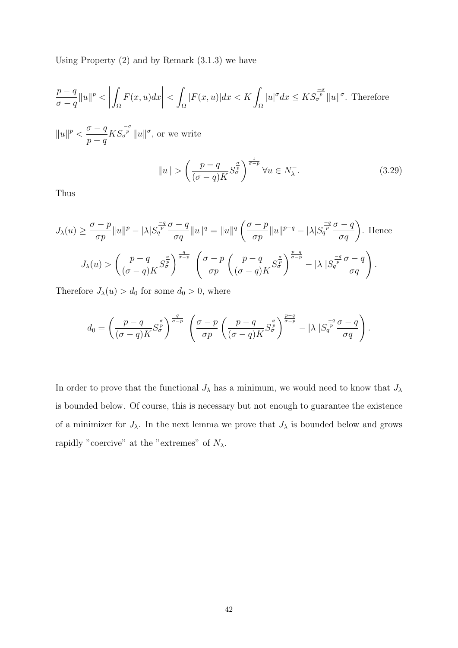Using Property (2) and by Remark (3.1.3) we have

$$
\frac{p-q}{\sigma-q}||u||^p < \left| \int_{\Omega} F(x,u)dx \right| < \int_{\Omega} |F(x,u)|dx < K \int_{\Omega} |u|^{\sigma} dx \leq K S_{\sigma}^{\frac{-\sigma}{p}} ||u||^{\sigma}.
$$
 Therefore

 $||u||^p < \frac{\sigma - q}{\sigma}$  $p - q$  $KS_{\sigma}^{\frac{-\sigma}{p}}\|u\|^{\sigma}$ , or we write

$$
||u|| > \left(\frac{p-q}{(\sigma-q)K} S_{\sigma}^{\frac{\sigma}{p}}\right)^{\frac{1}{\sigma-p}} \forall u \in N_{\lambda}^{-}.
$$
\n(3.29)

Thus

$$
J_{\lambda}(u) \geq \frac{\sigma - p}{\sigma p} \|u\|^{p} - |\lambda| S_{q}^{\frac{-q}{p}} \frac{\sigma - q}{\sigma q} \|u\|^{q} = \|u\|^{q} \left(\frac{\sigma - p}{\sigma p} \|u\|^{p-q} - |\lambda| S_{q}^{\frac{-q}{p}} \frac{\sigma - q}{\sigma q}\right). \text{ Hence}
$$

$$
J_{\lambda}(u) > \left(\frac{p - q}{(\sigma - q)K} S_{\sigma}^{\frac{\sigma}{p}}\right)^{\frac{q}{\sigma - p}} \left(\frac{\sigma - p}{\sigma p} \left(\frac{p - q}{(\sigma - q)K} S_{\sigma}^{\frac{\sigma}{p}}\right)^{\frac{p-q}{\sigma - p}} - |\lambda| S_{q}^{\frac{-q}{p}} \frac{\sigma - q}{\sigma q}\right).
$$

Therefore  $J_{\lambda}(u) > d_0$  for some  $d_0 > 0$ , where

$$
d_0 = \left(\frac{p-q}{(\sigma-q)K}S_{\sigma}^{\frac{\sigma}{p}}\right)^{\frac{q}{\sigma-p}} \left(\frac{\sigma-p}{\sigma p}\left(\frac{p-q}{(\sigma-q)K}S_{\sigma}^{\frac{\sigma}{p}}\right)^{\frac{p-q}{\sigma-p}} - |\lambda|S_{q}^{\frac{-q}{p}}\frac{\sigma-q}{\sigma q}\right).
$$

In order to prove that the functional  $J_\lambda$  has a minimum, we would need to know that  $J_\lambda$ is bounded below. Of course, this is necessary but not enough to guarantee the existence of a minimizer for  $J_{\lambda}$ . In the next lemma we prove that  $J_{\lambda}$  is bounded below and grows rapidly "coercive" at the "extremes" of  $N_\lambda.$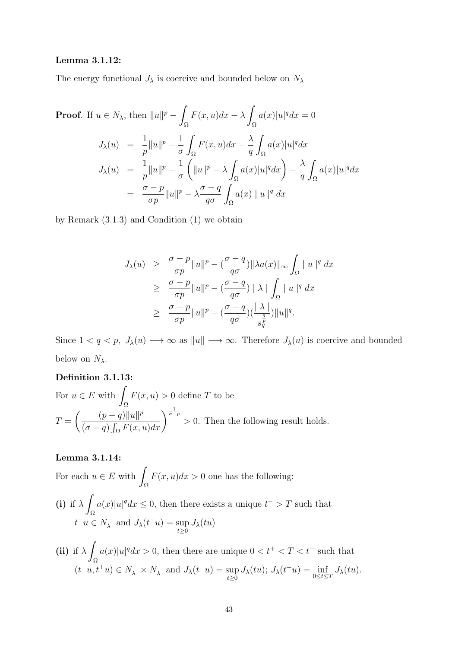## Lemma 3.1.12:

The energy functional  $J_{\lambda}$  is coercive and bounded below on  $N_{\lambda}$ 

**Proof.** If 
$$
u \in N_{\lambda}
$$
, then  $||u||^{p} - \int_{\Omega} F(x, u)dx - \lambda \int_{\Omega} a(x)|u|^{q} dx = 0$   
\n
$$
J_{\lambda}(u) = \frac{1}{p} ||u||^{p} - \frac{1}{\sigma} \int_{\Omega} F(x, u) dx - \frac{\lambda}{q} \int_{\Omega} a(x)|u|^{q} dx
$$
\n
$$
J_{\lambda}(u) = \frac{1}{p} ||u||^{p} - \frac{1}{\sigma} \left( ||u||^{p} - \lambda \int_{\Omega} a(x)|u|^{q} dx \right) - \frac{\lambda}{q} \int_{\Omega} a(x)|u|^{q} dx
$$
\n
$$
= \frac{\sigma - p}{\sigma p} ||u||^{p} - \lambda \frac{\sigma - q}{q\sigma} \int_{\Omega} a(x) ||u||^{q} dx
$$

by Remark (3.1.3) and Condition (1) we obtain

$$
J_{\lambda}(u) \geq \frac{\sigma - p}{\sigma p} \|u\|^p - \left(\frac{\sigma - q}{q\sigma}\right) \|\lambda a(x)\|_{\infty} \int_{\Omega} |u|^q dx
$$
  
\n
$$
\geq \frac{\sigma - p}{\sigma p} \|u\|^p - \left(\frac{\sigma - q}{q\sigma}\right) \|\lambda\| \int_{\Omega} |u|^q dx
$$
  
\n
$$
\geq \frac{\sigma - p}{\sigma p} \|u\|^p - \left(\frac{\sigma - q}{q\sigma}\right) \left(\frac{|\lambda|}{s_q^p}\right) \|u\|^q.
$$

Since  $1 < q < p$ ,  $J_{\lambda}(u) \longrightarrow \infty$  as  $||u|| \longrightarrow \infty$ . Therefore  $J_{\lambda}(u)$  is coercive and bounded below on  $N_{\lambda}$ .

# Definition 3.1.13:

For 
$$
u \in E
$$
 with  $\int_{\Omega} F(x, u) > 0$  define *T* to be  
\n
$$
T = \left( \frac{(p-q)\|u\|^p}{(\sigma - q) \int_{\Omega} F(x, u) dx} \right)^{\frac{1}{\sigma - p}} > 0.
$$
 Then the following result holds.

# Lemma 3.1.14:

For each  $u \in E$  with Ω  $F(x, u)dx > 0$  one has the following:

- (i) if  $\lambda$ Ω  $a(x)|u|^q dx \leq 0$ , then there exists a unique  $t^- > T$  such that  $t^-u \in N_\lambda^ \overline{\lambda}$  and  $J_{\lambda}(t^-u) = \sup$  $\sup_{t\geq 0}J_{\lambda}(tu)$
- (ii) if  $\lambda$ Ω  $a(x)|u|^q dx > 0$ , then there are unique  $0 < t<sup>+</sup> < T < t<sup>-</sup>$  such that  $(t^-u,t^+u)\in N_\lambda^-\times N_\lambda^+$  $J_{\lambda}(t^-u) = \sup$  $\sup_{t\geq 0} J_{\lambda}(tu); J_{\lambda}(t^+u) = \inf_{0\leq t\leq T} J_{\lambda}(tu).$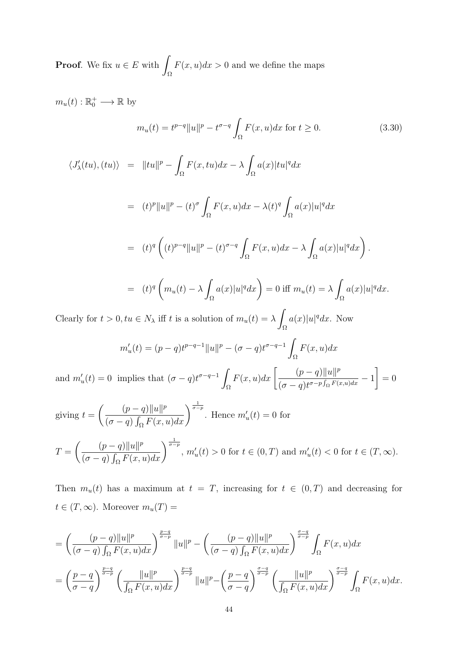**Proof.** We fix  $u \in E$  with Ω  $F(x, u)dx > 0$  and we define the maps

 $m_u(t): \mathbb{R}_0^+ \longrightarrow \mathbb{R}$  by

$$
m_u(t) = t^{p-q} ||u||^p - t^{\sigma-q} \int_{\Omega} F(x, u) dx \text{ for } t \ge 0.
$$
 (3.30)

$$
\langle J'_{\lambda}(tu), (tu) \rangle = ||tu||^{p} - \int_{\Omega} F(x, tu) dx - \lambda \int_{\Omega} a(x)|tu|^{q} dx
$$
  

$$
= (t)^{p} ||u||^{p} - (t)^{\sigma} \int_{\Omega} F(x, u) dx - \lambda(t)^{q} \int_{\Omega} a(x)|u|^{q} dx
$$
  

$$
= (t)^{q} \left( (t)^{p-q} ||u||^{p} - (t)^{\sigma-q} \int_{\Omega} F(x, u) dx - \lambda \int_{\Omega} a(x)|u|^{q} dx \right).
$$
  

$$
= (t)^{q} \left( m_{u}(t) - \lambda \int_{\Omega} a(x)|u|^{q} dx \right) = 0 \text{ iff } m_{u}(t) = \lambda \int_{\Omega} a(x)|u|^{q} dx.
$$

Clearly for  $t > 0, tu \in N_\lambda$  iff t is a solution of  $m_u(t) = \lambda$ Ω  $a(x)|u|^q dx$ . Now

$$
m'_u(t) = (p-q)t^{p-q-1}||u||^p - (\sigma - q)t^{\sigma - q - 1} \int_{\Omega} F(x, u)dx
$$

and  $m'_u(t) = 0$  implies that  $(\sigma - q)t^{\sigma - q - 1}$ Ω  $F(x, u)dx \left[ \frac{(p-q)\|u\|^p}{(p+q)\|x\|^p} \right]$  $\frac{\left(\rho-q\right)\left|\left|\frac{q}{q}\right|\right|}{(\sigma-q)t^{\sigma-p}\int_{\Omega}F(x,u)dx}-1$ 1  $= 0$ 

giving 
$$
t = \left(\frac{(p-q)\|u\|^p}{(\sigma-q)\int_{\Omega} F(x,u)dx}\right)^{\frac{1}{\sigma-p}}.
$$
 Hence  $m'_u(t) = 0$  for\n
$$
T = \left(\frac{(p-q)\|u\|^p}{(\sigma-q)\int_{\Omega} F(x,u)dx}\right)^{\frac{1}{\sigma-p}}, m'_u(t) > 0 \text{ for } t \in (0,T) \text{ and } m'_u(t) < 0 \text{ for } t \in (T,\infty).
$$

Then  $m_u(t)$  has a maximum at  $t = T$ , increasing for  $t \in (0, T)$  and decreasing for  $t \in (T, \infty)$ . Moreover  $m_u(T) =$ 

$$
= \left(\frac{(p-q)\|u\|^p}{(\sigma-q)\int_{\Omega}F(x,u)dx}\right)^{\frac{p-q}{\sigma-p}}\|u\|^p - \left(\frac{(p-q)\|u\|^p}{(\sigma-q)\int_{\Omega}F(x,u)dx}\right)^{\frac{\sigma-q}{\sigma-p}}\int_{\Omega}F(x,u)dx
$$
  

$$
= \left(\frac{p-q}{\sigma-q}\right)^{\frac{p-q}{\sigma-p}}\left(\frac{\|u\|^p}{\int_{\Omega}F(x,u)dx}\right)^{\frac{p-q}{\sigma-p}}\|u\|^p - \left(\frac{p-q}{\sigma-q}\right)^{\frac{\sigma-q}{\sigma-p}}\left(\frac{\|u\|^p}{\int_{\Omega}F(x,u)dx}\right)^{\frac{\sigma-q}{\sigma-p}}\int_{\Omega}F(x,u)dx.
$$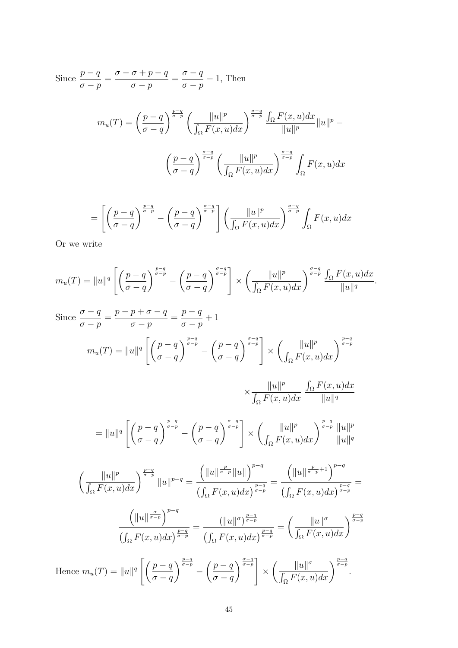Since  $\frac{p-q}{q}$  $\sigma - p$ =  $\sigma - \sigma + p - q$  $\sigma - p$ =  $\sigma - q$  $\sigma - p$  $-1$ , Then  $m_u(T) = \left(\frac{p-q}{\sigma}\right)$  $\sigma - q$  $\sum_{\sigma-p}^{\frac{p-q}{\sigma-p}}$   $\int$   $||u||^p$  $\frac{\|u\|^p}{\int_{\Omega} F(x, u) dx}$   $\int_0^{\frac{\sigma - q}{\sigma - p}} \frac{\int_{\Omega} F(x, u) dx}{\|u\|^p}$  $\frac{u(x, u)dx}{\|u\|^p} \|u\|^p \int p - q$  $\sigma - q$  $\sum_{\sigma-p}^{\sigma-q}$   $\int$   $||u||^p$  $\frac{\|u\|^p}{\int_{\Omega} F(x, u) dx}$  $\int_0^{\frac{\sigma - q}{\sigma - p}}$ Ω  $F(x, u)dx$ 

$$
= \left[ \left( \frac{p-q}{\sigma-q} \right)^{\frac{p-q}{\sigma-p}} - \left( \frac{p-q}{\sigma-q} \right)^{\frac{\sigma-q}{\sigma-p}} \right] \left( \frac{||u||^p}{\int_{\Omega} F(x,u) dx} \right)^{\frac{\sigma-q}{\sigma-p}} \int_{\Omega} F(x,u) dx
$$

Or we write

$$
m_u(T) = ||u||^q \left[ \left( \frac{p-q}{\sigma-q} \right)^{\frac{p-q}{\sigma-p}} - \left( \frac{p-q}{\sigma-q} \right)^{\frac{\sigma-q}{\sigma-p}} \right] \times \left( \frac{||u||^p}{\int_{\Omega} F(x,u) dx} \right)^{\frac{\sigma-q}{\sigma-p}} \frac{\int_{\Omega} F(x,u) dx}{||u||^q}.
$$

Since 
$$
\frac{\sigma - q}{\sigma - p} = \frac{p - p + \sigma - q}{\sigma - p} = \frac{p - q}{\sigma - p} + 1
$$
  
\n
$$
m_u(T) = ||u||^q \left[ \left( \frac{p - q}{\sigma - q} \right)^{\frac{p - q}{\sigma - p}} - \left( \frac{p - q}{\sigma - q} \right)^{\frac{\sigma - q}{\sigma - p}} \right] \times \left( \frac{||u||^p}{\int_{\Omega} F(x, u) dx} \right)^{\frac{p - q}{\sigma - p}}
$$
  
\n
$$
\times \frac{||u||^p}{\int_{\Omega} F(x, u) dx} \frac{\int_{\Omega} F(x, u) dx}{||u||^q}
$$
  
\n
$$
= ||u||^q \left[ \left( \frac{p - q}{\sigma - q} \right)^{\frac{p - q}{\sigma - p}} - \left( \frac{p - q}{\sigma - q} \right)^{\frac{\sigma - q}{\sigma - p}} \right] \times \left( \frac{||u||^p}{\int_{\Omega} F(x, u) dx} \right)^{\frac{p - q}{\sigma - p}} \frac{||u||^p}{||u||^q}
$$
  
\n
$$
\left( \frac{||u||^p}{\int_{\Omega} F(x, u) dx} \right)^{\frac{p - q}{\sigma - p}} ||u||^{p - q} = \frac{(||u||^{\frac{p}{\sigma - p}} ||u||)^{p - q}}{(\int_{\Omega} F(x, u) dx)^{\frac{p - q}{\sigma - p}}} = \frac{(||u||^{\frac{p}{\sigma - p} + 1})^{p - q}}{(\int_{\Omega} F(x, u) dx)^{\frac{p - q}{\sigma - p}}} = \frac{(||u||^{\sigma})^{\frac{p - q}{\sigma - p}}}{(\int_{\Omega} F(x, u) dx)^{\frac{p - q}{\sigma - p}}} = \left( \frac{||u||^{\sigma}}{\int_{\Omega} F(x, u) dx} \right)^{\frac{p - q}{\sigma - p}}
$$
  
\nHence  $m_u(T) = ||u||^q \left[ \left( \frac{p - q}{\sigma - q} \right)^{\frac{p - q}{\sigma - p}} - \left( \frac{p - q}{\sigma - q} \right)^{\frac{\sigma - q}{\sigma - p}} \right] \times \left( \frac{||u||^{\sigma}}{\int_{\Omega} F(x, u) dx} \right)^{\frac{p - q}{\sigma -$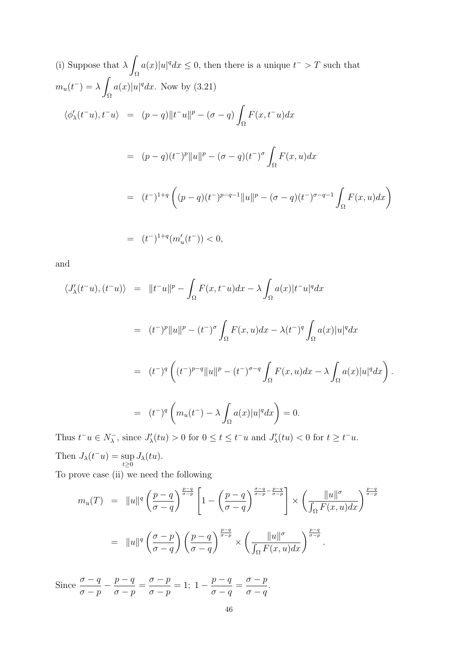(i) Suppose that 
$$
\lambda \int_{\Omega} a(x)|u|^q dx \leq 0
$$
, then there is a unique  $t^- > T$  such that  
\n
$$
m_u(t^-) = \lambda \int_{\Omega} a(x)|u|^q dx.
$$
 Now by (3.21)  
\n
$$
\langle \phi'_{\lambda}(t^-u), t^-u \rangle = (p-q) \|t^-u\|^p - (\sigma - q) \int_{\Omega} F(x, t^-u) dx
$$
  
\n
$$
= (p-q)(t^-)^p \|u\|^p - (\sigma - q)(t^-)^{\sigma} \int_{\Omega} F(x, u) dx
$$
  
\n
$$
= (t^-)^{1+q} \left( (p-q)(t^-)^{p-q-1} \|u\|^p - (\sigma - q)(t^-)^{\sigma-q-1} \int_{\Omega} F(x, u) dx \right)
$$
  
\n
$$
= (t^-)^{1+q} (m'_u(t^-)) < 0,
$$

and

$$
\langle J'_{\lambda}(t^-u), (t^-u) \rangle = ||t^-u||^p - \int_{\Omega} F(x, t^-u) dx - \lambda \int_{\Omega} a(x)|t^-u|^q dx
$$
  
\n
$$
= (t^-)^p ||u||^p - (t^-)^{\sigma} \int_{\Omega} F(x, u) dx - \lambda (t^-)^q \int_{\Omega} a(x)|u|^q dx
$$
  
\n
$$
= (t^-)^q \left( (t^-)^{p-q} ||u||^p - (t^-)^{\sigma-q} \int_{\Omega} F(x, u) dx - \lambda \int_{\Omega} a(x)|u|^q dx \right).
$$
  
\n
$$
= (t^-)^q \left( m_u(t^-) - \lambda \int_{\Omega} a(x)|u|^q dx \right) = 0.
$$
  
\nThus  $t^-u \in N^-$  since  $I'(tu) > 0$  for  $0 \le t \le t^-u$  and  $I'(tu) < 0$  for  $t > t^-u$ 

Thus  $t^-u \in N_\lambda^ J'_{\lambda}$ , since  $J'_{\lambda}(tu) > 0$  for  $0 \le t \le t^- u$  and  $J'_{\lambda}(tu) < 0$  for  $t \ge t^- u$ . Then  $J_{\lambda}(t^{-}u) = \sup$  $\sup_{t\geq 0} J_{\lambda}(tu).$ 

To prove case (ii) we need the following

$$
m_u(T) = \|u\|^q \left(\frac{p-q}{\sigma-q}\right)^{\frac{p-q}{\sigma-p}} \left[1 - \left(\frac{p-q}{\sigma-q}\right)^{\frac{\sigma-q}{\sigma-p} - \frac{p-q}{\sigma-p}}\right] \times \left(\frac{\|u\|^\sigma}{\int_{\Omega} F(x,u)dx}\right)^{\frac{p-q}{\sigma-p}}
$$
  

$$
= \|u\|^q \left(\frac{\sigma-p}{\sigma-q}\right) \left(\frac{p-q}{\sigma-q}\right)^{\frac{p-q}{\sigma-p}} \times \left(\frac{\|u\|^\sigma}{\int_{\Omega} F(x,u)dx}\right)^{\frac{p-q}{\sigma-p}}.
$$

Since  $\frac{\sigma - q}{\sigma - q}$  $\sigma - p$  $-\frac{p-q}{q}$  $\sigma - p$ =  $\sigma - p$  $\sigma - p$  $= 1; 1$  $p - q$  $\sigma - q$ =  $\sigma - p$  $\sigma - q$ .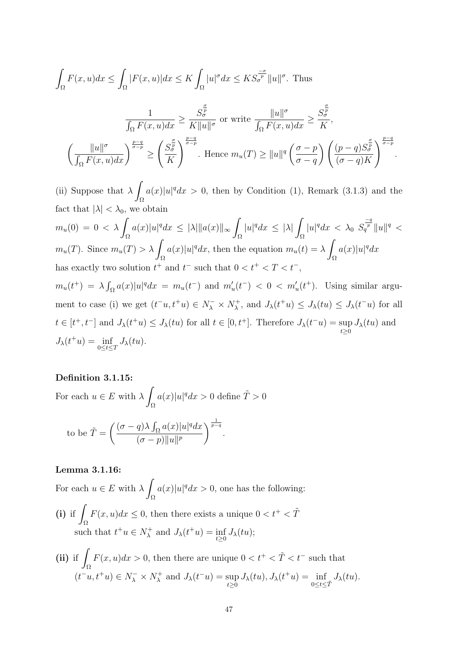$$
\int_{\Omega} F(x, u) dx \leq \int_{\Omega} |F(x, u)| dx \leq K \int_{\Omega} |u|^{\sigma} dx \leq KS_{\sigma}^{\frac{\sigma}{p}} \|u\|^{\sigma}.
$$
 Thus  

$$
\frac{1}{\int_{\Omega} F(x, u) dx} \geq \frac{S_{\sigma}^{\frac{\sigma}{p}}}{K \|u\|^{\sigma}} \text{ or write } \frac{\|u\|^{\sigma}}{\int_{\Omega} F(x, u) dx} \geq \frac{S_{\sigma}^{\frac{\sigma}{p}}}{K},
$$

$$
\left(\frac{\|u\|^{\sigma}}{\int_{\Omega} F(x, u) dx}\right)^{\frac{p-q}{\sigma-p}} \geq \left(\frac{S_{\sigma}^{\frac{\sigma}{p}}}{K}\right)^{\frac{p-q}{\sigma-p}}.
$$
 Hence  $m_u(T) \geq \|u\|^q \left(\frac{\sigma - p}{\sigma - q}\right) \left(\frac{(p - q)S_{\sigma}^{\frac{\sigma}{p}}}{(\sigma - q)K}\right)^{\frac{p-q}{\sigma-p}}.$ 

(ii) Suppose that  $\lambda$ Ω  $a(x)|u|^q dx > 0$ , then by Condition (1), Remark (3.1.3) and the fact that  $|\lambda| < \lambda_0$ , we obtain

 $m_u(0) = 0 < \lambda$ Ω  $a(x)|u|^q dx \leq |\lambda| ||a(x)||_{\infty}$ Ω  $|u|^q dx \leq |\lambda|$ Ω  $|u|^q dx \, < \, \lambda_0 \, \, S_q^{\frac{-q}{p}} \|u\|^q \, < \,$  $m_u(T)$ . Since  $m_u(T) > \lambda$ Ω  $a(x)|u|^q dx$ , then the equation  $m_u(t) = \lambda$ Ω  $a(x)|u|^q dx$ has exactly two solution  $t^+$  and  $t^-$  such that  $0 < t^+ < T < t^-$ ,

 $m_u(t^+) = \lambda \int_{\Omega} a(x)|u|^q dx = m_u(t^-)$  and  $m'_u(t^-) < 0 < m'_u(t^+)$ . Using similar argument to case (i) we get  $(t^-u, t^+u) \in N^-_\lambda \times N^+_\lambda$  $J_{\lambda}(t^+u) \leq J_{\lambda}(tu) \leq J_{\lambda}(t^-u)$  for all  $t \in [t^+, t^-]$  and  $J_\lambda(t^+u) \leq J_\lambda(tu)$  for all  $t \in [0, t^+]$ . Therefore  $J_\lambda(t^-u) = \sup$  $\sup_{t\geq 0} J_{\lambda}(tu)$  and  $J_{\lambda}(t^+u) = \inf_{0 \leq t \leq T} J_{\lambda}(tu).$ 

# Definition 3.1.15:

For each  $u \in E$  with  $\lambda$ Ω  $a(x)|u|^q dx > 0$  define  $\tilde{T} > 0$ 

to be 
$$
\tilde{T} = \left(\frac{(\sigma - q)\lambda \int_{\Omega} a(x)|u|^q dx}{(\sigma - p)\|u\|^p}\right)^{\frac{1}{p-q}}
$$
.

### Lemma 3.1.16:

For each  $u \in E$  with  $\lambda$ Ω  $a(x)|u|^q dx > 0$ , one has the following:  $(i)$  if  $\overline{I}$ Ω  $F(x, u)dx \leq 0$ , then there exists a unique  $0 < t^+ < \tilde{T}$ such that  $t^+u \in N_\lambda^+$  $J_{\lambda}^{+}$  and  $J_{\lambda}(t^{+}u) = \inf_{t \geq 0} J_{\lambda}(tu);$ 

(ii) if 
$$
\int_{\Omega} F(x, u) dx > 0
$$
, then there are unique  $0 < t^+ < \tilde{T} < t^-$  such that  $(t^- u, t^+ u) \in N^-_{\lambda} \times N^+_{\lambda}$  and  $J_{\lambda}(t^- u) = \sup_{t \ge 0} J_{\lambda}(tu), J_{\lambda}(t^+ u) = \inf_{0 \le t \le \tilde{T}} J_{\lambda}(tu)$ .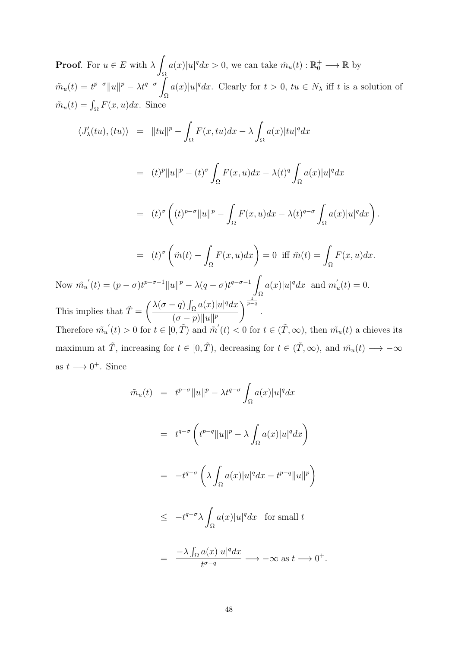**Proof.** For  $u \in E$  with  $\lambda$ Ω  $a(x)|u|^q dx > 0$ , we can take  $\tilde{m}_u(t) : \mathbb{R}_0^+ \longrightarrow \mathbb{R}$  by  $\tilde{m}_u(t) = t^{p-\sigma} ||u||^p - \lambda t^{q-\sigma}$ Ω  $a(x)|u|^q dx$ . Clearly for  $t > 0$ ,  $tu \in N_\lambda$  iff t is a solution of  $\tilde{m}_u(t) = \int_{\Omega} F(x, u) dx$ . Since

$$
\langle J'_{\lambda}(tu), (tu) \rangle = ||tu||^{p} - \int_{\Omega} F(x, tu) dx - \lambda \int_{\Omega} a(x)|tu|^{q} dx
$$
  
\n
$$
= (t)^{p} ||u||^{p} - (t)^{\sigma} \int_{\Omega} F(x, u) dx - \lambda(t)^{q} \int_{\Omega} a(x)|u|^{q} dx
$$
  
\n
$$
= (t)^{\sigma} \left( (t)^{p-\sigma} ||u||^{p} - \int_{\Omega} F(x, u) dx - \lambda(t)^{q-\sigma} \int_{\Omega} a(x)|u|^{q} dx \right).
$$
  
\n
$$
= (t)^{\sigma} \left( \tilde{m}(t) - \int_{\Omega} F(x, u) dx \right) = 0 \text{ iff } \tilde{m}(t) = \int_{\Omega} F(x, u) dx.
$$
  
\nNow  $\tilde{m}_{u}(t) = (p - \sigma)t^{p-\sigma-1} ||u||^{p} - \lambda(q - \sigma)t^{q-\sigma-1} \int_{\Omega} a(x)|u|^{q} dx$  and  $m'_{u}(t) = 0$ .  
\nThis implies that  $\tilde{T} = \left( \frac{\lambda(\sigma - q) \int_{\Omega} a(x)|u|^{q} dx}{(\sigma - p) ||u||^{p}} \right)^{\frac{1}{p-q}}.$   
\nTherefore  $\tilde{m}_{u}(t) > 0$  for  $t \in [0, \tilde{T})$  and  $\tilde{m}'(t) < 0$  for  $t \in (\tilde{T}, \infty)$ , then  $\tilde{m}_{u}(t)$  a choices its maximum at  $\tilde{T}$ , increasing for  $t \in [0, \tilde{T})$ , decreasing for  $t \in (\tilde{T}, \infty)$ , and  $\tilde{m}_{u}(t) \longrightarrow -\infty$ 

as 
$$
t \rightarrow 0^+
$$
. Since

$$
\tilde{m}_u(t) = t^{p-\sigma} \|u\|^p - \lambda t^{q-\sigma} \int_{\Omega} a(x) |u|^q dx
$$
\n
$$
= t^{q-\sigma} \left( t^{p-q} \|u\|^p - \lambda \int_{\Omega} a(x) |u|^q dx \right)
$$
\n
$$
= -t^{q-\sigma} \left( \lambda \int_{\Omega} a(x) |u|^q dx - t^{p-q} \|u\|^p \right)
$$
\n
$$
\leq -t^{q-\sigma} \lambda \int_{\Omega} a(x) |u|^q dx \text{ for small } t
$$
\n
$$
= \frac{-\lambda \int_{\Omega} a(x) |u|^q dx}{t^{\sigma-q}} \longrightarrow -\infty \text{ as } t \longrightarrow 0^+.
$$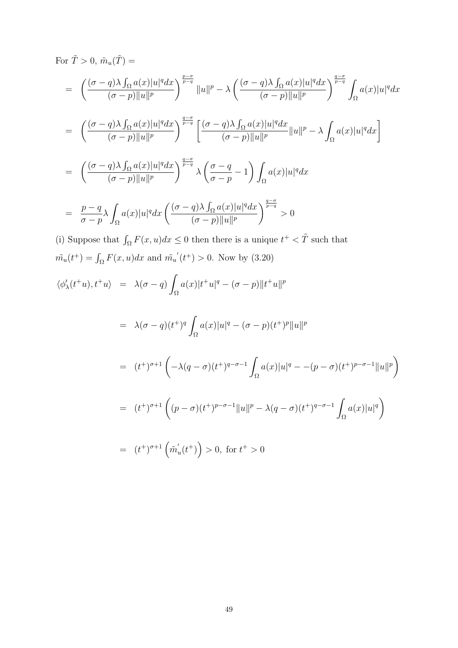For 
$$
\tilde{T} > 0
$$
,  $\tilde{m}_u(\tilde{T}) =$   
\n
$$
= \left( \frac{(\sigma - q)\lambda \int_{\Omega} a(x)|u|^q dx}{(\sigma - p)||u|^p} \right)^{\frac{p-\sigma}{p-q}} ||u||^p - \lambda \left( \frac{(\sigma - q)\lambda \int_{\Omega} a(x)|u|^q dx}{(\sigma - p)||u|^p} \right)^{\frac{q-\sigma}{p-q}} \int_{\Omega} a(x)|u|^q dx
$$
\n
$$
= \left( \frac{(\sigma - q)\lambda \int_{\Omega} a(x)|u|^q dx}{(\sigma - p)||u|^p} \right)^{\frac{q-\sigma}{p-q}} \left[ \frac{(\sigma - q)\lambda \int_{\Omega} a(x)|u|^q dx}{(\sigma - p)||u|^p} ||u||^p - \lambda \int_{\Omega} a(x)|u|^q dx \right]
$$
\n
$$
= \left( \frac{(\sigma - q)\lambda \int_{\Omega} a(x)|u|^q dx}{(\sigma - p)||u||^p} \right)^{\frac{q-\sigma}{p-q}} \lambda \left( \frac{\sigma - q}{\sigma - p} - 1 \right) \int_{\Omega} a(x)|u|^q dx
$$
\n
$$
= \frac{p-q}{\sigma - p} \lambda \int_{\Omega} a(x)|u|^q dx \left( \frac{(\sigma - q)\lambda \int_{\Omega} a(x)|u|^q dx}{(\sigma - p)||u||^p} \right)^{\frac{q-\sigma}{p-q}} > 0
$$

(i) Suppose that  $\int_{\Omega} F(x, u) dx \leq 0$  then there is a unique  $t^+ < \tilde{T}$  such that  $\tilde{m_u}(t^+) = \int_{\Omega} F(x, u) dx$  and  $\tilde{m_u}'(t^+) > 0$ . Now by (3.20)

$$
\langle \phi'_{\lambda}(t^+u), t^+u \rangle = \lambda(\sigma - q) \int_{\Omega} a(x)|t^+u|^q - (\sigma - p)||t^+u||^p
$$
  
\n
$$
= \lambda(\sigma - q)(t^+)^q \int_{\Omega} a(x)|u|^q - (\sigma - p)(t^+)^p ||u||^p
$$
  
\n
$$
= (t^+)^{\sigma+1} \left( -\lambda(q - \sigma)(t^+)^{q - \sigma - 1} \int_{\Omega} a(x)|u|^q - (p - \sigma)(t^+)^{p - \sigma - 1} ||u||^p \right)
$$
  
\n
$$
= (t^+)^{\sigma+1} \left( (p - \sigma)(t^+)^{p - \sigma - 1} ||u||^p - \lambda(q - \sigma)(t^+)^{q - \sigma - 1} \int_{\Omega} a(x)|u|^q \right)
$$
  
\n
$$
= (t^+)^{\sigma+1} \left( \tilde{m}'_u(t^+) \right) > 0, \text{ for } t^+ > 0
$$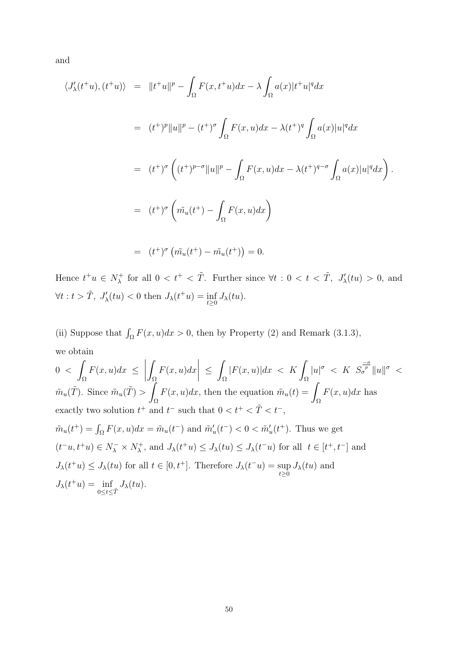and

$$
\langle J'_{\lambda}(t^+u), (t^+u) \rangle = ||t^+u||^p - \int_{\Omega} F(x, t^+u) dx - \lambda \int_{\Omega} a(x) |t^+u|^q dx
$$
  

$$
= (t^+)^p ||u||^p - (t^+)^{\sigma} \int_{\Omega} F(x, u) dx - \lambda (t^+)^q \int_{\Omega} a(x) |u|^q dx
$$
  

$$
= (t^+)^{\sigma} \left( (t^+)^{p-\sigma} ||u||^p - \int_{\Omega} F(x, u) dx - \lambda (t^+)^{q-\sigma} \int_{\Omega} a(x) |u|^q dx \right).
$$
  

$$
= (t^+)^{\sigma} \left( \tilde{m_u}(t^+) - \int_{\Omega} F(x, u) dx \right)
$$

$$
= (t^+)^{\sigma} (\tilde{m_u}(t^+) - \tilde{m_u}(t^+)) = 0.
$$

Hence  $t^+u \in N_\lambda^+$  $\lambda_{\lambda}^{+}$  for all  $0 < t^{+} < \tilde{T}$ . Further since  $\forall t : 0 < t < \tilde{T}$ ,  $J'_{\lambda}(tu) > 0$ , and  $\forall t : t > \tilde{T}, J'_{\lambda}(tu) < 0$  then  $J_{\lambda}(t^+u) = \inf_{t \geq 0} J_{\lambda}(tu)$ .

(ii) Suppose that  $\int_{\Omega} F(x, u)dx > 0$ , then by Property (2) and Remark (3.1.3), we obtain

$$
0 < \int_{\Omega} F(x, u) dx \le \left| \int_{\Omega} F(x, u) dx \right| \le \int_{\Omega} |F(x, u)| dx < K \int_{\Omega} |u|^{\sigma} < K S_{\sigma}^{\frac{-\sigma}{\sigma}} \|u\|^{\sigma} < \tilde{m}_u(\tilde{T})
$$
. Since  $\tilde{m}_u(\tilde{T}) > \int_{\Omega} F(x, u) dx$ , then the equation  $\tilde{m}_u(t) = \int_{\Omega} F(x, u) dx$  has exactly two solution  $t^+$  and  $t^-$  such that  $0 < t^+ < \tilde{T} < t^-$ ,  $\tilde{m}_u(t^+) = \int_{\Omega} F(x, u) dx = \tilde{m}_u(t^-)$  and  $\tilde{m}'_u(t^-) < 0 < \tilde{m}'_u(t^+)$ . Thus we get  $(t^- u, t^+ u) \in N^-_u \times N^+_x$ , and  $J_{\lambda}(t^+ u) \le J_{\lambda}(tu) \le J_{\lambda}(t^- u)$  for all  $t \in [t^+, t^-]$  and  $J_{\lambda}(t^+ u) \le J_{\lambda}(tu)$  for all  $t \in [0, t^+]$ . Therefore  $J_{\lambda}(t^- u) = \sup_{t \ge 0} J_{\lambda}(tu)$  and  $J_{\lambda}(t^+ u) = \inf_{0 \le t \le \tilde{T}} J_{\lambda}(tu)$ .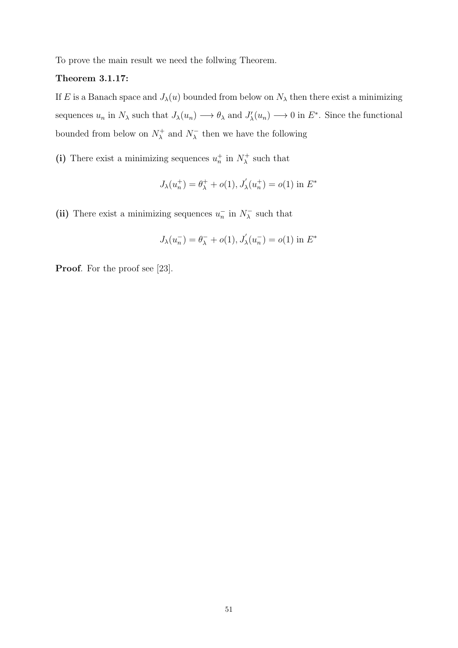To prove the main result we need the follwing Theorem.

# Theorem 3.1.17:

If E is a Banach space and  $J_{\lambda}(u)$  bounded from below on  $N_{\lambda}$  then there exist a minimizing sequences  $u_n$  in  $N_\lambda$  such that  $J_\lambda(u_n) \longrightarrow \theta_\lambda$  and  $J'_\lambda(u_n) \longrightarrow 0$  in  $E^*$ . Since the functional bounded from below on  $N_{\lambda}^{+}$  $\chi^+$  and  $N^ \lambda$  then we have the following

(i) There exist a minimizing sequences  $u_n^+$  in  $N_\lambda^+$  $\lambda$ <sup>+</sup> such that

$$
J_\lambda(u_n^+) = \theta_\lambda^+ + o(1), J_\lambda'(u_n^+) = o(1) \text{ in } E^*
$$

(ii) There exist a minimizing sequences  $u_n^-$  in  $N_\lambda^ \lambda$  such that

$$
J_{\lambda}(u_{n}^{-}) = \theta_{\lambda}^{-} + o(1), J_{\lambda}'(u_{n}^{-}) = o(1) \text{ in } E^{*}
$$

Proof. For the proof see [23].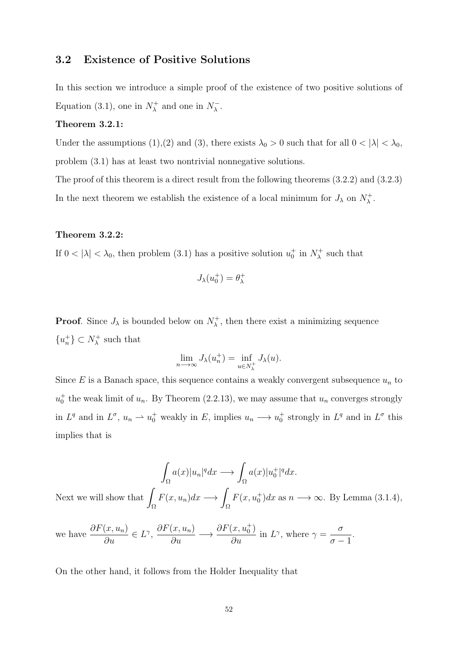# 3.2 Existence of Positive Solutions

In this section we introduce a simple proof of the existence of two positive solutions of Equation (3.1), one in  $N_{\lambda}^{+}$  $\lambda_{\lambda}^{+}$  and one in  $N_{\lambda}^{-}$  $\bar{\lambda}$  .

#### Theorem 3.2.1:

Under the assumptions (1),(2) and (3), there exists  $\lambda_0 > 0$  such that for all  $0 < |\lambda| < \lambda_0$ , problem (3.1) has at least two nontrivial nonnegative solutions.

The proof of this theorem is a direct result from the following theorems (3.2.2) and (3.2.3) In the next theorem we establish the existence of a local minimum for  $J_{\lambda}$  on  $N_{\lambda}^{+}$  $\lambda^+$ 

#### Theorem 3.2.2:

If  $0 < |\lambda| < \lambda_0$ , then problem (3.1) has a positive solution  $u_0^+$  in  $N_\lambda^+$  $\lambda$ <sup>+</sup> such that

$$
J_\lambda(u_0^+)=\theta_\lambda^+
$$

**Proof.** Since  $J_{\lambda}$  is bounded below on  $N_{\lambda}^{+}$  $\lambda^+$ , then there exist a minimizing sequence  $\{u_n^+\}\subset N_\lambda^+$  $\lambda$ <sup>+</sup> such that

$$
\lim_{n \to \infty} J_{\lambda}(u_n^+) = \inf_{u \in N_{\lambda}^+} J_{\lambda}(u).
$$

Since  $E$  is a Banach space, this sequence contains a weakly convergent subsequence  $u_n$  to  $u_0^+$  the weak limit of  $u_n$ . By Theorem (2.2.13), we may assume that  $u_n$  converges strongly in  $L^q$  and in  $L^{\sigma}$ ,  $u_n \rightharpoonup u_0^+$  weakly in E, implies  $u_n \rightharpoonup u_0^+$  strongly in  $L^q$  and in  $L^{\sigma}$  this implies that is

$$
\int_{\Omega} a(x)|u_n|^q dx \longrightarrow \int_{\Omega} a(x)|u_0^+|^q dx.
$$
  
Next we will show that 
$$
\int_{\Omega} F(x, u_n) dx \longrightarrow \int_{\Omega} F(x, u_0^+) dx \text{ as } n \longrightarrow \infty. \text{ By Lemma (3.1.4),}
$$

we have 
$$
\frac{\partial F(x, u_n)}{\partial u} \in L^{\gamma}
$$
,  $\frac{\partial F(x, u_n)}{\partial u} \longrightarrow \frac{\partial F(x, u_0^+)}{\partial u}$  in  $L^{\gamma}$ , where  $\gamma = \frac{\sigma}{\sigma - 1}$ .

On the other hand, it follows from the Holder Inequality that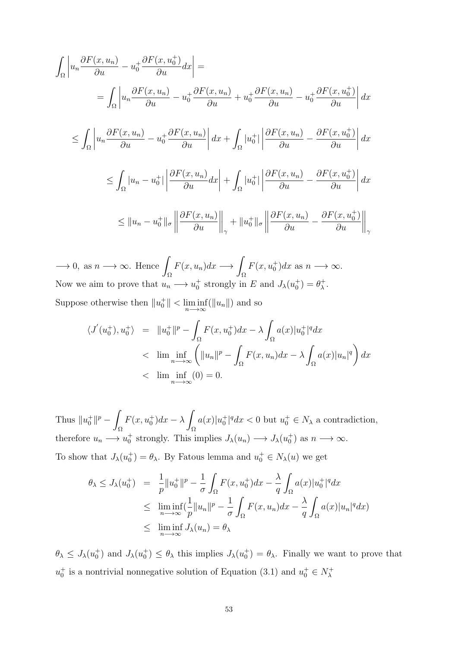$$
\int_{\Omega} \left| u_n \frac{\partial F(x, u_n)}{\partial u} - u_0^+ \frac{\partial F(x, u_0^+)}{\partial u} dx \right| =
$$
\n
$$
= \int_{\Omega} \left| u_n \frac{\partial F(x, u_n)}{\partial u} - u_0^+ \frac{\partial F(x, u_n)}{\partial u} + u_0^+ \frac{\partial F(x, u_n)}{\partial u} - u_0^+ \frac{\partial F(x, u_0^+)}{\partial u} \right| dx
$$
\n
$$
\leq \int_{\Omega} \left| u_n \frac{\partial F(x, u_n)}{\partial u} - u_0^+ \frac{\partial F(x, u_n)}{\partial u} \right| dx + \int_{\Omega} |u_0^+| \left| \frac{\partial F(x, u_n)}{\partial u} - \frac{\partial F(x, u_0^+)}{\partial u} \right| dx
$$
\n
$$
\leq \int_{\Omega} |u_n - u_0^+| \left| \frac{\partial F(x, u_n)}{\partial u} dx \right| + \int_{\Omega} |u_0^+| \left| \frac{\partial F(x, u_n)}{\partial u} - \frac{\partial F(x, u_0^+)}{\partial u} \right| dx
$$
\n
$$
\leq ||u_n - u_0^+||_{\sigma} \left\| \frac{\partial F(x, u_n)}{\partial u} \right\|_{\gamma} + ||u_0^+||_{\sigma} \left\| \frac{\partial F(x, u_n)}{\partial u} - \frac{\partial F(x, u_0^+)}{\partial u} \right\|_{\gamma}
$$

 $\longrightarrow$  0, as  $n \longrightarrow \infty$ . Hence Ω  $F(x, u_n)dx \longrightarrow$ Ω  $F(x, u_0^+)dx$  as  $n \longrightarrow \infty$ . Now we aim to prove that  $u_n \longrightarrow u_0^+$  strongly in E and  $J_\lambda(u_0^+) = \theta_\lambda^+$  $^+_\lambda$  . Suppose otherwise then  $||u_0^+|| < \liminf_{n \to \infty} (||u_n||)$  and so

$$
\langle J'(u_0^+), u_0^+ \rangle = \|u_0^+\|^p - \int_{\Omega} F(x, u_0^+) dx - \lambda \int_{\Omega} a(x) |u_0^+|^q dx
$$
  

$$
< \lim_{n \to \infty} \left( \|u_n\|^p - \int_{\Omega} F(x, u_n) dx - \lambda \int_{\Omega} a(x) |u_n|^q \right) dx
$$
  

$$
< \lim_{n \to \infty} \left( 0 \right) = 0.
$$

Thus  $||u_0^+||^p -$ Ω  $F(x, u_0^+)dx - \lambda$ Ω  $a(x)|u_0^+|^q dx < 0$  but  $u_0^+ \in N_\lambda$  a contradiction, therefore  $u_n \longrightarrow u_0^+$  strongly. This implies  $J_\lambda(u_n) \longrightarrow J_\lambda(u_0^+)$  as  $n \longrightarrow \infty$ . To show that  $J_{\lambda}(u_0^+) = \theta_{\lambda}$ . By Fatous lemma and  $u_0^+ \in N_{\lambda}(u)$  we get

$$
\theta_{\lambda} \leq J_{\lambda}(u_0^+) = \frac{1}{p} \|u_0^+\|^p - \frac{1}{\sigma} \int_{\Omega} F(x, u_0^+) dx - \frac{\lambda}{q} \int_{\Omega} a(x) |u_0^+|^q dx
$$
  
\n
$$
\leq \liminf_{n \to \infty} (\frac{1}{p} \|u_n\|^p - \frac{1}{\sigma} \int_{\Omega} F(x, u_n) dx - \frac{\lambda}{q} \int_{\Omega} a(x) |u_n|^q dx)
$$
  
\n
$$
\leq \liminf_{n \to \infty} J_{\lambda}(u_n) = \theta_{\lambda}
$$

 $\theta_{\lambda} \leq J_{\lambda}(u_0^+)$  and  $J_{\lambda}(u_0^+) \leq \theta_{\lambda}$  this implies  $J_{\lambda}(u_0^+) = \theta_{\lambda}$ . Finally we want to prove that  $u_0^+$  is a nontrivial nonnegative solution of Equation (3.1) and  $u_0^+ \in N_\lambda^+$ λ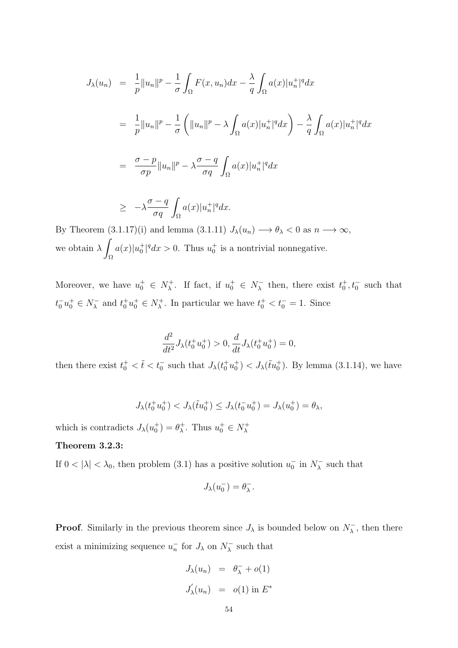$$
J_{\lambda}(u_{n}) = \frac{1}{p} ||u_{n}||^{p} - \frac{1}{\sigma} \int_{\Omega} F(x, u_{n}) dx - \frac{\lambda}{q} \int_{\Omega} a(x) |u_{n}^{+}|^{q} dx
$$
  
\n
$$
= \frac{1}{p} ||u_{n}||^{p} - \frac{1}{\sigma} \left( ||u_{n}||^{p} - \lambda \int_{\Omega} a(x) |u_{n}^{+}|^{q} dx \right) - \frac{\lambda}{q} \int_{\Omega} a(x) |u_{n}^{+}|^{q} dx
$$
  
\n
$$
= \frac{\sigma - p}{\sigma p} ||u_{n}||^{p} - \lambda \frac{\sigma - q}{\sigma q} \int_{\Omega} a(x) |u_{n}^{+}|^{q} dx
$$
  
\n
$$
\geq -\lambda \frac{\sigma - q}{\sigma q} \int_{\Omega} a(x) |u_{n}^{+}|^{q} dx.
$$

By Theorem  $(3.1.17)(i)$  and lemma  $(3.1.11) J_{\lambda}(u_n) \longrightarrow \theta_{\lambda} < 0$  as  $n \longrightarrow \infty$ , we obtain  $\lambda$ Ω  $a(x)|u_0^+|^q dx > 0$ . Thus  $u_0^+$  is a nontrivial nonnegative.

Moreover, we have  $u_0^+ \in N_\lambda^+$ <sup>+</sup>, If fact, if  $u_0^+ \in N_\lambda^ \bar{\lambda}$  then, there exist  $t_0^+, t_0^-$  such that  $t_0^- u_0^+ \in N_{\lambda}^ \lambda_{\lambda}$  and  $t_0^+ u_0^+ \in N_{\lambda}^+$ <sup> $\tau^+$ </sup>. In particular we have  $t_0^+ < t_0^- = 1$ . Since

$$
\frac{d^2}{dt^2}J_{\lambda}(t_0^+u_0^+) > 0, \frac{d}{dt}J_{\lambda}(t_0^+u_0^+) = 0,
$$

then there exist  $t_0^+ < \tilde{t} < t_0^-$  such that  $J_{\lambda}(t_0^+ u_0^+) < J_{\lambda}(\tilde{t} u_0^+)$ . By lemma (3.1.14), we have

$$
J_{\lambda}(t_0^+ u_0^+) < J_{\lambda}(\tilde{t} u_0^+) \leq J_{\lambda}(t_0^- u_0^+) = J_{\lambda}(u_0^+) = \theta_{\lambda},
$$

which is contradicts  $J_{\lambda}(u_0^+) = \theta_{\lambda}^+$  $u_{\lambda}^{+}$ . Thus  $u_{0}^{+} \in N_{\lambda}^{+}$ λ

# Theorem 3.2.3:

If  $0 < |\lambda| < \lambda_0$ , then problem (3.1) has a positive solution  $u_0^-$  in  $N_\lambda^ \lambda$  such that

$$
J_{\lambda}(u_0^-) = \theta_{\lambda}^-.
$$

**Proof.** Similarly in the previous theorem since  $J_{\lambda}$  is bounded below on  $N_{\lambda}^ \sqrt{\lambda}$ , then there exist a minimizing sequence  $u_n^-$  for  $J_\lambda$  on  $N_\lambda^ \lambda$  such that

$$
J_{\lambda}(u_n) = \theta_{\lambda}^- + o(1)
$$
  

$$
J_{\lambda}'(u_n) = o(1) \text{ in } E^*
$$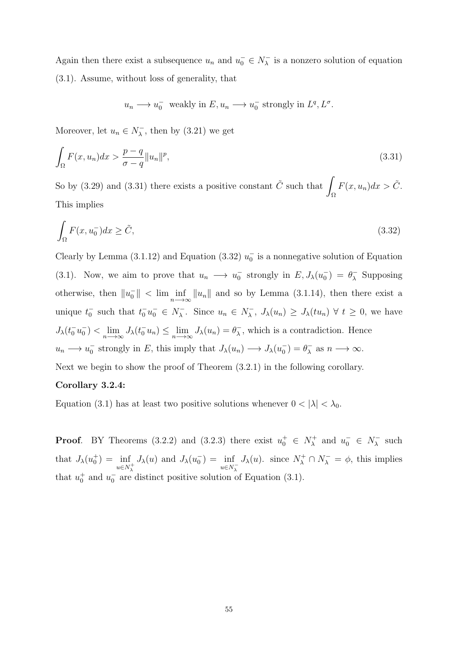Again then there exist a subsequence  $u_n$  and  $u_0^- \in N_\lambda^ \overline{\lambda}$  is a nonzero solution of equation (3.1). Assume, without loss of generality, that

$$
u_n \longrightarrow u_0^-
$$
 weakly in  $E, u_n \longrightarrow u_0^-$  strongly in  $L^q, L^{\sigma}$ .

Moreover, let  $u_n \in N_\lambda^ \lambda$ , then by (3.21) we get

$$
\int_{\Omega} F(x, u_n) dx > \frac{p - q}{\sigma - q} ||u_n||^p,
$$
\n(3.31)

So by (3.29) and (3.31) there exists a positive constant  $\tilde{C}$  such that Ω  $F(x, u_n)dx > \tilde{C}.$ This implies

$$
\int_{\Omega} F(x, u_0^-) dx \ge \tilde{C},\tag{3.32}
$$

Clearly by Lemma (3.1.12) and Equation (3.32)  $u_0^-$  is a nonnegative solution of Equation (3.1). Now, we aim to prove that  $u_n \longrightarrow u_0^-$  strongly in  $E, J_\lambda(u_0^-) = \theta_\lambda^ \lambda$  Supposing otherwise, then  $||u_0|| < \lim_{n \to \infty} ||u_n||$  and so by Lemma (3.1.14), then there exist a unique  $t_0^-$  such that  $t_0^- u_0^- \in N_\lambda^ \overline{\lambda}$ . Since  $u_n \in N_\lambda^ J_{\lambda}, J_{\lambda}(u_n) \geq J_{\lambda}(tu_n) \ \forall \ t \geq 0$ , we have  $J_{\lambda}(t_0^- u_0^-) < \lim_{n \to \infty} J_{\lambda}(t_0^- u_n) \le \lim_{n \to \infty} J_{\lambda}(u_n) = \theta_{\lambda}^ \sqrt{\lambda}$ , which is a contradiction. Hence  $u_n \longrightarrow u_0^-$  strongly in E, this imply that  $J_\lambda(u_n) \longrightarrow J_\lambda(u_0^-) = \theta_\lambda^ \overline{\lambda}$  as  $n \longrightarrow \infty$ . Next we begin to show the proof of Theorem (3.2.1) in the following corollary.

## Corollary 3.2.4:

Equation (3.1) has at least two positive solutions whenever  $0 < |\lambda| < \lambda_0$ .

**Proof.** BY Theorems (3.2.2) and (3.2.3) there exist  $u_0^+ \in N_\lambda^+$  $u_{\lambda}^+$  and  $u_0^- \in N_{\lambda}^ \lambda$  such that  $J_{\lambda}(u_0^+) = \inf$  $u \in N_{\lambda}^+$  $J_{\lambda}(u)$  and  $J_{\lambda}(u_0^-) = \inf$  $u \in N_{\lambda}^ J_{\lambda}(u)$ . since  $N_{\lambda}^{+} \cap N_{\lambda}^{-} = \phi$ , this implies that  $u_0^+$  and  $u_0^-$  are distinct positive solution of Equation (3.1).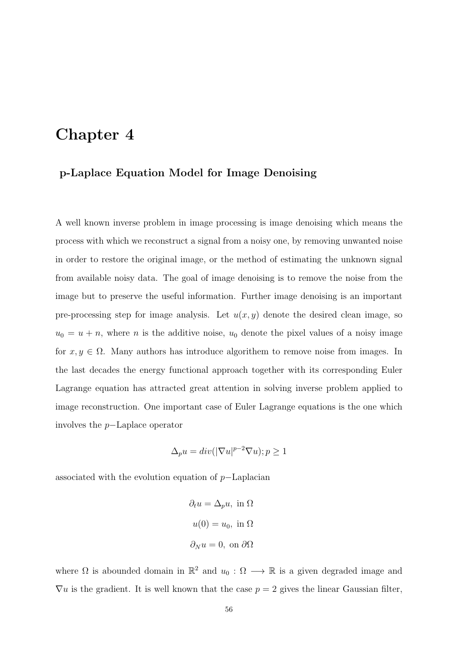# Chapter 4

# p-Laplace Equation Model for Image Denoising

A well known inverse problem in image processing is image denoising which means the process with which we reconstruct a signal from a noisy one, by removing unwanted noise in order to restore the original image, or the method of estimating the unknown signal from available noisy data. The goal of image denoising is to remove the noise from the image but to preserve the useful information. Further image denoising is an important pre-processing step for image analysis. Let  $u(x, y)$  denote the desired clean image, so  $u_0 = u + n$ , where *n* is the additive noise,  $u_0$  denote the pixel values of a noisy image for  $x, y \in \Omega$ . Many authors has introduce algorithem to remove noise from images. In the last decades the energy functional approach together with its corresponding Euler Lagrange equation has attracted great attention in solving inverse problem applied to image reconstruction. One important case of Euler Lagrange equations is the one which involves the p−Laplace operator

$$
\Delta_p u = div(|\nabla u|^{p-2} \nabla u); p \ge 1
$$

associated with the evolution equation of p−Laplacian

$$
\partial_t u = \Delta_p u, \text{ in } \Omega
$$

$$
u(0) = u_0, \text{ in } \Omega
$$

$$
\partial_N u = 0, \text{ on } \partial\Omega
$$

where  $\Omega$  is abounded domain in  $\mathbb{R}^2$  and  $u_0 : \Omega \longrightarrow \mathbb{R}$  is a given degraded image and  $\nabla u$  is the gradient. It is well known that the case  $p = 2$  gives the linear Gaussian filter,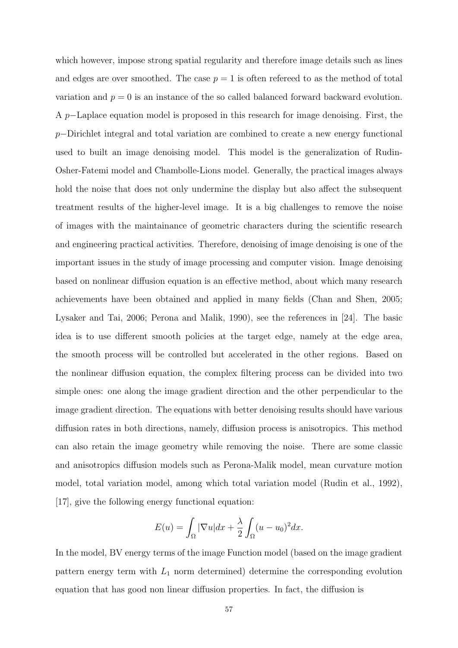which however, impose strong spatial regularity and therefore image details such as lines and edges are over smoothed. The case  $p = 1$  is often refereed to as the method of total variation and  $p = 0$  is an instance of the so called balanced forward backward evolution. A p−Laplace equation model is proposed in this research for image denoising. First, the p–Dirichlet integral and total variation are combined to create a new energy functional used to built an image denoising model. This model is the generalization of Rudin-Osher-Fatemi model and Chambolle-Lions model. Generally, the practical images always hold the noise that does not only undermine the display but also affect the subsequent treatment results of the higher-level image. It is a big challenges to remove the noise of images with the maintainance of geometric characters during the scientific research and engineering practical activities. Therefore, denoising of image denoising is one of the important issues in the study of image processing and computer vision. Image denoising based on nonlinear diffusion equation is an effective method, about which many research achievements have been obtained and applied in many fields (Chan and Shen, 2005; Lysaker and Tai, 2006; Perona and Malik, 1990), see the references in [24]. The basic idea is to use different smooth policies at the target edge, namely at the edge area, the smooth process will be controlled but accelerated in the other regions. Based on the nonlinear diffusion equation, the complex filtering process can be divided into two simple ones: one along the image gradient direction and the other perpendicular to the image gradient direction. The equations with better denoising results should have various diffusion rates in both directions, namely, diffusion process is anisotropics. This method can also retain the image geometry while removing the noise. There are some classic and anisotropics diffusion models such as Perona-Malik model, mean curvature motion model, total variation model, among which total variation model (Rudin et al., 1992), [17], give the following energy functional equation:

$$
E(u) = \int_{\Omega} |\nabla u| dx + \frac{\lambda}{2} \int_{\Omega} (u - u_0)^2 dx.
$$

In the model, BV energy terms of the image Function model (based on the image gradient pattern energy term with  $L_1$  norm determined) determine the corresponding evolution equation that has good non linear diffusion properties. In fact, the diffusion is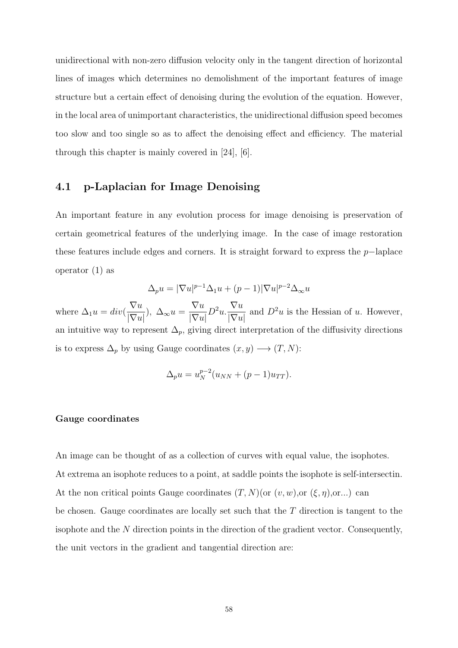unidirectional with non-zero diffusion velocity only in the tangent direction of horizontal lines of images which determines no demolishment of the important features of image structure but a certain effect of denoising during the evolution of the equation. However, in the local area of unimportant characteristics, the unidirectional diffusion speed becomes too slow and too single so as to affect the denoising effect and efficiency. The material through this chapter is mainly covered in [24], [6].

# 4.1 p-Laplacian for Image Denoising

An important feature in any evolution process for image denoising is preservation of certain geometrical features of the underlying image. In the case of image restoration these features include edges and corners. It is straight forward to express the  $p-\text{laplace}$ operator (1) as

$$
\Delta_p u = |\nabla u|^{p-1} \Delta_1 u + (p-1) |\nabla u|^{p-2} \Delta_{\infty} u
$$

where  $\Delta_1 u = div($  $\nabla u$  $\frac{\sqrt{u}}{|\nabla u|}$ ,  $\Delta_{\infty} u =$  $\nabla u$  $|\nabla u|$  $D^2u \cdot \frac{\nabla u}{\sqrt{\nabla u}}$  $|\nabla u|$ and  $D^2u$  is the Hessian of u. However, an intuitive way to represent  $\Delta_p$ , giving direct interpretation of the diffusivity directions is to express  $\Delta_p$  by using Gauge coordinates  $(x, y) \longrightarrow (T, N)$ :

$$
\Delta_p u = u_N^{p-2} (u_{NN} + (p-1)u_{TT}).
$$

### Gauge coordinates

An image can be thought of as a collection of curves with equal value, the isophotes. At extrema an isophote reduces to a point, at saddle points the isophote is self-intersectin. At the non critical points Gauge coordinates  $(T, N)($ or  $(v, w)$ ,or  $(\xi, \eta)$ ,or...) can be chosen. Gauge coordinates are locally set such that the  $T$  direction is tangent to the isophote and the N direction points in the direction of the gradient vector. Consequently, the unit vectors in the gradient and tangential direction are: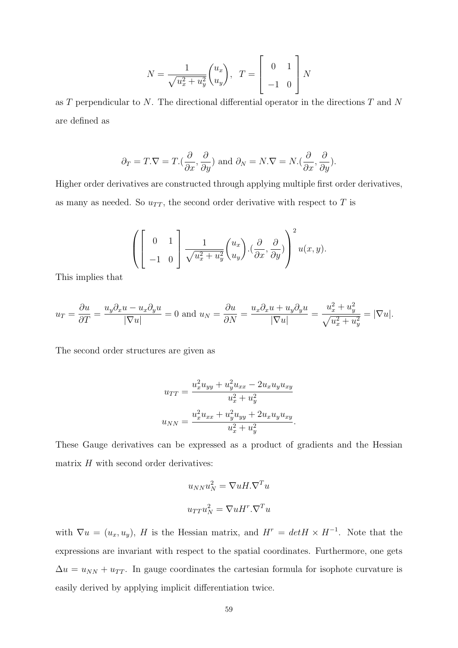$$
N = \frac{1}{\sqrt{u_x^2 + u_y^2}} \begin{pmatrix} u_x \\ u_y \end{pmatrix}, \quad T = \begin{bmatrix} 0 & 1 \\ -1 & 0 \end{bmatrix} N
$$

as T perpendicular to N. The directional differential operator in the directions T and N are defined as

$$
\partial_T = T.\nabla = T.(\frac{\partial}{\partial x}, \frac{\partial}{\partial y})
$$
 and  $\partial_N = N.\nabla = N.(\frac{\partial}{\partial x}, \frac{\partial}{\partial y}).$ 

Higher order derivatives are constructed through applying multiple first order derivatives, as many as needed. So  $u_{TT}$ , the second order derivative with respect to T is

$$
\left( \begin{bmatrix} 0 & 1 \\ -1 & 0 \end{bmatrix} \frac{1}{\sqrt{u_x^2 + u_y^2}} \begin{pmatrix} u_x \\ u_y \end{pmatrix} \cdot \left( \frac{\partial}{\partial x}, \frac{\partial}{\partial y} \right) \right)^2 u(x, y).
$$

This implies that

$$
u_T = \frac{\partial u}{\partial T} = \frac{u_y \partial_x u - u_x \partial_y u}{|\nabla u|} = 0 \text{ and } u_N = \frac{\partial u}{\partial N} = \frac{u_x \partial_x u + u_y \partial_y u}{|\nabla u|} = \frac{u_x^2 + u_y^2}{\sqrt{u_x^2 + u_y^2}} = |\nabla u|.
$$

The second order structures are given as

$$
u_{TT} = \frac{u_x^2 u_{yy} + u_y^2 u_{xx} - 2u_x u_y u_{xy}}{u_x^2 + u_y^2}
$$

$$
u_{NN} = \frac{u_x^2 u_{xx} + u_y^2 u_{yy} + 2u_x u_y u_{xy}}{u_x^2 + u_y^2}.
$$

These Gauge derivatives can be expressed as a product of gradients and the Hessian matrix  $H$  with second order derivatives:

$$
u_{NN}u_N^2 = \nabla u H \cdot \nabla^T u
$$

$$
u_{TT}u_N^2 = \nabla u H \cdot \nabla^T u
$$

with  $\nabla u = (u_x, u_y)$ , H is the Hessian matrix, and  $H^r = detH \times H^{-1}$ . Note that the expressions are invariant with respect to the spatial coordinates. Furthermore, one gets  $\Delta u = u_{NN} + u_{TT}$ . In gauge coordinates the cartesian formula for isophote curvature is easily derived by applying implicit differentiation twice.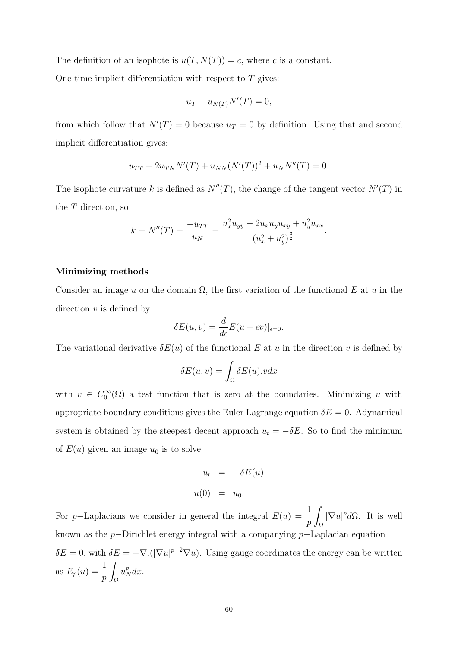The definition of an isophote is  $u(T, N(T)) = c$ , where c is a constant.

One time implicit differentiation with respect to  $T$  gives:

$$
u_T + u_{N(T)} N'(T) = 0,
$$

from which follow that  $N'(T) = 0$  because  $u_T = 0$  by definition. Using that and second implicit differentiation gives:

$$
u_{TT} + 2u_{TN}N'(T) + u_{NN}(N'(T))^2 + u_NN''(T) = 0.
$$

The isophote curvature k is defined as  $N''(T)$ , the change of the tangent vector  $N'(T)$  in the T direction, so

$$
k = N''(T) = \frac{-u_{TT}}{u_N} = \frac{u_x^2 u_{yy} - 2u_x u_y u_{xy} + u_y^2 u_{xx}}{(u_x^2 + u_y^2)^{\frac{3}{2}}}.
$$

### Minimizing methods

Consider an image u on the domain  $\Omega$ , the first variation of the functional E at u in the direction  $v$  is defined by

$$
\delta E(u, v) = \frac{d}{d\epsilon} E(u + \epsilon v)|_{\epsilon = 0}.
$$

The variational derivative  $\delta E(u)$  of the functional E at u in the direction v is defined by

$$
\delta E(u, v) = \int_{\Omega} \delta E(u).v dx
$$

with  $v \in C_0^{\infty}(\Omega)$  a test function that is zero at the boundaries. Minimizing u with appropriate boundary conditions gives the Euler Lagrange equation  $\delta E = 0$ . Adynamical system is obtained by the steepest decent approach  $u_t = -\delta E$ . So to find the minimum of  $E(u)$  given an image  $u_0$  is to solve

$$
u_t = -\delta E(u)
$$
  

$$
u(0) = u_0.
$$

For p–Laplacians we consider in general the integral  $E(u) = \frac{1}{2}$ p Ω  $|\nabla u|^p d\Omega$ . It is well known as the p−Dirichlet energy integral with a companying p−Laplacian equation  $\delta E = 0$ , with  $\delta E = -\nabla \cdot (|\nabla u|^{p-2} \nabla u)$ . Using gauge coordinates the energy can be written as  $E_p(u) = \frac{1}{p}$ Z Ω  $u_N^p dx$ .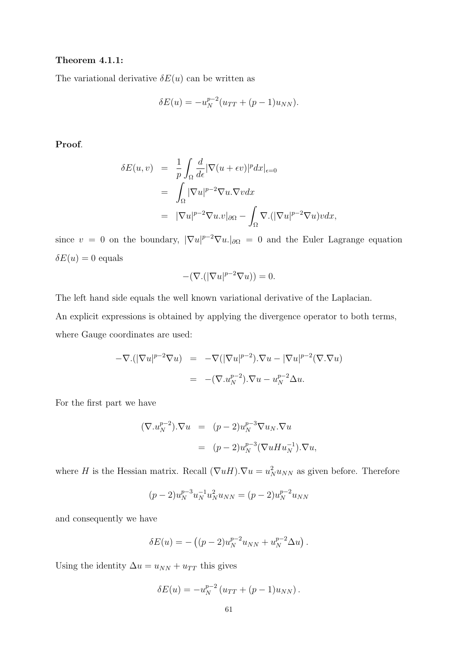## Theorem 4.1.1:

The variational derivative  $\delta E(u)$  can be written as

$$
\delta E(u) = -u_N^{p-2} (u_{TT} + (p-1)u_{NN}).
$$

Proof.

$$
\delta E(u, v) = \frac{1}{p} \int_{\Omega} \frac{d}{d\epsilon} |\nabla(u + \epsilon v)|^p dx|_{\epsilon=0}
$$
  
= 
$$
\int_{\Omega} |\nabla u|^{p-2} \nabla u \cdot \nabla v dx
$$
  
= 
$$
|\nabla u|^{p-2} \nabla u \cdot v|_{\partial \Omega} - \int_{\Omega} \nabla \cdot (|\nabla u|^{p-2} \nabla u) v dx,
$$

since  $v = 0$  on the boundary,  $|\nabla u|^{p-2} \nabla u$ .  $|\partial \Omega| = 0$  and the Euler Lagrange equation  $\delta E(u) = 0$  equals

$$
-(\nabla.(|\nabla u|^{p-2}\nabla u))=0.
$$

The left hand side equals the well known variational derivative of the Laplacian. An explicit expressions is obtained by applying the divergence operator to both terms, where Gauge coordinates are used:

$$
-\nabla.(|\nabla u|^{p-2}\nabla u) = -\nabla(|\nabla u|^{p-2})\cdot\nabla u - |\nabla u|^{p-2}(\nabla.\nabla u)
$$

$$
= -(\nabla.u_N^{p-2})\cdot\nabla u - u_N^{p-2}\Delta u.
$$

For the first part we have

$$
(\nabla u_N^{p-2}) \cdot \nabla u = (p-2) u_N^{p-3} \nabla u_N \cdot \nabla u
$$
  
= 
$$
(p-2) u_N^{p-3} (\nabla u H u_N^{-1}) \cdot \nabla u,
$$

where H is the Hessian matrix. Recall  $(\nabla u H) \cdot \nabla u = u_N^2 u_{NN}$  as given before. Therefore

$$
(p-2)u_N^{p-3}u_N^{-1}u_N^2u_{NN} = (p-2)u_N^{p-2}u_{NN}
$$

and consequently we have

$$
\delta E(u) = -((p-2)u_N^{p-2}u_{NN} + u_N^{p-2}\Delta u).
$$

Using the identity  $\Delta u = u_{NN} + u_{TT}$  this gives

$$
\delta E(u) = -u_N^{p-2} (u_{TT} + (p-1)u_{NN}).
$$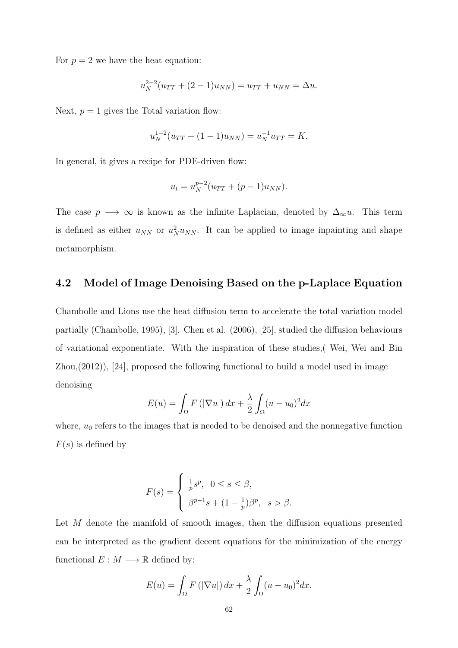For  $p = 2$  we have the heat equation:

$$
u_N^{2-2}(u_{TT} + (2-1)u_{NN}) = u_{TT} + u_{NN} = \Delta u.
$$

Next,  $p = 1$  gives the Total variation flow:

$$
u_N^{1-2}(u_{TT} + (1-1)u_{NN}) = u_N^{-1}u_{TT} = K.
$$

In general, it gives a recipe for PDE-driven flow:

$$
u_t = u_N^{p-2} (u_{TT} + (p-1)u_{NN}).
$$

The case  $p \longrightarrow \infty$  is known as the infinite Laplacian, denoted by  $\Delta_{\infty} u$ . This term is defined as either  $u_{NN}$  or  $u_N^2 u_{NN}$ . It can be applied to image inpainting and shape metamorphism.

# 4.2 Model of Image Denoising Based on the p-Laplace Equation

Chambolle and Lions use the heat diffusion term to accelerate the total variation model partially (Chambolle, 1995), [3]. Chen et al. (2006), [25], studied the diffusion behaviours of variational exponentiate. With the inspiration of these studies,( Wei, Wei and Bin  $Zhou,(2012)$ ,  $[24]$ , proposed the following functional to build a model used in image denoising

$$
E(u) = \int_{\Omega} F\left(|\nabla u|\right) dx + \frac{\lambda}{2} \int_{\Omega} (u - u_0)^2 dx
$$

where,  $u_0$  refers to the images that is needed to be denoised and the nonnegative function  $F(s)$  is defined by

$$
F(s) = \begin{cases} \frac{1}{p}s^p, & 0 \le s \le \beta, \\ \beta^{p-1}s + (1 - \frac{1}{p})\beta^p, & s > \beta. \end{cases}
$$

Let M denote the manifold of smooth images, then the diffusion equations presented can be interpreted as the gradient decent equations for the minimization of the energy functional  $E : M \longrightarrow \mathbb{R}$  defined by:

$$
E(u) = \int_{\Omega} F\left(|\nabla u|\right) dx + \frac{\lambda}{2} \int_{\Omega} (u - u_0)^2 dx.
$$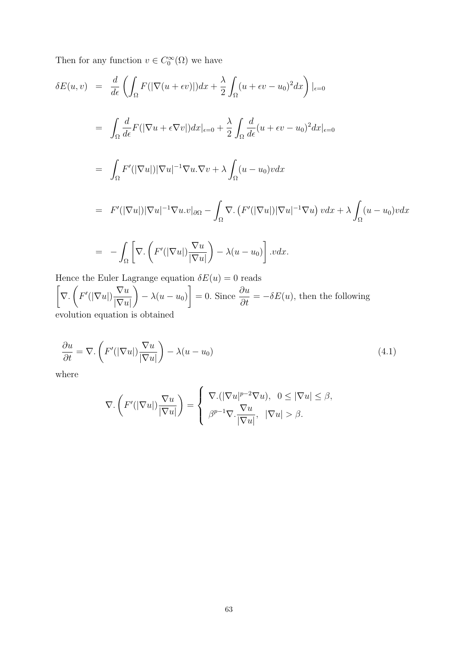Then for any function  $v \in C_0^{\infty}(\Omega)$  we have

$$
\delta E(u, v) = \frac{d}{d\epsilon} \left( \int_{\Omega} F(|\nabla(u + \epsilon v)|) dx + \frac{\lambda}{2} \int_{\Omega} (u + \epsilon v - u_0)^2 dx \right)|_{\epsilon=0}
$$
  
\n
$$
= \int_{\Omega} \frac{d}{d\epsilon} F(|\nabla u + \epsilon \nabla v|) dx|_{\epsilon=0} + \frac{\lambda}{2} \int_{\Omega} \frac{d}{d\epsilon} (u + \epsilon v - u_0)^2 dx|_{\epsilon=0}
$$
  
\n
$$
= \int_{\Omega} F'(|\nabla u|) |\nabla u|^{-1} \nabla u \cdot \nabla v + \lambda \int_{\Omega} (u - u_0) v dx
$$
  
\n
$$
= F'(|\nabla u|) |\nabla u|^{-1} \nabla u \cdot v|_{\partial \Omega} - \int_{\Omega} \nabla \cdot (F'(|\nabla u|) |\nabla u|^{-1} \nabla u) v dx + \lambda \int_{\Omega} (u - u_0) v dx
$$

$$
= -\int_{\Omega} \left[ \nabla \cdot \left( F'(|\nabla u|) \frac{\nabla u}{|\nabla u|} \right) - \lambda (u - u_0) \right] . v dx.
$$

Hence the Euler Lagrange equation  $\delta E(u) = 0$  reads  $\sqrt{ }$ ∇.  $\sqrt{ }$  $F'(|\nabla u|)$  $\nabla u$  $|\nabla u|$  $\setminus$  $-\lambda(u-u_0)$  $\left] = 0.$  Since  $\frac{\partial u}{\partial t} = -\delta E(u)$ , then the following evolution equation is obtained

$$
\frac{\partial u}{\partial t} = \nabla \cdot \left( F'(|\nabla u|) \frac{\nabla u}{|\nabla u|} \right) - \lambda (u - u_0) \tag{4.1}
$$

where

$$
\nabla. \left( F'(|\nabla u|) \frac{\nabla u}{|\nabla u|} \right) = \begin{cases} \nabla. (|\nabla u|^{p-2} \nabla u), & 0 \leq |\nabla u| \leq \beta, \\ \nabla^p. \frac{\nabla u}{|\nabla u|}, & |\nabla u| > \beta. \n\end{cases}
$$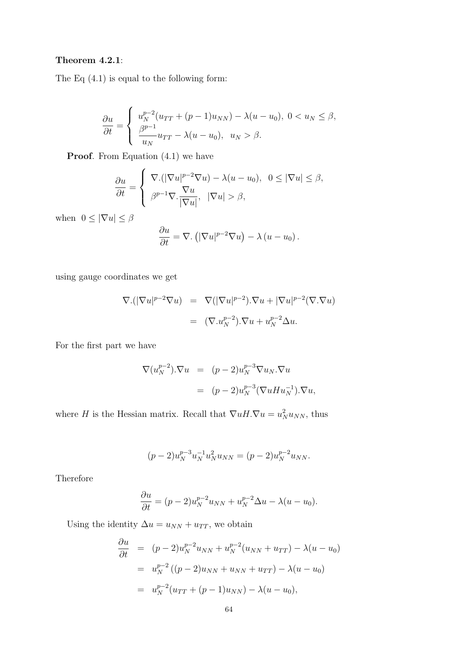# Theorem 4.2.1:

The Eq (4.1) is equal to the following form:

$$
\frac{\partial u}{\partial t} = \begin{cases} u_N^{p-2} (u_{TT} + (p-1)u_{NN}) - \lambda (u - u_0), & 0 < u_N \le \beta, \\ \frac{\beta^{p-1}}{u_N} u_{TT} - \lambda (u - u_0), & u_N > \beta. \end{cases}
$$

**Proof.** From Equation  $(4.1)$  we have

$$
\frac{\partial u}{\partial t} = \begin{cases} \nabla \cdot (|\nabla u|^{p-2} \nabla u) - \lambda (u - u_0), & 0 \leq |\nabla u| \leq \beta, \\ \nabla^p \cdot \nabla \cdot \frac{\nabla u}{|\nabla u|}, & |\nabla u| > \beta, \n\end{cases}
$$

when  $0 \leq |\nabla u| \leq \beta$ 

$$
\frac{\partial u}{\partial t} = \nabla \cdot \left( |\nabla u|^{p-2} \nabla u \right) - \lambda \left( u - u_0 \right).
$$

using gauge coordinates we get

$$
\nabla \cdot (|\nabla u|^{p-2} \nabla u) = \nabla (|\nabla u|^{p-2}) \cdot \nabla u + |\nabla u|^{p-2} (\nabla \cdot \nabla u)
$$

$$
= (\nabla \cdot u_N^{p-2}) \cdot \nabla u + u_N^{p-2} \Delta u.
$$

For the first part we have

$$
\nabla(u_N^{p-2}) \cdot \nabla u = (p-2)u_N^{p-3} \nabla u_N \cdot \nabla u
$$
  
= 
$$
(p-2)u_N^{p-3} (\nabla u H u_N^{-1}) \cdot \nabla u,
$$

where H is the Hessian matrix. Recall that  $\nabla u H \cdot \nabla u = u_N^2 u_{NN}$ , thus

$$
(p-2)u_N^{p-3}u_N^{-1}u_N^2u_{NN} = (p-2)u_N^{p-2}u_{NN}.
$$

Therefore

$$
\frac{\partial u}{\partial t} = (p-2)u_N^{p-2}u_{NN} + u_N^{p-2}\Delta u - \lambda(u - u_0).
$$

Using the identity  $\Delta u = u_{NN} + u_{TT}$ , we obtain

$$
\frac{\partial u}{\partial t} = (p-2)u_N^{p-2}u_{NN} + u_N^{p-2}(u_{NN} + u_{TT}) - \lambda(u - u_0)
$$
  
=  $u_N^{p-2}((p-2)u_{NN} + u_{NN} + u_{TT}) - \lambda(u - u_0)$   
=  $u_N^{p-2}(u_{TT} + (p-1)u_{NN}) - \lambda(u - u_0),$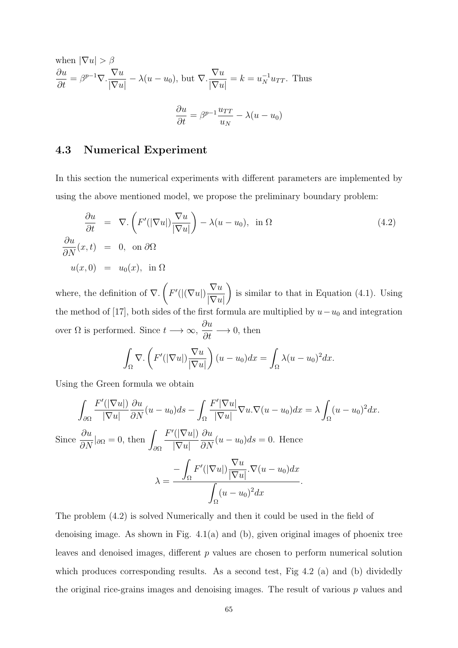when 
$$
|\nabla u| > \beta
$$
  
\n
$$
\frac{\partial u}{\partial t} = \beta^{p-1} \nabla \cdot \frac{\nabla u}{|\nabla u|} - \lambda (u - u_0), \text{ but } \nabla \cdot \frac{\nabla u}{|\nabla u|} = k = u_N^{-1} u_{TT}. \text{ Thus}
$$
\n
$$
\frac{\partial u}{\partial t} = \beta^{p-1} \frac{u_{TT}}{u_N} - \lambda (u - u_0)
$$

## 4.3 Numerical Experiment

In this section the numerical experiments with different parameters are implemented by using the above mentioned model, we propose the preliminary boundary problem:

$$
\frac{\partial u}{\partial t} = \nabla \cdot \left( F'(|\nabla u|) \frac{\nabla u}{|\nabla u|} \right) - \lambda (u - u_0), \text{ in } \Omega
$$
\n
$$
\frac{\partial u}{\partial N}(x, t) = 0, \text{ on } \partial \Omega
$$
\n
$$
u(x, 0) = u_0(x), \text{ in } \Omega
$$
\n(4.2)

where, the definition of  $\nabla$ .  $\sqrt{ }$  $F'(|(\nabla u|)$  $\nabla u$  $|\nabla u|$  $\setminus$ is similar to that in Equation (4.1). Using the method of [17], both sides of the first formula are multiplied by  $u-u_0$  and integration over  $\Omega$  is performed. Since  $t \longrightarrow \infty$ ,  $\frac{\partial u}{\partial t} \longrightarrow 0$ , then

$$
\int_{\Omega} \nabla \cdot \left( F'(|\nabla u|) \frac{\nabla u}{|\nabla u|} \right) (u - u_0) dx = \int_{\Omega} \lambda (u - u_0)^2 dx.
$$

Using the Green formula we obtain

$$
\int_{\partial\Omega} \frac{F'(|\nabla u|)}{|\nabla u|} \frac{\partial u}{\partial N}(u - u_0) ds - \int_{\Omega} \frac{F'|\nabla u|}{|\nabla u|} \nabla u \cdot \nabla (u - u_0) dx = \lambda \int_{\Omega} (u - u_0)^2 dx.
$$
  
Since  $\frac{\partial u}{\partial N}|_{\partial\Omega} = 0$ , then  $\int_{\partial\Omega} \frac{F'(|\nabla u|)}{|\nabla u|} \frac{\partial u}{\partial N}(u - u_0) ds = 0$ . Hence  

$$
\lambda = \frac{-\int_{\Omega} F'(|\nabla u|) \frac{\nabla u}{|\nabla u|} \cdot \nabla (u - u_0) dx}{\int_{\Omega} (u - u_0)^2 dx}.
$$

The problem (4.2) is solved Numerically and then it could be used in the field of denoising image. As shown in Fig. 4.1(a) and (b), given original images of phoenix tree leaves and denoised images, different p values are chosen to perform numerical solution which produces corresponding results. As a second test, Fig 4.2 (a) and (b) dividedly the original rice-grains images and denoising images. The result of various  $p$  values and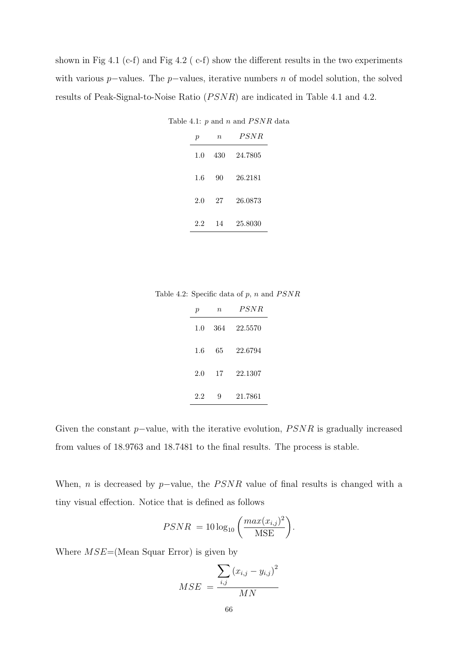shown in Fig 4.1 (c-f) and Fig 4.2 (c-f) show the different results in the two experiments with various p–values. The p–values, iterative numbers n of model solution, the solved results of Peak-Signal-to-Noise Ratio  $(PSNR)$  are indicated in Table 4.1 and 4.2.

Table 4.1:  $\boldsymbol{p}$  and  $\boldsymbol{n}$  and  $PSNR$  data

| р   | $\, n$ | PSNR    |
|-----|--------|---------|
| 1.0 | 430    | 24.7805 |
| 1.6 | 90     | 26.2181 |
| 2.0 | 27     | 26.0873 |
| 2.2 | 14     | 25.8030 |

Table 4.2: Specific data of  $p$ ,  $n$  and  $PSNR$ 

| р   | $\eta$ | <i>PSNR</i> |
|-----|--------|-------------|
| 1.0 | -364   | 22.5570     |
| 1.6 | 65     | 22.6794     |
| 2.0 | 17     | 22.1307     |
| 2.2 | 9      | 21.7861     |

Given the constant  $p$ -value, with the iterative evolution,  $PSNR$  is gradually increased from values of 18.9763 and 18.7481 to the final results. The process is stable.

When, n is decreased by  $p$ -value, the  $PSNR$  value of final results is changed with a tiny visual effection. Notice that is defined as follows

$$
PSNR = 10 \log_{10} \left( \frac{max(x_{i,j})^2}{MSE} \right).
$$

Where  $MSE=(\text{Mean Square Error})$  is given by

$$
MSE = \frac{\sum_{i,j} (x_{i,j} - y_{i,j})^2}{MN}
$$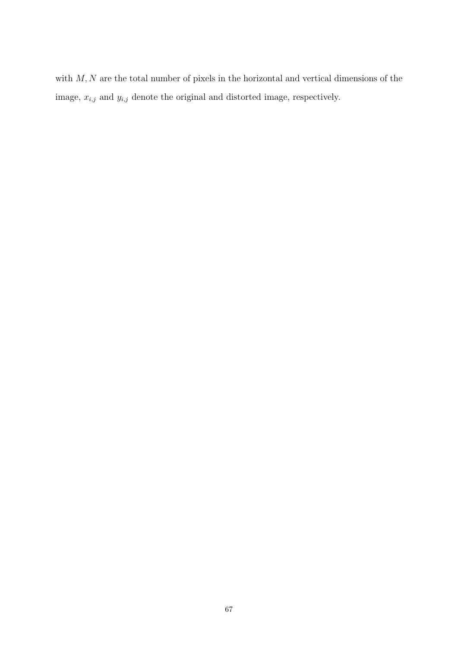with  $M, N$  are the total number of pixels in the horizontal and vertical dimensions of the image,  $x_{i,j}$  and  $y_{i,j}$  denote the original and distorted image, respectively.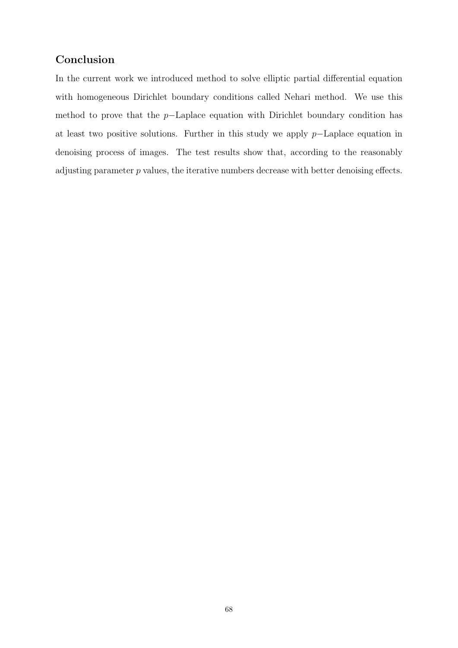## Conclusion

In the current work we introduced method to solve elliptic partial differential equation with homogeneous Dirichlet boundary conditions called Nehari method. We use this method to prove that the p−Laplace equation with Dirichlet boundary condition has at least two positive solutions. Further in this study we apply p−Laplace equation in denoising process of images. The test results show that, according to the reasonably adjusting parameter p values, the iterative numbers decrease with better denoising effects.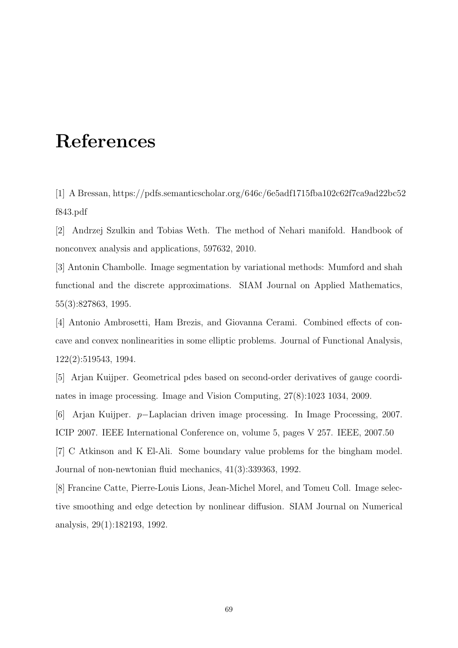## References

[1] A Bressan, https://pdfs.semanticscholar.org/646c/6e5adf1715fba102c62f7ca9ad22bc52 f843.pdf

[2] Andrzej Szulkin and Tobias Weth. The method of Nehari manifold. Handbook of nonconvex analysis and applications, 597632, 2010.

[3] Antonin Chambolle. Image segmentation by variational methods: Mumford and shah functional and the discrete approximations. SIAM Journal on Applied Mathematics, 55(3):827863, 1995.

[4] Antonio Ambrosetti, Ham Brezis, and Giovanna Cerami. Combined effects of concave and convex nonlinearities in some elliptic problems. Journal of Functional Analysis, 122(2):519543, 1994.

[5] Arjan Kuijper. Geometrical pdes based on second-order derivatives of gauge coordinates in image processing. Image and Vision Computing, 27(8):1023 1034, 2009.

[6] Arjan Kuijper. p−Laplacian driven image processing. In Image Processing, 2007. ICIP 2007. IEEE International Conference on, volume 5, pages V 257. IEEE, 2007.50 [7] C Atkinson and K El-Ali. Some boundary value problems for the bingham model. Journal of non-newtonian fluid mechanics, 41(3):339363, 1992.

[8] Francine Catte, Pierre-Louis Lions, Jean-Michel Morel, and Tomeu Coll. Image selective smoothing and edge detection by nonlinear diffusion. SIAM Journal on Numerical analysis, 29(1):182193, 1992.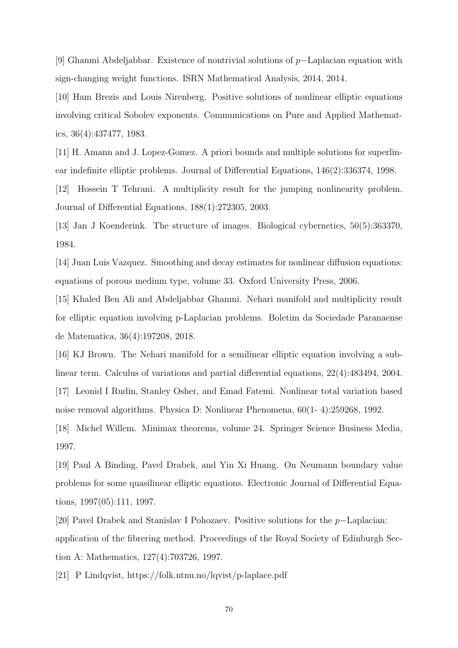[9] Ghanmi Abdeljabbar. Existence of nontrivial solutions of p−Laplacian equation with sign-changing weight functions. ISRN Mathematical Analysis, 2014, 2014.

[10] Ham Brezis and Louis Nirenberg. Positive solutions of nonlinear elliptic equations involving critical Sobolev exponents. Communications on Pure and Applied Mathematics, 36(4):437477, 1983.

[11] H. Amann and J. Lopez-Gomez. A priori bounds and multiple solutions for superlinear indefinite elliptic problems. Journal of Differential Equations, 146(2):336374, 1998.

[12] Hossein T Tehrani. A multiplicity result for the jumping nonlinearity problem. Journal of Differential Equations, 188(1):272305, 2003.

[13] Jan J Koenderink. The structure of images. Biological cybernetics, 50(5):363370, 1984.

[14] Juan Luis Vazquez. Smoothing and decay estimates for nonlinear diffusion equations: equations of porous medium type, volume 33. Oxford University Press, 2006.

[15] Khaled Ben Ali and Abdeljabbar Ghanmi. Nehari manifold and multiplicity result for elliptic equation involving p-Laplacian problems. Boletim da Sociedade Paranaense de Matematica, 36(4):197208, 2018.

[16] KJ Brown. The Nehari manifold for a semilinear elliptic equation involving a sublinear term. Calculus of variations and partial differential equations, 22(4):483494, 2004. [17] Leonid I Rudin, Stanley Osher, and Emad Fatemi. Nonlinear total variation based noise removal algorithms. Physica D: Nonlinear Phenomena, 60(1- 4):259268, 1992.

[18] Michel Willem. Minimax theorems, volume 24. Springer Science Business Media, 1997.

[19] Paul A Binding, Pavel Drabek, and Yin Xi Huang. On Neumann boundary value problems for some quasilinear elliptic equations. Electronic Journal of Differential Equations, 1997(05):111, 1997.

[20] Pavel Drabek and Stanislav I Pohozaev. Positive solutions for the p−Laplacian: application of the fibrering method. Proceedings of the Royal Society of Edinburgh Section A: Mathematics, 127(4):703726, 1997.

[21] P Lindqvist, https://folk.ntnu.no/lqvist/p-laplace.pdf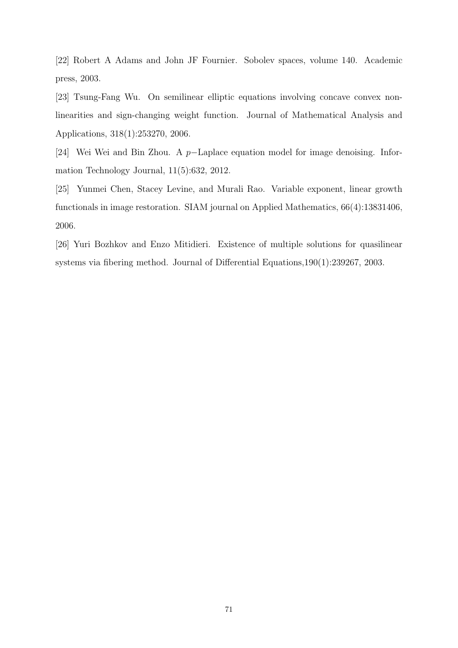[22] Robert A Adams and John JF Fournier. Sobolev spaces, volume 140. Academic press, 2003.

[23] Tsung-Fang Wu. On semilinear elliptic equations involving concave convex nonlinearities and sign-changing weight function. Journal of Mathematical Analysis and Applications, 318(1):253270, 2006.

[24] Wei Wei and Bin Zhou. A p−Laplace equation model for image denoising. Information Technology Journal, 11(5):632, 2012.

[25] Yunmei Chen, Stacey Levine, and Murali Rao. Variable exponent, linear growth functionals in image restoration. SIAM journal on Applied Mathematics, 66(4):13831406, 2006.

[26] Yuri Bozhkov and Enzo Mitidieri. Existence of multiple solutions for quasilinear systems via fibering method. Journal of Differential Equations,190(1):239267, 2003.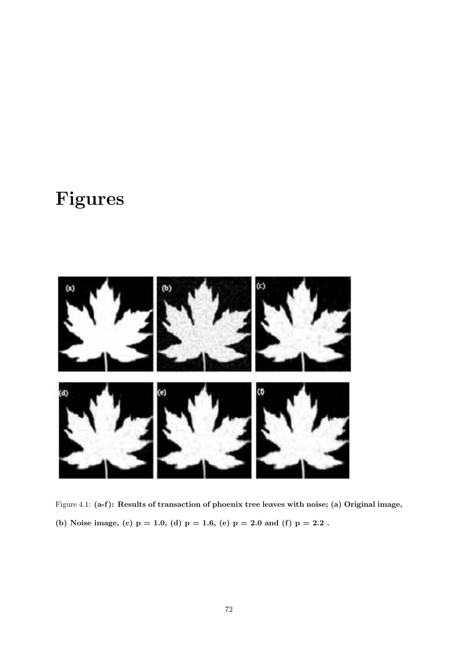## Figures



Figure 4.1: (a-f): Results of transaction of phoenix tree leaves with noise; (a) Original image, (b) Noise image, (c)  $p = 1.0$ , (d)  $p = 1.6$ , (e)  $p = 2.0$  and (f)  $p = 2.2$ .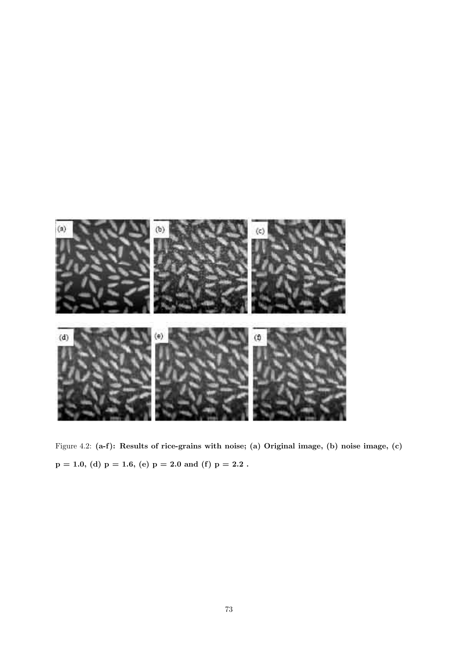

Figure 4.2: (a-f): Results of rice-grains with noise; (a) Original image, (b) noise image, (c)  $p = 1.0$ , (d)  $p = 1.6$ , (e)  $p = 2.0$  and (f)  $p = 2.2$ .